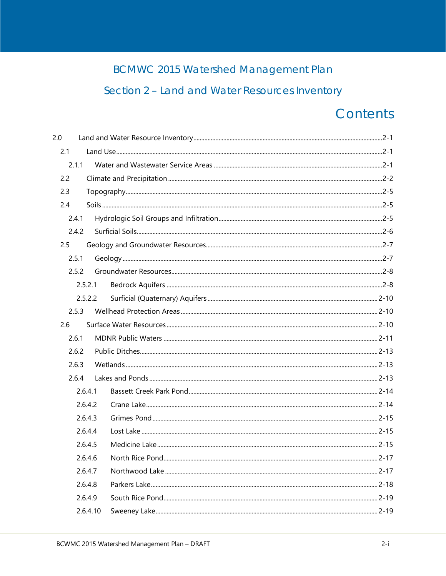# **BCMWC 2015 Watershed Management Plan**

# Section 2 - Land and Water Resources Inventory

# Contents

| 2.0   |          |  |
|-------|----------|--|
| 2.1   |          |  |
| 2.1.1 |          |  |
| 2.2   |          |  |
| 2.3   |          |  |
| 2.4   |          |  |
| 2.4.1 |          |  |
| 2.4.2 |          |  |
| 2.5   |          |  |
| 2.5.1 |          |  |
| 2.5.2 |          |  |
|       | 2.5.2.1  |  |
|       | 2.5.2.2  |  |
| 2.5.3 |          |  |
| 2.6   |          |  |
| 2.6.1 |          |  |
| 2.6.2 |          |  |
| 2.6.3 |          |  |
| 2.6.4 |          |  |
|       | 2.6.4.1  |  |
|       | 2.6.4.2  |  |
|       | 2.6.4.3  |  |
|       | 2.6.4.4  |  |
|       | 2.6.4.5  |  |
|       | 2.6.4.6  |  |
|       | 2.6.4.7  |  |
|       | 2.6.4.8  |  |
|       | 2.6.4.9  |  |
|       | 2.6.4.10 |  |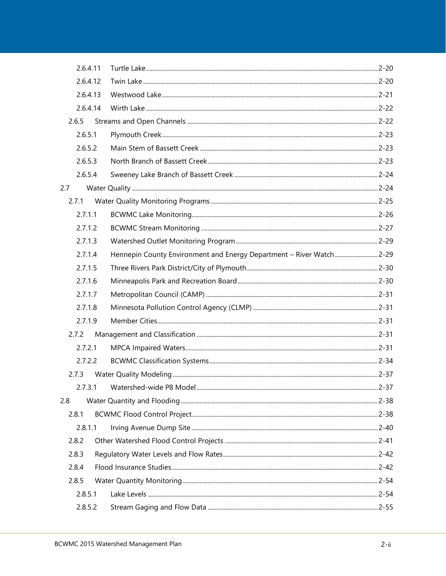|     | 2.6.4.11 |                                                                      |  |
|-----|----------|----------------------------------------------------------------------|--|
|     | 2.6.4.12 |                                                                      |  |
|     | 2.6.4.13 |                                                                      |  |
|     | 2.6.4.14 |                                                                      |  |
|     | 2.6.5    |                                                                      |  |
|     | 2.6.5.1  |                                                                      |  |
|     | 2.6.5.2  |                                                                      |  |
|     | 2.6.5.3  |                                                                      |  |
|     | 2.6.5.4  |                                                                      |  |
| 2.7 |          |                                                                      |  |
|     | 2.7.1    |                                                                      |  |
|     | 2.7.1.1  |                                                                      |  |
|     | 2.7.1.2  |                                                                      |  |
|     | 2.7.1.3  |                                                                      |  |
|     | 2.7.1.4  | Hennepin County Environment and Energy Department - River Watch 2-29 |  |
|     | 2.7.1.5  |                                                                      |  |
|     | 2.7.1.6  |                                                                      |  |
|     | 2.7.1.7  |                                                                      |  |
|     | 2.7.1.8  |                                                                      |  |
|     | 2.7.1.9  |                                                                      |  |
|     | 2.7.2    |                                                                      |  |
|     | 2.7.2.1  |                                                                      |  |
|     | 2.7.2.2  |                                                                      |  |
|     | 2.7.3    |                                                                      |  |
|     |          |                                                                      |  |
| 2.8 |          |                                                                      |  |
|     | 2.8.1    |                                                                      |  |
|     | 2.8.1.1  |                                                                      |  |
|     | 2.8.2    |                                                                      |  |
|     | 2.8.3    |                                                                      |  |
|     | 2.8.4    |                                                                      |  |
|     | 2.8.5    |                                                                      |  |
|     | 2.8.5.1  |                                                                      |  |
|     | 2.8.5.2  |                                                                      |  |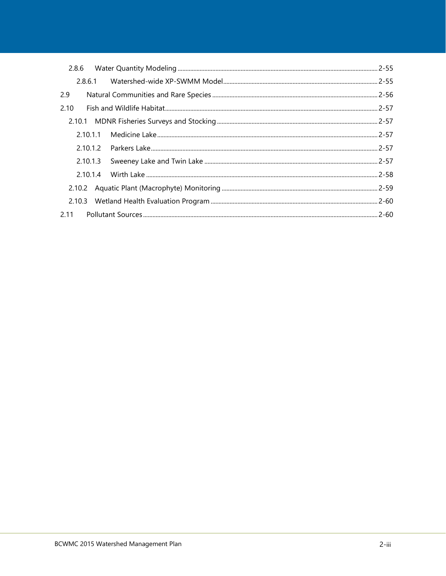| 2.8.6  |          |  |
|--------|----------|--|
|        |          |  |
| 2.9    |          |  |
| 2.10   |          |  |
|        |          |  |
|        |          |  |
|        |          |  |
|        | 2.10.1.3 |  |
|        | 2.10.1.4 |  |
|        |          |  |
| 2.10.3 |          |  |
| 2.11   |          |  |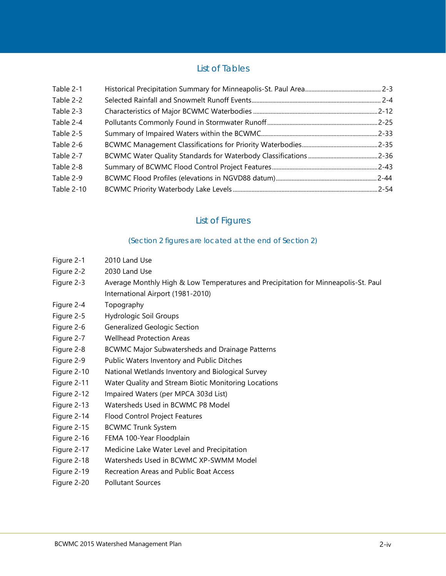## List of Tables

| Table 2-1  |  |
|------------|--|
| Table 2-2  |  |
| Table 2-3  |  |
| Table 2-4  |  |
| Table 2-5  |  |
| Table 2-6  |  |
| Table 2-7  |  |
| Table 2-8  |  |
| Table 2-9  |  |
| Table 2-10 |  |

## List of Figures

#### (Section 2 figures are located at the end of Section 2)

- Figure 2-1 [2010 Land Use](#page--1-0)
- Figure 2-2 [2030 Land Use](#page--1-1)
- Figure 2-3 [Average Monthly High & Low Temperatures and Precipitation for Minneapolis-St. Paul](#page--1-2)  [International Airport \(1981-2010\)](#page--1-2)
- Figure 2-4 [Topography](#page--1-3)
- Figure 2-5 [Hydrologic Soil Groups](#page--1-4)
- Figure 2-6 [Generalized Geologic Section](#page--1-5)
- Figure 2-7 [Wellhead Protection Areas](#page--1-6)
- Figure 2-8 [BCWMC Major Subwatersheds and Drainage Patterns](#page--1-7)
- Figure 2-9 [Public Waters Inventory and Public Ditches](#page--1-8)
- Figure 2-10 [National Wetlands Inventory and Biological Survey](#page--1-9)
- Figure 2-11 [Water Quality and Stream Biotic Monitoring Locations](#page--1-10)
- Figure 2-12 [Impaired Waters \(per MPCA 303d List\)](#page--1-11)
- Figure 2-13 [Watersheds Used in BCWMC P8 Model](#page--1-12)
- Figure 2-14 [Flood Control Project Features](#page--1-13)
- Figure 2-15 [BCWMC Trunk System](#page--1-14)
- Figure 2-16 [FEMA 100-Year Floodplain](#page--1-15)
- Figure 2-17 [Medicine Lake Water Level and Precipitation](#page--1-16)
- Figure 2-18 [Watersheds Used in BCWMC XP-SWMM Model](#page--1-17)
- Figure 2-19 [Recreation Areas and Public Boat Access](#page--1-18)
- Figure 2-20 [Pollutant Sources](#page--1-19)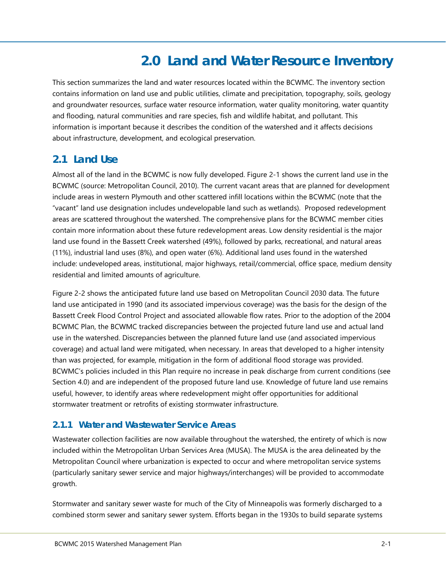# **2.0 Land and Water Resource Inventory**

<span id="page-4-0"></span>This section summarizes the land and water resources located within the BCWMC. The inventory section contains information on land use and public utilities, climate and precipitation, topography, soils, geology and groundwater resources, surface water resource information, water quality monitoring, water quantity and flooding, natural communities and rare species, fish and wildlife habitat, and pollutant. This information is important because it describes the condition of the watershed and it affects decisions about infrastructure, development, and ecological preservation.

## <span id="page-4-1"></span>**2.1 Land Use**

Almost all of the land in the BCWMC is now fully developed. [Figure 2-1](#page--1-0) shows the current land use in the BCWMC (source: Metropolitan Council, 2010). The current vacant areas that are planned for development include areas in western Plymouth and other scattered infill locations within the BCWMC (note that the "vacant" land use designation includes undevelopable land such as wetlands). Proposed redevelopment areas are scattered throughout the watershed. The comprehensive plans for the BCWMC member cities contain more information about these future redevelopment areas. Low density residential is the major land use found in the Bassett Creek watershed (49%), followed by parks, recreational, and natural areas (11%), industrial land uses (8%), and open water (6%). Additional land uses found in the watershed include: undeveloped areas, institutional, major highways, retail/commercial, office space, medium density residential and limited amounts of agriculture.

[Figure 2-2](#page--1-1) shows the anticipated future land use based on Metropolitan Council 2030 data. The future land use anticipated in 1990 (and its associated impervious coverage) was the basis for the design of the Bassett Creek Flood Control Project and associated allowable flow rates. Prior to the adoption of the 2004 BCWMC Plan, the BCWMC tracked discrepancies between the projected future land use and actual land use in the watershed. Discrepancies between the planned future land use (and associated impervious coverage) and actual land were mitigated, when necessary. In areas that developed to a higher intensity than was projected, for example, mitigation in the form of additional flood storage was provided. BCWMC's policies included in this Plan require no increase in peak discharge from current conditions (see Section 4.0) and are independent of the proposed future land use. Knowledge of future land use remains useful, however, to identify areas where redevelopment might offer opportunities for additional stormwater treatment or retrofits of existing stormwater infrastructure.

## <span id="page-4-2"></span>**2.1.1 Water and Wastewater Service Areas**

Wastewater collection facilities are now available throughout the watershed, the entirety of which is now included within the Metropolitan Urban Services Area (MUSA). The MUSA is the area delineated by the Metropolitan Council where urbanization is expected to occur and where metropolitan service systems (particularly sanitary sewer service and major highways/interchanges) will be provided to accommodate growth.

Stormwater and sanitary sewer waste for much of the City of Minneapolis was formerly discharged to a combined storm sewer and sanitary sewer system. Efforts began in the 1930s to build separate systems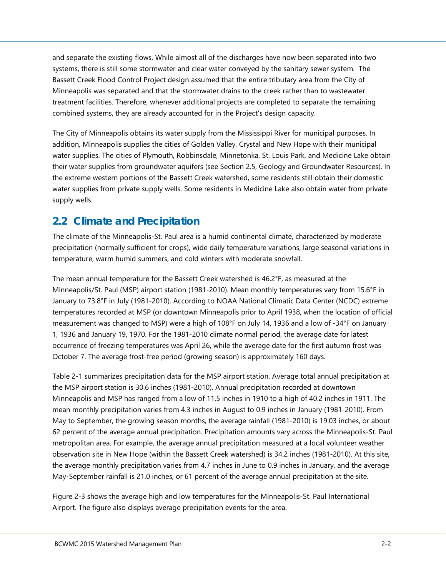and separate the existing flows. While almost all of the discharges have now been separated into two systems, there is still some stormwater and clear water conveyed by the sanitary sewer system. The Bassett Creek Flood Control Project design assumed that the entire tributary area from the City of Minneapolis was separated and that the stormwater drains to the creek rather than to wastewater treatment facilities. Therefore, whenever additional projects are completed to separate the remaining combined systems, they are already accounted for in the Project's design capacity.

The City of Minneapolis obtains its water supply from the Mississippi River for municipal purposes. In addition, Minneapolis supplies the cities of Golden Valley, Crystal and New Hope with their municipal water supplies. The cities of Plymouth, Robbinsdale, Minnetonka, St. Louis Park, and Medicine Lake obtain their water supplies from groundwater aquifers (see Section [2.5,](#page-10-0) Geology and Groundwater Resources). In the extreme western portions of the Bassett Creek watershed, some residents still obtain their domestic water supplies from private supply wells. Some residents in Medicine Lake also obtain water from private supply wells.

## <span id="page-5-0"></span>**2.2 Climate and Precipitation**

The climate of the Minneapolis-St. Paul area is a humid continental climate, characterized by moderate precipitation (normally sufficient for crops), wide daily temperature variations, large seasonal variations in temperature, warm humid summers, and cold winters with moderate snowfall.

The mean annual temperature for the Bassett Creek watershed is 46.2°F, as measured at the Minneapolis/St. Paul (MSP) airport station (1981-2010). Mean monthly temperatures vary from 15.6°F in January to 73.8°F in July (1981-2010). According to NOAA National Climatic Data Center (NCDC) extreme temperatures recorded at MSP (or downtown Minneapolis prior to April 1938, when the location of official measurement was changed to MSP) were a high of 108°F on July 14, 1936 and a low of -34°F on January 1, 1936 and January 19, 1970. For the 1981-2010 climate normal period, the average date for latest occurrence of freezing temperatures was April 26, while the average date for the first autumn frost was October 7. The average frost-free period (growing season) is approximately 160 days.

[Table 2-1](#page-6-0) summarizes precipitation data for the MSP airport station. Average total annual precipitation at the MSP airport station is 30.6 inches (1981-2010). Annual precipitation recorded at downtown Minneapolis and MSP has ranged from a low of 11.5 inches in 1910 to a high of 40.2 inches in 1911. The mean monthly precipitation varies from 4.3 inches in August to 0.9 inches in January (1981-2010). From May to September, the growing season months, the average rainfall (1981-2010) is 19.03 inches, or about 62 percent of the average annual precipitation. Precipitation amounts vary across the Minneapolis-St. Paul metropolitan area. For example, the average annual precipitation measured at a local volunteer weather observation site in New Hope (within the Bassett Creek watershed) is 34.2 inches (1981-2010). At this site, the average monthly precipitation varies from 4.7 inches in June to 0.9 inches in January, and the average May-September rainfall is 21.0 inches, or 61 percent of the average annual precipitation at the site.

[Figure 2-3](#page--1-2) shows the average high and low temperatures for the Minneapolis-St. Paul International Airport. The figure also displays average precipitation events for the area.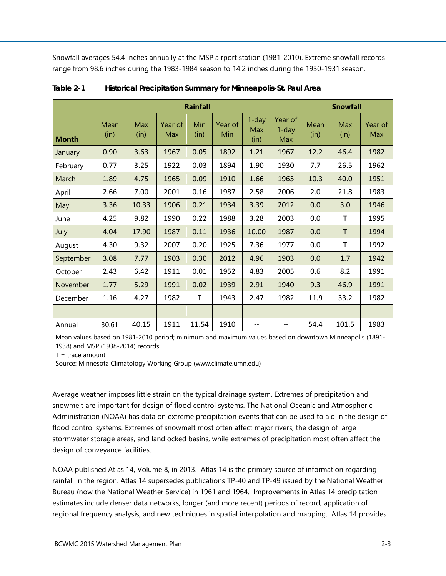Snowfall averages 54.4 inches annually at the MSP airport station (1981-2010). Extreme snowfall records range from 98.6 inches during the 1983-1984 season to 14.2 inches during the 1930-1931 season.

|              |              |             |                | <b>Rainfall</b> |                |                                |                            |              | <b>Snowfall</b> |                |
|--------------|--------------|-------------|----------------|-----------------|----------------|--------------------------------|----------------------------|--------------|-----------------|----------------|
| <b>Month</b> | Mean<br>(in) | Max<br>(in) | Year of<br>Max | Min<br>(in)     | Year of<br>Min | $1$ -day<br><b>Max</b><br>(in) | Year of<br>$1$ -day<br>Max | Mean<br>(in) | Max<br>(in)     | Year of<br>Max |
| January      | 0.90         | 3.63        | 1967           | 0.05            | 1892           | 1.21                           | 1967                       | 12.2         | 46.4            | 1982           |
| February     | 0.77         | 3.25        | 1922           | 0.03            | 1894           | 1.90                           | 1930                       | 7.7          | 26.5            | 1962           |
| March        | 1.89         | 4.75        | 1965           | 0.09            | 1910           | 1.66                           | 1965                       | 10.3         | 40.0            | 1951           |
| April        | 2.66         | 7.00        | 2001           | 0.16            | 1987           | 2.58                           | 2006                       | 2.0          | 21.8            | 1983           |
| May          | 3.36         | 10.33       | 1906           | 0.21            | 1934           | 3.39                           | 2012                       | 0.0          | 3.0             | 1946           |
| June         | 4.25         | 9.82        | 1990           | 0.22            | 1988           | 3.28                           | 2003                       | 0.0          | Τ               | 1995           |
| July         | 4.04         | 17.90       | 1987           | 0.11            | 1936           | 10.00                          | 1987                       | 0.0          | T               | 1994           |
| August       | 4.30         | 9.32        | 2007           | 0.20            | 1925           | 7.36                           | 1977                       | 0.0          | T               | 1992           |
| September    | 3.08         | 7.77        | 1903           | 0.30            | 2012           | 4.96                           | 1903                       | 0.0          | 1.7             | 1942           |
| October      | 2.43         | 6.42        | 1911           | 0.01            | 1952           | 4.83                           | 2005                       | 0.6          | 8.2             | 1991           |
| November     | 1.77         | 5.29        | 1991           | 0.02            | 1939           | 2.91                           | 1940                       | 9.3          | 46.9            | 1991           |
| December     | 1.16         | 4.27        | 1982           | T               | 1943           | 2.47                           | 1982                       | 11.9         | 33.2            | 1982           |
|              |              |             |                |                 |                |                                |                            |              |                 |                |
| Annual       | 30.61        | 40.15       | 1911           | 11.54           | 1910           | $-$                            | --                         | 54.4         | 101.5           | 1983           |

<span id="page-6-0"></span>**Table 2-1 Historical Precipitation Summary for Minneapolis-St. Paul Area**

Mean values based on 1981-2010 period; minimum and maximum values based on downtown Minneapolis (1891- 1938) and MSP (1938-2014) records

 $T = \text{trace amount}$ 

Source: Minnesota Climatology Working Group (www.climate.umn.edu)

Average weather imposes little strain on the typical drainage system. Extremes of precipitation and snowmelt are important for design of flood control systems. The National Oceanic and Atmospheric Administration (NOAA) has data on extreme precipitation events that can be used to aid in the design of flood control systems. Extremes of snowmelt most often affect major rivers, the design of large stormwater storage areas, and landlocked basins, while extremes of precipitation most often affect the design of conveyance facilities.

NOAA published Atlas 14, Volume 8, in 2013. Atlas 14 is the primary source of information regarding rainfall in the region. Atlas 14 supersedes publications TP-40 and TP-49 issued by the National Weather Bureau (now the National Weather Service) in 1961 and 1964. Improvements in Atlas 14 precipitation estimates include denser data networks, longer (and more recent) periods of record, application of regional frequency analysis, and new techniques in spatial interpolation and mapping. Atlas 14 provides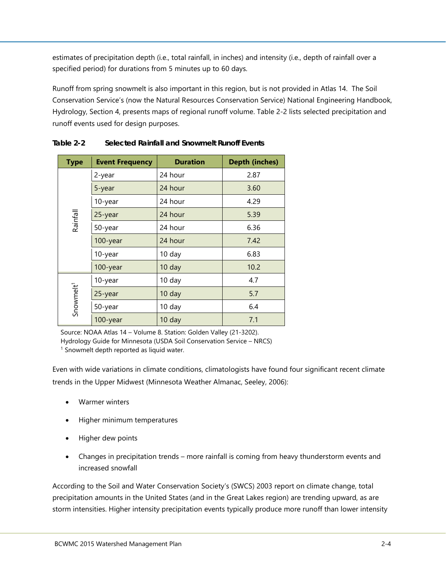estimates of precipitation depth (i.e., total rainfall, in inches) and intensity (i.e., depth of rainfall over a specified period) for durations from 5 minutes up to 60 days.

Runoff from spring snowmelt is also important in this region, but is not provided in Atlas 14. The Soil Conservation Service's (now the Natural Resources Conservation Service) National Engineering Handbook, Hydrology, Section 4, presents maps of regional runoff volume. [Table 2-2](#page-7-0) lists selected precipitation and runoff events used for design purposes.

| <b>Type</b>           | <b>Event Frequency</b> | <b>Duration</b> | <b>Depth (inches)</b> |
|-----------------------|------------------------|-----------------|-----------------------|
|                       | 2-year                 | 24 hour         | 2.87                  |
|                       | 5-year                 | 24 hour         | 3.60                  |
|                       | 10-year                | 24 hour         | 4.29                  |
| Rainfall              | 25-year                | 24 hour         | 5.39                  |
|                       | 50-year                | 24 hour         | 6.36                  |
|                       | 100-year               | 24 hour         | 7.42                  |
|                       | 10-year                | 10 day          | 6.83                  |
|                       | 100-year               | 10 day          | 10.2                  |
|                       | 10-year                | 10 day          | 4.7                   |
| Snowmelt <sup>1</sup> | 25-year                | 10 day          | 5.7                   |
|                       | 50-year                | 10 day          | 6.4                   |
|                       | 100-year               | 10 day          | 7.1                   |

<span id="page-7-0"></span>**Table 2-2 Selected Rainfall and Snowmelt Runoff Events**

Source: NOAA Atlas 14 – Volume 8. Station: Golden Valley (21-3202).

Hydrology Guide for Minnesota (USDA Soil Conservation Service – NRCS)

<sup>1</sup> Snowmelt depth reported as liquid water.

Even with wide variations in climate conditions, climatologists have found four significant recent climate trends in the Upper Midwest (Minnesota Weather Almanac, Seeley, 2006):

- Warmer winters
- Higher minimum temperatures
- Higher dew points
- Changes in precipitation trends more rainfall is coming from heavy thunderstorm events and increased snowfall

According to the Soil and Water Conservation Society's (SWCS) 2003 report on climate change, total precipitation amounts in the United States (and in the Great Lakes region) are trending upward, as are storm intensities. Higher intensity precipitation events typically produce more runoff than lower intensity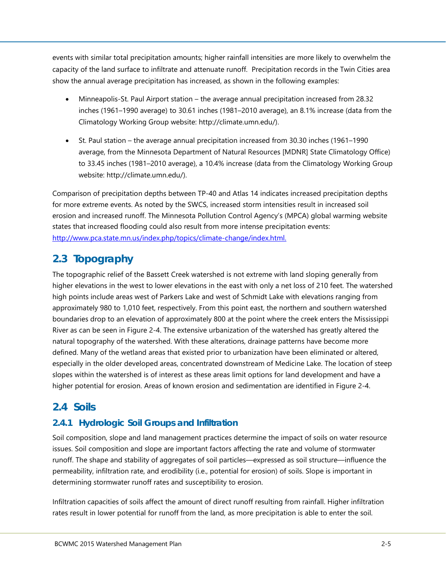events with similar total precipitation amounts; higher rainfall intensities are more likely to overwhelm the capacity of the land surface to infiltrate and attenuate runoff. Precipitation records in the Twin Cities area show the annual average precipitation has increased, as shown in the following examples:

- Minneapolis-St. Paul Airport station the average annual precipitation increased from 28.32 inches (1961–1990 average) to 30.61 inches (1981–2010 average), an 8.1% increase (data from the Climatology Working Group website: [http://climate.umn.edu/\)](http://climate.umn.edu/).
- St. Paul station the average annual precipitation increased from 30.30 inches (1961–1990 average, from the Minnesota Department of Natural Resources [MDNR] State Climatology Office) to 33.45 inches (1981–2010 average), a 10.4% increase (data from the Climatology Working Group website: [http://climate.umn.edu/\)](http://climate.umn.edu/).

Comparison of precipitation depths between TP-40 and Atlas 14 indicates increased precipitation depths for more extreme events. As noted by the SWCS, increased storm intensities result in increased soil erosion and increased runoff. The Minnesota Pollution Control Agency's (MPCA) global warming website states that increased flooding could also result from more intense precipitation events: [http://www.pca.state.mn.us/index.php/topics/climate-change/index.html.](http://www.pca.state.mn.us/index.php/topics/climate-change/index.html)

## <span id="page-8-0"></span>**2.3 Topography**

The topographic relief of the Bassett Creek watershed is not extreme with land sloping generally from higher elevations in the west to lower elevations in the east with only a net loss of 210 feet. The watershed high points include areas west of Parkers Lake and west of Schmidt Lake with elevations ranging from approximately 980 to 1,010 feet, respectively. From this point east, the northern and southern watershed boundaries drop to an elevation of approximately 800 at the point where the creek enters the Mississippi River as can be seen in [Figure 2-4.](#page--1-3) The extensive urbanization of the watershed has greatly altered the natural topography of the watershed. With these alterations, drainage patterns have become more defined. Many of the wetland areas that existed prior to urbanization have been eliminated or altered, especially in the older developed areas, concentrated downstream of Medicine Lake. The location of steep slopes within the watershed is of interest as these areas limit options for land development and have a higher potential for erosion. Areas of known erosion and sedimentation are identified in [Figure 2-4.](#page--1-3)

## <span id="page-8-1"></span>**2.4 Soils**

## <span id="page-8-2"></span>**2.4.1 Hydrologic Soil Groups and Infiltration**

Soil composition, slope and land management practices determine the impact of soils on water resource issues. Soil composition and slope are important factors affecting the rate and volume of stormwater runoff. The shape and stability of aggregates of soil particles—expressed as soil structure—influence the permeability, infiltration rate, and erodibility (i.e., potential for erosion) of soils. Slope is important in determining stormwater runoff rates and susceptibility to erosion.

Infiltration capacities of soils affect the amount of direct runoff resulting from rainfall. Higher infiltration rates result in lower potential for runoff from the land, as more precipitation is able to enter the soil.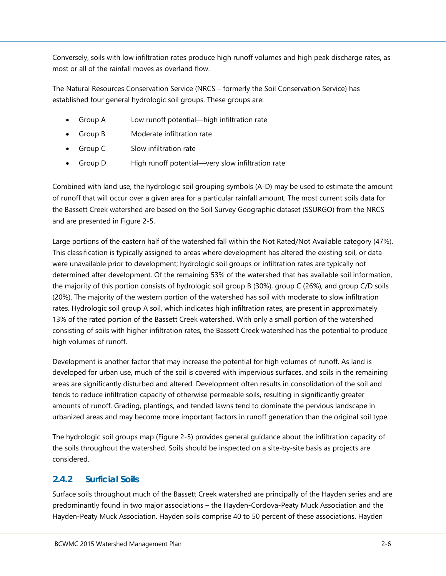Conversely, soils with low infiltration rates produce high runoff volumes and high peak discharge rates, as most or all of the rainfall moves as overland flow.

The Natural Resources Conservation Service (NRCS – formerly the Soil Conservation Service) has established four general hydrologic soil groups. These groups are:

- Group A Low runoff potential—high infiltration rate
- Group B Moderate infiltration rate
- Group C Slow infiltration rate
- Group D High runoff potential—very slow infiltration rate

Combined with land use, the hydrologic soil grouping symbols (A-D) may be used to estimate the amount of runoff that will occur over a given area for a particular rainfall amount. The most current soils data for the Bassett Creek watershed are based on the Soil Survey Geographic dataset (SSURGO) from the NRCS and are presented in [Figure 2-5.](#page--1-4)

Large portions of the eastern half of the watershed fall within the Not Rated/Not Available category (47%). This classification is typically assigned to areas where development has altered the existing soil, or data were unavailable prior to development; hydrologic soil groups or infiltration rates are typically not determined after development. Of the remaining 53% of the watershed that has available soil information, the majority of this portion consists of hydrologic soil group B (30%), group C (26%), and group C/D soils (20%). The majority of the western portion of the watershed has soil with moderate to slow infiltration rates. Hydrologic soil group A soil, which indicates high infiltration rates, are present in approximately 13% of the rated portion of the Bassett Creek watershed. With only a small portion of the watershed consisting of soils with higher infiltration rates, the Bassett Creek watershed has the potential to produce high volumes of runoff.

Development is another factor that may increase the potential for high volumes of runoff. As land is developed for urban use, much of the soil is covered with impervious surfaces, and soils in the remaining areas are significantly disturbed and altered. Development often results in consolidation of the soil and tends to reduce infiltration capacity of otherwise permeable soils, resulting in significantly greater amounts of runoff. Grading, plantings, and tended lawns tend to dominate the pervious landscape in urbanized areas and may become more important factors in runoff generation than the original soil type.

The hydrologic soil groups map [\(Figure 2-5\)](#page--1-4) provides general guidance about the infiltration capacity of the soils throughout the watershed. Soils should be inspected on a site-by-site basis as projects are considered.

## <span id="page-9-0"></span>**2.4.2 Surficial Soils**

Surface soils throughout much of the Bassett Creek watershed are principally of the Hayden series and are predominantly found in two major associations – the Hayden-Cordova-Peaty Muck Association and the Hayden-Peaty Muck Association. Hayden soils comprise 40 to 50 percent of these associations. Hayden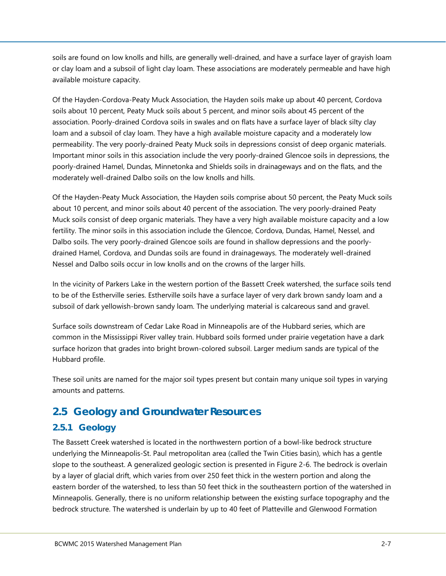soils are found on low knolls and hills, are generally well-drained, and have a surface layer of grayish loam or clay loam and a subsoil of light clay loam. These associations are moderately permeable and have high available moisture capacity.

Of the Hayden-Cordova-Peaty Muck Association, the Hayden soils make up about 40 percent, Cordova soils about 10 percent, Peaty Muck soils about 5 percent, and minor soils about 45 percent of the association. Poorly-drained Cordova soils in swales and on flats have a surface layer of black silty clay loam and a subsoil of clay loam. They have a high available moisture capacity and a moderately low permeability. The very poorly-drained Peaty Muck soils in depressions consist of deep organic materials. Important minor soils in this association include the very poorly-drained Glencoe soils in depressions, the poorly-drained Hamel, Dundas, Minnetonka and Shields soils in drainageways and on the flats, and the moderately well-drained Dalbo soils on the low knolls and hills.

Of the Hayden-Peaty Muck Association, the Hayden soils comprise about 50 percent, the Peaty Muck soils about 10 percent, and minor soils about 40 percent of the association. The very poorly-drained Peaty Muck soils consist of deep organic materials. They have a very high available moisture capacity and a low fertility. The minor soils in this association include the Glencoe, Cordova, Dundas, Hamel, Nessel, and Dalbo soils. The very poorly-drained Glencoe soils are found in shallow depressions and the poorlydrained Hamel, Cordova, and Dundas soils are found in drainageways. The moderately well-drained Nessel and Dalbo soils occur in low knolls and on the crowns of the larger hills.

In the vicinity of Parkers Lake in the western portion of the Bassett Creek watershed, the surface soils tend to be of the Estherville series. Estherville soils have a surface layer of very dark brown sandy loam and a subsoil of dark yellowish-brown sandy loam. The underlying material is calcareous sand and gravel.

Surface soils downstream of Cedar Lake Road in Minneapolis are of the Hubbard series, which are common in the Mississippi River valley train. Hubbard soils formed under prairie vegetation have a dark surface horizon that grades into bright brown-colored subsoil. Larger medium sands are typical of the Hubbard profile.

These soil units are named for the major soil types present but contain many unique soil types in varying amounts and patterns.

## <span id="page-10-0"></span>**2.5 Geology and Groundwater Resources**

## <span id="page-10-1"></span>**2.5.1 Geology**

The Bassett Creek watershed is located in the northwestern portion of a bowl-like bedrock structure underlying the Minneapolis-St. Paul metropolitan area (called the Twin Cities basin), which has a gentle slope to the southeast. A generalized geologic section is presented in [Figure 2-6.](#page--1-5) The bedrock is overlain by a layer of glacial drift, which varies from over 250 feet thick in the western portion and along the eastern border of the watershed, to less than 50 feet thick in the southeastern portion of the watershed in Minneapolis. Generally, there is no uniform relationship between the existing surface topography and the bedrock structure. The watershed is underlain by up to 40 feet of Platteville and Glenwood Formation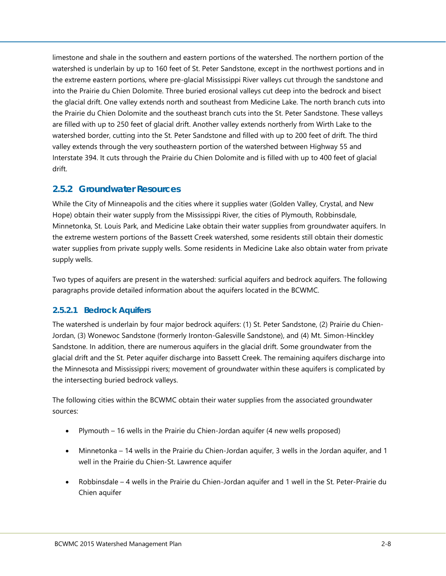limestone and shale in the southern and eastern portions of the watershed. The northern portion of the watershed is underlain by up to 160 feet of St. Peter Sandstone, except in the northwest portions and in the extreme eastern portions, where pre-glacial Mississippi River valleys cut through the sandstone and into the Prairie du Chien Dolomite. Three buried erosional valleys cut deep into the bedrock and bisect the glacial drift. One valley extends north and southeast from Medicine Lake. The north branch cuts into the Prairie du Chien Dolomite and the southeast branch cuts into the St. Peter Sandstone. These valleys are filled with up to 250 feet of glacial drift. Another valley extends northerly from Wirth Lake to the watershed border, cutting into the St. Peter Sandstone and filled with up to 200 feet of drift. The third valley extends through the very southeastern portion of the watershed between Highway 55 and Interstate 394. It cuts through the Prairie du Chien Dolomite and is filled with up to 400 feet of glacial drift.

#### <span id="page-11-0"></span>**2.5.2 Groundwater Resources**

While the City of Minneapolis and the cities where it supplies water (Golden Valley, Crystal, and New Hope) obtain their water supply from the Mississippi River, the cities of Plymouth, Robbinsdale, Minnetonka, St. Louis Park, and Medicine Lake obtain their water supplies from groundwater aquifers. In the extreme western portions of the Bassett Creek watershed, some residents still obtain their domestic water supplies from private supply wells. Some residents in Medicine Lake also obtain water from private supply wells.

Two types of aquifers are present in the watershed: surficial aquifers and bedrock aquifers. The following paragraphs provide detailed information about the aquifers located in the BCWMC.

#### <span id="page-11-1"></span>**2.5.2.1 Bedrock Aquifers**

The watershed is underlain by four major bedrock aquifers: (1) St. Peter Sandstone, (2) Prairie du Chien-Jordan, (3) Wonewoc Sandstone (formerly Ironton-Galesville Sandstone), and (4) Mt. Simon-Hinckley Sandstone. In addition, there are numerous aquifers in the glacial drift. Some groundwater from the glacial drift and the St. Peter aquifer discharge into Bassett Creek. The remaining aquifers discharge into the Minnesota and Mississippi rivers; movement of groundwater within these aquifers is complicated by the intersecting buried bedrock valleys.

The following cities within the BCWMC obtain their water supplies from the associated groundwater sources:

- Plymouth 16 wells in the Prairie du Chien-Jordan aquifer (4 new wells proposed)
- Minnetonka 14 wells in the Prairie du Chien-Jordan aquifer, 3 wells in the Jordan aquifer, and 1 well in the Prairie du Chien-St. Lawrence aquifer
- Robbinsdale 4 wells in the Prairie du Chien-Jordan aquifer and 1 well in the St. Peter-Prairie du Chien aquifer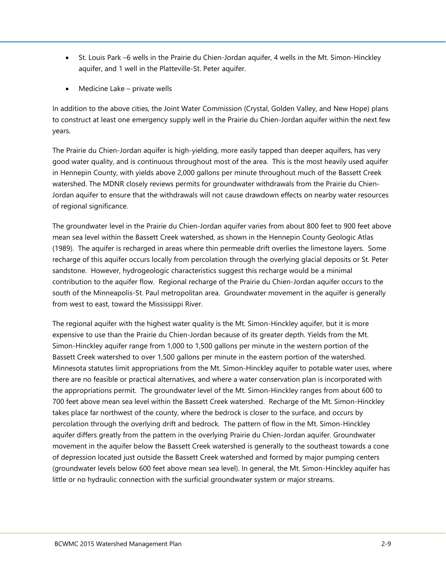- St. Louis Park –6 wells in the Prairie du Chien-Jordan aquifer, 4 wells in the Mt. Simon-Hinckley aquifer, and 1 well in the Platteville-St. Peter aquifer.
- Medicine Lake private wells

In addition to the above cities, the Joint Water Commission (Crystal, Golden Valley, and New Hope) plans to construct at least one emergency supply well in the Prairie du Chien-Jordan aquifer within the next few years.

The Prairie du Chien-Jordan aquifer is high-yielding, more easily tapped than deeper aquifers, has very good water quality, and is continuous throughout most of the area. This is the most heavily used aquifer in Hennepin County, with yields above 2,000 gallons per minute throughout much of the Bassett Creek watershed. The MDNR closely reviews permits for groundwater withdrawals from the Prairie du Chien-Jordan aquifer to ensure that the withdrawals will not cause drawdown effects on nearby water resources of regional significance.

The groundwater level in the Prairie du Chien-Jordan aquifer varies from about 800 feet to 900 feet above mean sea level within the Bassett Creek watershed, as shown in the Hennepin County Geologic Atlas (1989). The aquifer is recharged in areas where thin permeable drift overlies the limestone layers. Some recharge of this aquifer occurs locally from percolation through the overlying glacial deposits or St. Peter sandstone. However, hydrogeologic characteristics suggest this recharge would be a minimal contribution to the aquifer flow. Regional recharge of the Prairie du Chien-Jordan aquifer occurs to the south of the Minneapolis-St. Paul metropolitan area. Groundwater movement in the aquifer is generally from west to east, toward the Mississippi River.

The regional aquifer with the highest water quality is the Mt. Simon-Hinckley aquifer, but it is more expensive to use than the Prairie du Chien-Jordan because of its greater depth. Yields from the Mt. Simon-Hinckley aquifer range from 1,000 to 1,500 gallons per minute in the western portion of the Bassett Creek watershed to over 1,500 gallons per minute in the eastern portion of the watershed. Minnesota statutes limit appropriations from the Mt. Simon-Hinckley aquifer to potable water uses, where there are no feasible or practical alternatives, and where a water conservation plan is incorporated with the appropriations permit. The groundwater level of the Mt. Simon-Hinckley ranges from about 600 to 700 feet above mean sea level within the Bassett Creek watershed. Recharge of the Mt. Simon-Hinckley takes place far northwest of the county, where the bedrock is closer to the surface, and occurs by percolation through the overlying drift and bedrock. The pattern of flow in the Mt. Simon-Hinckley aquifer differs greatly from the pattern in the overlying Prairie du Chien-Jordan aquifer. Groundwater movement in the aquifer below the Bassett Creek watershed is generally to the southeast towards a cone of depression located just outside the Bassett Creek watershed and formed by major pumping centers (groundwater levels below 600 feet above mean sea level). In general, the Mt. Simon-Hinckley aquifer has little or no hydraulic connection with the surficial groundwater system or major streams.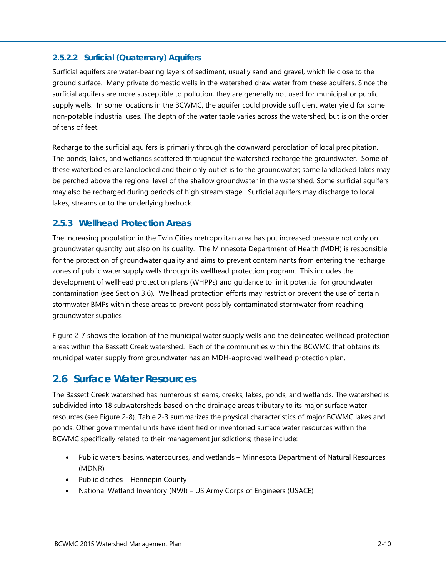#### <span id="page-13-0"></span>**2.5.2.2 Surficial (Quaternary) Aquifers**

Surficial aquifers are water-bearing layers of sediment, usually sand and gravel, which lie close to the ground surface. Many private domestic wells in the watershed draw water from these aquifers. Since the surficial aquifers are more susceptible to pollution, they are generally not used for municipal or public supply wells. In some locations in the BCWMC, the aquifer could provide sufficient water yield for some non-potable industrial uses. The depth of the water table varies across the watershed, but is on the order of tens of feet.

Recharge to the surficial aquifers is primarily through the downward percolation of local precipitation. The ponds, lakes, and wetlands scattered throughout the watershed recharge the groundwater. Some of these waterbodies are landlocked and their only outlet is to the groundwater; some landlocked lakes may be perched above the regional level of the shallow groundwater in the watershed. Some surficial aquifers may also be recharged during periods of high stream stage. Surficial aquifers may discharge to local lakes, streams or to the underlying bedrock.

### <span id="page-13-1"></span>**2.5.3 Wellhead Protection Areas**

The increasing population in the Twin Cities metropolitan area has put increased pressure not only on groundwater quantity but also on its quality. The Minnesota Department of Health (MDH) is responsible for the protection of groundwater quality and aims to prevent contaminants from entering the recharge zones of public water supply wells through its wellhead protection program. This includes the development of wellhead protection plans (WHPPs) and guidance to limit potential for groundwater contamination (see Section 3.6). Wellhead protection efforts may restrict or prevent the use of certain stormwater BMPs within these areas to prevent possibly contaminated stormwater from reaching groundwater supplie[s](#page--1-20)

[Figure 2-7](#page--1-20) shows the location of the municipal water supply wells and the delineated wellhead protection areas within the Bassett Creek watershed. Each of the communities within the BCWMC that obtains its municipal water supply from groundwater has an MDH-approved wellhead protection plan.

## <span id="page-13-2"></span>**2.6 Surface Water Resources**

The Bassett Creek watershed has numerous streams, creeks, lakes, ponds, and wetlands. The watershed is subdivided into 18 subwatersheds based on the drainage areas tributary to its major surface water resources (see [Figure 2-8\)](#page--1-7). [Table 2-3](#page-15-0) summarizes the physical characteristics of major BCWMC lakes and ponds. Other governmental units have identified or inventoried surface water resources within the BCWMC specifically related to their management jurisdictions; these include:

- Public waters basins, watercourses, and wetlands Minnesota Department of Natural Resources (MDNR)
- Public ditches Hennepin County
- National Wetland Inventory (NWI) US Army Corps of Engineers (USACE)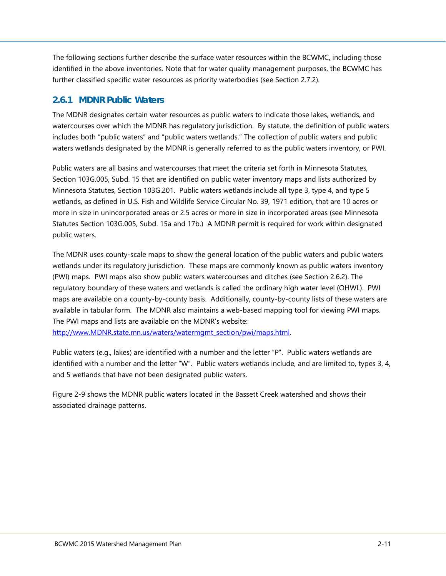The following sections further describe the surface water resources within the BCWMC, including those identified in the above inventories. Note that for water quality management purposes, the BCWMC has further classified specific water resources as priority waterbodies (see Section [2.7.2\)](#page-34-3).

### <span id="page-14-0"></span>**2.6.1 MDNR Public Waters**

The MDNR designates certain water resources as public waters to indicate those lakes, wetlands, and watercourses over which the MDNR has regulatory jurisdiction. By statute, the definition of public waters includes both "public waters" and "public waters wetlands." The collection of public waters and public waters wetlands designated by the MDNR is generally referred to as the public waters inventory, or PWI.

Public waters are all basins and watercourses that meet the criteria set forth in Minnesota Statutes, Section 103G.005, Subd. 15 that are identified on public water inventory maps and lists authorized by Minnesota Statutes, Section 103G.201. Public waters wetlands include all type 3, type 4, and type 5 wetlands, as defined in U.S. Fish and Wildlife Service Circular No. 39, 1971 edition, that are 10 acres or more in size in unincorporated areas or 2.5 acres or more in size in incorporated areas (see Minnesota Statutes Section 103G.005, Subd. 15a and 17b.) A MDNR permit is required for work within designated public waters.

The MDNR uses county-scale maps to show the general location of the public waters and public waters wetlands under its regulatory jurisdiction. These maps are commonly known as public waters inventory (PWI) maps. PWI maps also show public waters watercourses and ditches (see Section [2.6.2\)](#page-16-0). The regulatory boundary of these waters and wetlands is called the ordinary high water level (OHWL). PWI maps are available on a county-by-county basis. Additionally, county-by-county lists of these waters are available in tabular form. The MDNR also maintains a web-based mapping tool for viewing PWI maps. The PWI maps and lists are available on the MDNR's website:

[http://www.MDNR.state.mn.us/waters/watermgmt\\_section/pwi/maps.html.](http://www.dnr.state.mn.us/waters/watermgmt_section/pwi/maps.html)

Public waters (e.g., lakes) are identified with a number and the letter "P". Public waters wetlands are identified with a number and the letter "W". Public waters wetlands include, and are limited to, types 3, 4, and 5 wetlands that have not been designated public waters.

[Figure 2-9](#page--1-8) shows the MDNR public waters located in the Bassett Creek watershed and shows their associated drainage patterns.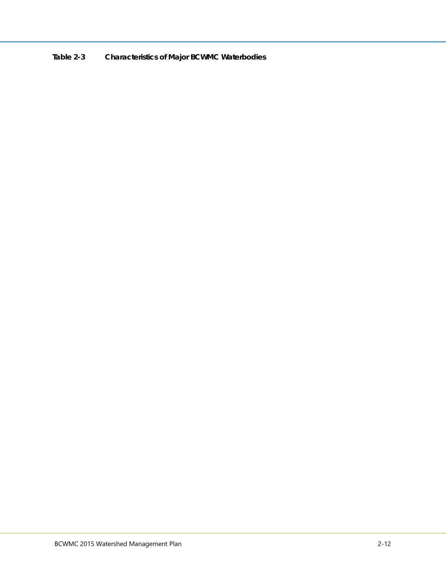<span id="page-15-0"></span>**Table 2-3 Characteristics of Major BCWMC Waterbodies**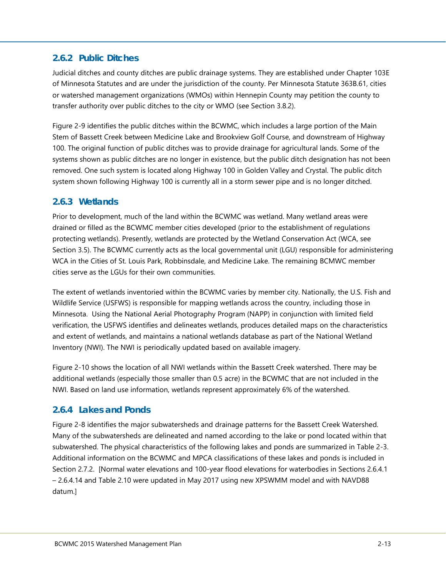## <span id="page-16-0"></span>**2.6.2 Public Ditches**

Judicial ditches and county ditches are public drainage systems. They are established under Chapter 103E of Minnesota Statutes and are under the jurisdiction of the county. Per Minnesota Statute 363B.61, cities or watershed management organizations (WMOs) within Hennepin County may petition the county to transfer authority over public ditches to the city or WMO (see Section 3.8.2).

[Figure 2-9](#page--1-8) identifies the public ditches within the BCWMC, which includes a large portion of the Main Stem of Bassett Creek between Medicine Lake and Brookview Golf Course, and downstream of Highway 100. The original function of public ditches was to provide drainage for agricultural lands. Some of the systems shown as public ditches are no longer in existence, but the public ditch designation has not been removed. One such system is located along Highway 100 in Golden Valley and Crystal. The public ditch system shown following Highway 100 is currently all in a storm sewer pipe and is no longer ditched.

## <span id="page-16-1"></span>**2.6.3 Wetlands**

Prior to development, much of the land within the BCWMC was wetland. Many wetland areas were drained or filled as the BCWMC member cities developed (prior to the establishment of regulations protecting wetlands). Presently, wetlands are protected by the Wetland Conservation Act (WCA, see Section 3.5). The BCWMC currently acts as the local governmental unit (LGU) responsible for administering WCA in the Cities of St. Louis Park, Robbinsdale, and Medicine Lake. The remaining BCMWC member cities serve as the LGUs for their own communities.

The extent of wetlands inventoried within the BCWMC varies by member city. Nationally, the U.S. Fish and Wildlife Service (USFWS) is responsible for mapping wetlands across the country, including those in Minnesota. Using the National Aerial Photography Program (NAPP) in conjunction with limited field verification, the USFWS identifies and delineates wetlands, produces detailed maps on the characteristics and extent of wetlands, and maintains a national wetlands database as part of the National Wetland Inventory (NWI). The NWI is periodically updated based on available imagery.

[Figure 2-10](#page--1-9) shows the location of all NWI wetlands within the Bassett Creek watershed. There may be additional wetlands (especially those smaller than 0.5 acre) in the BCWMC that are not included in the NWI. Based on land use information, wetlands represent approximately 6% of the watershed.

## <span id="page-16-2"></span>**2.6.4 Lakes and Ponds**

[Figure 2-8](#page--1-7) identifies the major subwatersheds and drainage patterns for the Bassett Creek Watershed. Many of the subwatersheds are delineated and named according to the lake or pond located within that subwatershed. The physical characteristics of the following lakes and ponds are summarized in [Table 2-3.](#page-15-0)  Additional information on the BCWMC and MPCA classifications of these lakes and ponds is included in Section [2.7.2.](#page-34-3) [Normal water elevations and 100-year flood elevations for waterbodies in Sections 2.6.4.1 – 2.6.4.14 and Table 2.10 were updated in May 2017 using new XPSWMM model and with NAVD88 datum.]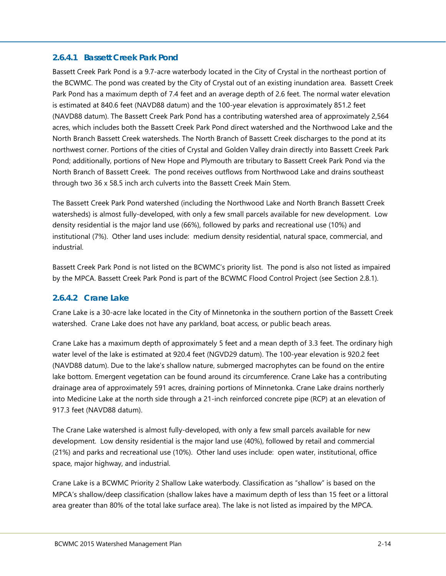#### <span id="page-17-0"></span>**2.6.4.1 Bassett Creek Park Pond**

Bassett Creek Park Pond is a 9.7-acre waterbody located in the City of Crystal in the northeast portion of the BCWMC. The pond was created by the City of Crystal out of an existing inundation area. Bassett Creek Park Pond has a maximum depth of 7.4 feet and an average depth of 2.6 feet. The normal water elevation is estimated at 840.6 feet (NAVD88 datum) and the 100-year elevation is approximately 851.2 feet (NAVD88 datum). The Bassett Creek Park Pond has a contributing watershed area of approximately 2,564 acres, which includes both the Bassett Creek Park Pond direct watershed and the Northwood Lake and the North Branch Bassett Creek watersheds. The North Branch of Bassett Creek discharges to the pond at its northwest corner. Portions of the cities of Crystal and Golden Valley drain directly into Bassett Creek Park Pond; additionally, portions of New Hope and Plymouth are tributary to Bassett Creek Park Pond via the North Branch of Bassett Creek. The pond receives outflows from Northwood Lake and drains southeast through two 36 x 58.5 inch arch culverts into the Bassett Creek Main Stem.

The Bassett Creek Park Pond watershed (including the Northwood Lake and North Branch Bassett Creek watersheds) is almost fully-developed, with only a few small parcels available for new development. Low density residential is the major land use (66%), followed by parks and recreational use (10%) and institutional (7%). Other land uses include: medium density residential, natural space, commercial, and industrial.

Bassett Creek Park Pond is not listed on the BCWMC's priority list. The pond is also not listed as impaired by the MPCA. Bassett Creek Park Pond is part of the BCWMC Flood Control Project (see Section [2.8.1\)](#page-41-1).

#### <span id="page-17-1"></span>**2.6.4.2 Crane Lake**

Crane Lake is a 30-acre lake located in the City of Minnetonka in the southern portion of the Bassett Creek watershed. Crane Lake does not have any parkland, boat access, or public beach areas.

Crane Lake has a maximum depth of approximately 5 feet and a mean depth of 3.3 feet. The ordinary high water level of the lake is estimated at 920.4 feet (NGVD29 datum). The 100-year elevation is 920.2 feet (NAVD88 datum). Due to the lake's shallow nature, submerged macrophytes can be found on the entire lake bottom. Emergent vegetation can be found around its circumference. Crane Lake has a contributing drainage area of approximately 591 acres, draining portions of Minnetonka. Crane Lake drains northerly into Medicine Lake at the north side through a 21-inch reinforced concrete pipe (RCP) at an elevation of 917.3 feet (NAVD88 datum).

The Crane Lake watershed is almost fully-developed, with only a few small parcels available for new development. Low density residential is the major land use (40%), followed by retail and commercial (21%) and parks and recreational use (10%). Other land uses include: open water, institutional, office space, major highway, and industrial.

Crane Lake is a BCWMC Priority 2 Shallow Lake waterbody. Classification as "shallow" is based on the MPCA's shallow/deep classification (shallow lakes have a maximum depth of less than 15 feet or a littoral area greater than 80% of the total lake surface area). The lake is not listed as impaired by the MPCA.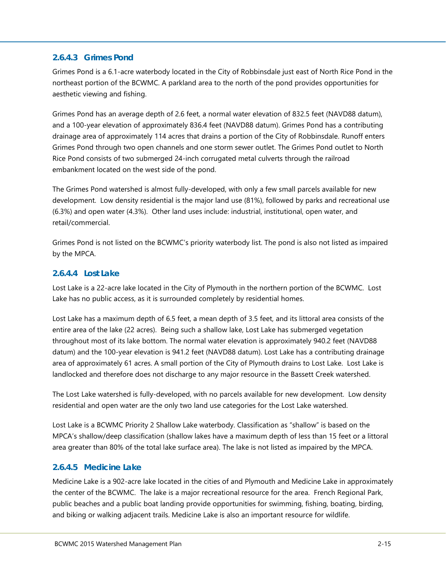#### <span id="page-18-0"></span>**2.6.4.3 Grimes Pond**

Grimes Pond is a 6.1-acre waterbody located in the City of Robbinsdale just east of North Rice Pond in the northeast portion of the BCWMC. A parkland area to the north of the pond provides opportunities for aesthetic viewing and fishing.

Grimes Pond has an average depth of 2.6 feet, a normal water elevation of 832.5 feet (NAVD88 datum), and a 100-year elevation of approximately 836.4 feet (NAVD88 datum). Grimes Pond has a contributing drainage area of approximately 114 acres that drains a portion of the City of Robbinsdale. Runoff enters Grimes Pond through two open channels and one storm sewer outlet. The Grimes Pond outlet to North Rice Pond consists of two submerged 24-inch corrugated metal culverts through the railroad embankment located on the west side of the pond.

The Grimes Pond watershed is almost fully-developed, with only a few small parcels available for new development. Low density residential is the major land use (81%), followed by parks and recreational use (6.3%) and open water (4.3%). Other land uses include: industrial, institutional, open water, and retail/commercial.

Grimes Pond is not listed on the BCWMC's priority waterbody list. The pond is also not listed as impaired by the MPCA.

#### <span id="page-18-1"></span>**2.6.4.4 Lost Lake**

Lost Lake is a 22-acre lake located in the City of Plymouth in the northern portion of the BCWMC. Lost Lake has no public access, as it is surrounded completely by residential homes.

Lost Lake has a maximum depth of 6.5 feet, a mean depth of 3.5 feet, and its littoral area consists of the entire area of the lake (22 acres). Being such a shallow lake, Lost Lake has submerged vegetation throughout most of its lake bottom. The normal water elevation is approximately 940.2 feet (NAVD88 datum) and the 100-year elevation is 941.2 feet (NAVD88 datum). Lost Lake has a contributing drainage area of approximately 61 acres. A small portion of the City of Plymouth drains to Lost Lake. Lost Lake is landlocked and therefore does not discharge to any major resource in the Bassett Creek watershed.

The Lost Lake watershed is fully-developed, with no parcels available for new development. Low density residential and open water are the only two land use categories for the Lost Lake watershed.

Lost Lake is a BCWMC Priority 2 Shallow Lake waterbody. Classification as "shallow" is based on the MPCA's shallow/deep classification (shallow lakes have a maximum depth of less than 15 feet or a littoral area greater than 80% of the total lake surface area). The lake is not listed as impaired by the MPCA.

#### <span id="page-18-2"></span>**2.6.4.5 Medicine Lake**

Medicine Lake is a 902-acre lake located in the cities of and Plymouth and Medicine Lake in approximately the center of the BCWMC. The lake is a major recreational resource for the area. French Regional Park, public beaches and a public boat landing provide opportunities for swimming, fishing, boating, birding, and biking or walking adjacent trails. Medicine Lake is also an important resource for wildlife.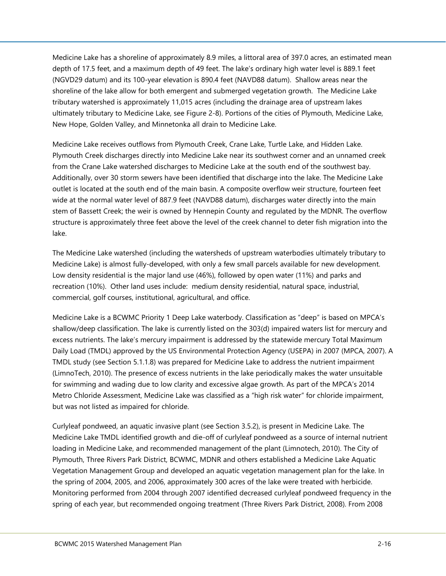Medicine Lake has a shoreline of approximately 8.9 miles, a littoral area of 397.0 acres, an estimated mean depth of 17.5 feet, and a maximum depth of 49 feet. The lake's ordinary high water level is 889.1 feet (NGVD29 datum) and its 100-year elevation is 890.4 feet (NAVD88 datum). Shallow areas near the shoreline of the lake allow for both emergent and submerged vegetation growth. The Medicine Lake tributary watershed is approximately 11,015 acres (including the drainage area of upstream lakes ultimately tributary to Medicine Lake, see [Figure 2-8\)](#page--1-7). Portions of the cities of Plymouth, Medicine Lake, New Hope, Golden Valley, and Minnetonka all drain to Medicine Lake.

Medicine Lake receives outflows from Plymouth Creek, Crane Lake, Turtle Lake, and Hidden Lake. Plymouth Creek discharges directly into Medicine Lake near its southwest corner and an unnamed creek from the Crane Lake watershed discharges to Medicine Lake at the south end of the southwest bay. Additionally, over 30 storm sewers have been identified that discharge into the lake. The Medicine Lake outlet is located at the south end of the main basin. A composite overflow weir structure, fourteen feet wide at the normal water level of 887.9 feet (NAVD88 datum), discharges water directly into the main stem of Bassett Creek; the weir is owned by Hennepin County and regulated by the MDNR. The overflow structure is approximately three feet above the level of the creek channel to deter fish migration into the lake.

The Medicine Lake watershed (including the watersheds of upstream waterbodies ultimately tributary to Medicine Lake) is almost fully-developed, with only a few small parcels available for new development. Low density residential is the major land use (46%), followed by open water (11%) and parks and recreation (10%). Other land uses include: medium density residential, natural space, industrial, commercial, golf courses, institutional, agricultural, and office.

Medicine Lake is a BCWMC Priority 1 Deep Lake waterbody. Classification as "deep" is based on MPCA's shallow/deep classification. The lake is currently listed on the 303(d) impaired waters list for mercury and excess nutrients. The lake's mercury impairment is addressed by the statewide mercury Total Maximum Daily Load (TMDL) approved by the US Environmental Protection Agency (USEPA) in 2007 (MPCA, 2007). A TMDL study (see Section 5.1.1.8) was prepared for Medicine Lake to address the nutrient impairment (LimnoTech, 2010). The presence of excess nutrients in the lake periodically makes the water unsuitable for swimming and wading due to low clarity and excessive algae growth. As part of the MPCA's 2014 Metro Chloride Assessment, Medicine Lake was classified as a "high risk water" for chloride impairment, but was not listed as impaired for chloride.

Curlyleaf pondweed, an aquatic invasive plant (see Section 3.5.2), is present in Medicine Lake. The Medicine Lake TMDL identified growth and die-off of curlyleaf pondweed as a source of internal nutrient loading in Medicine Lake, and recommended management of the plant (Limnotech, 2010). The City of Plymouth, Three Rivers Park District, BCWMC, MDNR and others established a Medicine Lake Aquatic Vegetation Management Group and developed an aquatic vegetation management plan for the lake. In the spring of 2004, 2005, and 2006, approximately 300 acres of the lake were treated with herbicide. Monitoring performed from 2004 through 2007 identified decreased curlyleaf pondweed frequency in the spring of each year, but recommended ongoing treatment (Three Rivers Park District, 2008). From 2008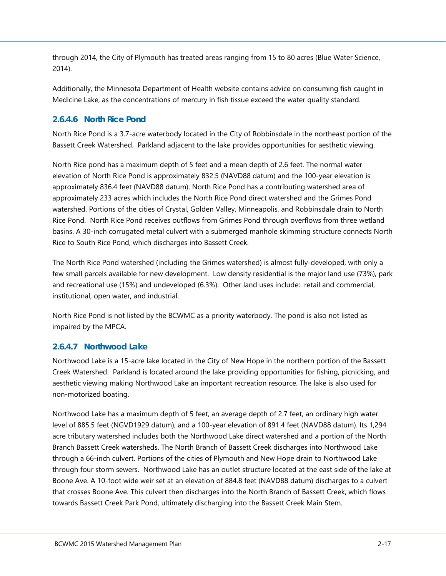through 2014, the City of Plymouth has treated areas ranging from 15 to 80 acres (Blue Water Science, 2014).

Additionally, the Minnesota Department of Health website contains advice on consuming fish caught in Medicine Lake, as the concentrations of mercury in fish tissue exceed the water quality standard.

### <span id="page-20-0"></span>**2.6.4.6 North Rice Pond**

North Rice Pond is a 3.7-acre waterbody located in the City of Robbinsdale in the northeast portion of the Bassett Creek Watershed. Parkland adjacent to the lake provides opportunities for aesthetic viewing.

North Rice pond has a maximum depth of 5 feet and a mean depth of 2.6 feet. The normal water elevation of North Rice Pond is approximately 832.5 (NAVD88 datum) and the 100-year elevation is approximately 836.4 feet (NAVD88 datum). North Rice Pond has a contributing watershed area of approximately 233 acres which includes the North Rice Pond direct watershed and the Grimes Pond watershed. Portions of the cities of Crystal, Golden Valley, Minneapolis, and Robbinsdale drain to North Rice Pond. North Rice Pond receives outflows from Grimes Pond through overflows from three wetland basins. A 30-inch corrugated metal culvert with a submerged manhole skimming structure connects North Rice to South Rice Pond, which discharges into Bassett Creek.

The North Rice Pond watershed (including the Grimes watershed) is almost fully-developed, with only a few small parcels available for new development. Low density residential is the major land use (73%), park and recreational use (15%) and undeveloped (6.3%). Other land uses include: retail and commercial, institutional, open water, and industrial.

North Rice Pond is not listed by the BCWMC as a priority waterbody. The pond is also not listed as impaired by the MPCA.

#### <span id="page-20-1"></span>**2.6.4.7 Northwood Lake**

Northwood Lake is a 15-acre lake located in the City of New Hope in the northern portion of the Bassett Creek Watershed. Parkland is located around the lake providing opportunities for fishing, picnicking, and aesthetic viewing making Northwood Lake an important recreation resource. The lake is also used for non-motorized boating.

Northwood Lake has a maximum depth of 5 feet, an average depth of 2.7 feet, an ordinary high water level of 885.5 feet (NGVD1929 datum), and a 100-year elevation of 891.4 feet (NAVD88 datum). Its 1,294 acre tributary watershed includes both the Northwood Lake direct watershed and a portion of the North Branch Bassett Creek watersheds. The North Branch of Bassett Creek discharges into Northwood Lake through a 66-inch culvert. Portions of the cities of Plymouth and New Hope drain to Northwood Lake through four storm sewers. Northwood Lake has an outlet structure located at the east side of the lake at Boone Ave. A 10-foot wide weir set at an elevation of 884.8 feet (NAVD88 datum) discharges to a culvert that crosses Boone Ave. This culvert then discharges into the North Branch of Bassett Creek, which flows towards Bassett Creek Park Pond, ultimately discharging into the Bassett Creek Main Stem.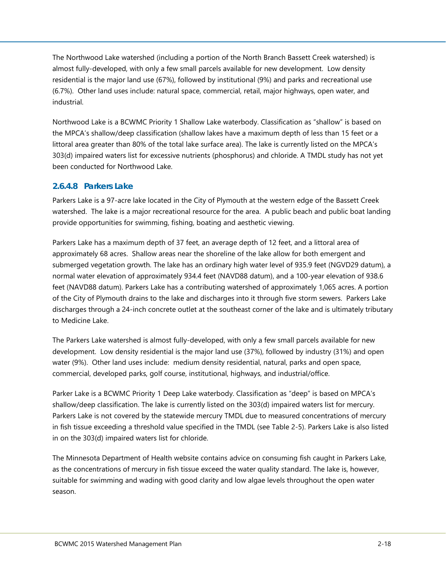The Northwood Lake watershed (including a portion of the North Branch Bassett Creek watershed) is almost fully-developed, with only a few small parcels available for new development. Low density residential is the major land use (67%), followed by institutional (9%) and parks and recreational use (6.7%). Other land uses include: natural space, commercial, retail, major highways, open water, and industrial.

Northwood Lake is a BCWMC Priority 1 Shallow Lake waterbody. Classification as "shallow" is based on the MPCA's shallow/deep classification (shallow lakes have a maximum depth of less than 15 feet or a littoral area greater than 80% of the total lake surface area). The lake is currently listed on the MPCA's 303(d) impaired waters list for excessive nutrients (phosphorus) and chloride. A TMDL study has not yet been conducted for Northwood Lake.

#### <span id="page-21-0"></span>**2.6.4.8 Parkers Lake**

Parkers Lake is a 97-acre lake located in the City of Plymouth at the western edge of the Bassett Creek watershed. The lake is a major recreational resource for the area. A public beach and public boat landing provide opportunities for swimming, fishing, boating and aesthetic viewing.

Parkers Lake has a maximum depth of 37 feet, an average depth of 12 feet, and a littoral area of approximately 68 acres. Shallow areas near the shoreline of the lake allow for both emergent and submerged vegetation growth. The lake has an ordinary high water level of 935.9 feet (NGVD29 datum), a normal water elevation of approximately 934.4 feet (NAVD88 datum), and a 100-year elevation of 938.6 feet (NAVD88 datum). Parkers Lake has a contributing watershed of approximately 1,065 acres. A portion of the City of Plymouth drains to the lake and discharges into it through five storm sewers. Parkers Lake discharges through a 24-inch concrete outlet at the southeast corner of the lake and is ultimately tributary to Medicine Lake.

The Parkers Lake watershed is almost fully-developed, with only a few small parcels available for new development. Low density residential is the major land use (37%), followed by industry (31%) and open water (9%). Other land uses include: medium density residential, natural, parks and open space, commercial, developed parks, golf course, institutional, highways, and industrial/office.

Parker Lake is a BCWMC Priority 1 Deep Lake waterbody. Classification as "deep" is based on MPCA's shallow/deep classification. The lake is currently listed on the 303(d) impaired waters list for mercury. Parkers Lake is not covered by the statewide mercury TMDL due to measured concentrations of mercury in fish tissue exceeding a threshold value specified in the TMDL (see [Table 2-5\)](#page-36-1). Parkers Lake is also listed in on the 303(d) impaired waters list for chloride.

The Minnesota Department of Health website contains advice on consuming fish caught in Parkers Lake, as the concentrations of mercury in fish tissue exceed the water quality standard. The lake is, however, suitable for swimming and wading with good clarity and low algae levels throughout the open water season.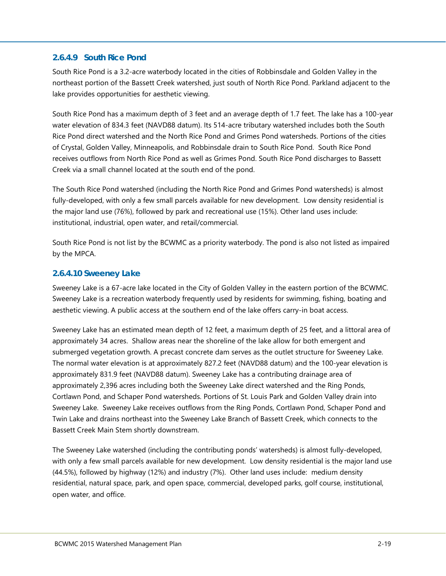#### <span id="page-22-0"></span>**2.6.4.9 South Rice Pond**

South Rice Pond is a 3.2-acre waterbody located in the cities of Robbinsdale and Golden Valley in the northeast portion of the Bassett Creek watershed, just south of North Rice Pond. Parkland adjacent to the lake provides opportunities for aesthetic viewing.

South Rice Pond has a maximum depth of 3 feet and an average depth of 1.7 feet. The lake has a 100-year water elevation of 834.3 feet (NAVD88 datum). Its 514-acre tributary watershed includes both the South Rice Pond direct watershed and the North Rice Pond and Grimes Pond watersheds. Portions of the cities of Crystal, Golden Valley, Minneapolis, and Robbinsdale drain to South Rice Pond. South Rice Pond receives outflows from North Rice Pond as well as Grimes Pond. South Rice Pond discharges to Bassett Creek via a small channel located at the south end of the pond.

The South Rice Pond watershed (including the North Rice Pond and Grimes Pond watersheds) is almost fully-developed, with only a few small parcels available for new development. Low density residential is the major land use (76%), followed by park and recreational use (15%). Other land uses include: institutional, industrial, open water, and retail/commercial.

South Rice Pond is not list by the BCWMC as a priority waterbody. The pond is also not listed as impaired by the MPCA.

#### <span id="page-22-1"></span>**2.6.4.10 Sweeney Lake**

Sweeney Lake is a 67-acre lake located in the City of Golden Valley in the eastern portion of the BCWMC. Sweeney Lake is a recreation waterbody frequently used by residents for swimming, fishing, boating and aesthetic viewing. A public access at the southern end of the lake offers carry-in boat access.

Sweeney Lake has an estimated mean depth of 12 feet, a maximum depth of 25 feet, and a littoral area of approximately 34 acres. Shallow areas near the shoreline of the lake allow for both emergent and submerged vegetation growth. A precast concrete dam serves as the outlet structure for Sweeney Lake. The normal water elevation is at approximately 827.2 feet (NAVD88 datum) and the 100-year elevation is approximately 831.9 feet (NAVD88 datum). Sweeney Lake has a contributing drainage area of approximately 2,396 acres including both the Sweeney Lake direct watershed and the Ring Ponds, Cortlawn Pond, and Schaper Pond watersheds. Portions of St. Louis Park and Golden Valley drain into Sweeney Lake. Sweeney Lake receives outflows from the Ring Ponds, Cortlawn Pond, Schaper Pond and Twin Lake and drains northeast into the Sweeney Lake Branch of Bassett Creek, which connects to the Bassett Creek Main Stem shortly downstream.

The Sweeney Lake watershed (including the contributing ponds' watersheds) is almost fully-developed, with only a few small parcels available for new development. Low density residential is the major land use (44.5%), followed by highway (12%) and industry (7%). Other land uses include: medium density residential, natural space, park, and open space, commercial, developed parks, golf course, institutional, open water, and office.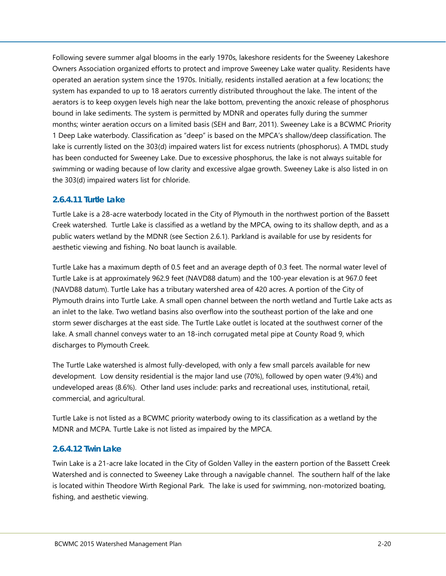Following severe summer algal blooms in the early 1970s, lakeshore residents for the Sweeney Lakeshore Owners Association organized efforts to protect and improve Sweeney Lake water quality. Residents have operated an aeration system since the 1970s. Initially, residents installed aeration at a few locations; the system has expanded to up to 18 aerators currently distributed throughout the lake. The intent of the aerators is to keep oxygen levels high near the lake bottom, preventing the anoxic release of phosphorus bound in lake sediments. The system is permitted by MDNR and operates fully during the summer months; winter aeration occurs on a limited basis (SEH and Barr, 2011). Sweeney Lake is a BCWMC Priority 1 Deep Lake waterbody. Classification as "deep" is based on the MPCA's shallow/deep classification. The lake is currently listed on the 303(d) impaired waters list for excess nutrients (phosphorus). A TMDL study has been conducted for Sweeney Lake. Due to excessive phosphorus, the lake is not always suitable for swimming or wading because of low clarity and excessive algae growth. Sweeney Lake is also listed in on the 303(d) impaired waters list for chloride.

#### <span id="page-23-0"></span>**2.6.4.11 Turtle Lake**

Turtle Lake is a 28-acre waterbody located in the City of Plymouth in the northwest portion of the Bassett Creek watershed. Turtle Lake is classified as a wetland by the MPCA, owing to its shallow depth, and as a public waters wetland by the MDNR (see Section [2.6.1\)](#page-14-0). Parkland is available for use by residents for aesthetic viewing and fishing. No boat launch is available.

Turtle Lake has a maximum depth of 0.5 feet and an average depth of 0.3 feet. The normal water level of Turtle Lake is at approximately 962.9 feet (NAVD88 datum) and the 100-year elevation is at 967.0 feet (NAVD88 datum). Turtle Lake has a tributary watershed area of 420 acres. A portion of the City of Plymouth drains into Turtle Lake. A small open channel between the north wetland and Turtle Lake acts as an inlet to the lake. Two wetland basins also overflow into the southeast portion of the lake and one storm sewer discharges at the east side. The Turtle Lake outlet is located at the southwest corner of the lake. A small channel conveys water to an 18-inch corrugated metal pipe at County Road 9, which discharges to Plymouth Creek.

The Turtle Lake watershed is almost fully-developed, with only a few small parcels available for new development. Low density residential is the major land use (70%), followed by open water (9.4%) and undeveloped areas (8.6%). Other land uses include: parks and recreational uses, institutional, retail, commercial, and agricultural.

Turtle Lake is not listed as a BCWMC priority waterbody owing to its classification as a wetland by the MDNR and MCPA. Turtle Lake is not listed as impaired by the MPCA.

#### <span id="page-23-1"></span>**2.6.4.12 Twin Lake**

Twin Lake is a 21-acre lake located in the City of Golden Valley in the eastern portion of the Bassett Creek Watershed and is connected to Sweeney Lake through a navigable channel. The southern half of the lake is located within Theodore Wirth Regional Park. The lake is used for swimming, non-motorized boating, fishing, and aesthetic viewing.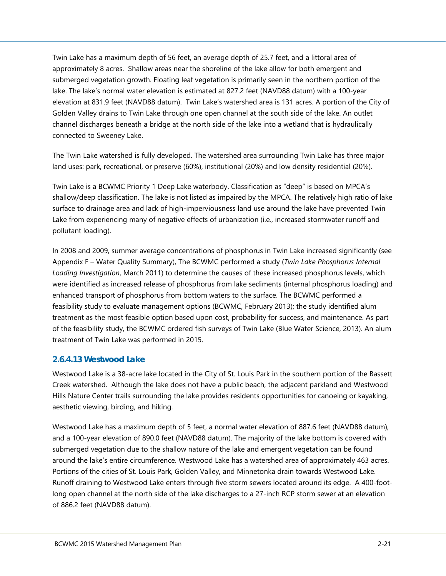Twin Lake has a maximum depth of 56 feet, an average depth of 25.7 feet, and a littoral area of approximately 8 acres. Shallow areas near the shoreline of the lake allow for both emergent and submerged vegetation growth. Floating leaf vegetation is primarily seen in the northern portion of the lake. The lake's normal water elevation is estimated at 827.2 feet (NAVD88 datum) with a 100-year elevation at 831.9 feet (NAVD88 datum). Twin Lake's watershed area is 131 acres. A portion of the City of Golden Valley drains to Twin Lake through one open channel at the south side of the lake. An outlet channel discharges beneath a bridge at the north side of the lake into a wetland that is hydraulically connected to Sweeney Lake.

The Twin Lake watershed is fully developed. The watershed area surrounding Twin Lake has three major land uses: park, recreational, or preserve (60%), institutional (20%) and low density residential (20%).

Twin Lake is a BCWMC Priority 1 Deep Lake waterbody. Classification as "deep" is based on MPCA's shallow/deep classification. The lake is not listed as impaired by the MPCA. The relatively high ratio of lake surface to drainage area and lack of high-imperviousness land use around the lake have prevented Twin Lake from experiencing many of negative effects of urbanization (i.e., increased stormwater runoff and pollutant loading).

In 2008 and 2009, summer average concentrations of phosphorus in Twin Lake increased significantly (see Appendix F – Water Quality Summary), The BCWMC performed a study (*Twin Lake Phosphorus Internal Loading Investigation*, March 2011) to determine the causes of these increased phosphorus levels, which were identified as increased release of phosphorus from lake sediments (internal phosphorus loading) and enhanced transport of phosphorus from bottom waters to the surface. The BCWMC performed a feasibility study to evaluate management options (BCWMC, February 2013); the study identified alum treatment as the most feasible option based upon cost, probability for success, and maintenance. As part of the feasibility study, the BCWMC ordered fish surveys of Twin Lake (Blue Water Science, 2013). An alum treatment of Twin Lake was performed in 2015.

#### <span id="page-24-0"></span>**2.6.4.13 Westwood Lake**

Westwood Lake is a 38-acre lake located in the City of St. Louis Park in the southern portion of the Bassett Creek watershed. Although the lake does not have a public beach, the adjacent parkland and Westwood Hills Nature Center trails surrounding the lake provides residents opportunities for canoeing or kayaking, aesthetic viewing, birding, and hiking.

Westwood Lake has a maximum depth of 5 feet, a normal water elevation of 887.6 feet (NAVD88 datum), and a 100-year elevation of 890.0 feet (NAVD88 datum). The majority of the lake bottom is covered with submerged vegetation due to the shallow nature of the lake and emergent vegetation can be found around the lake's entire circumference. Westwood Lake has a watershed area of approximately 463 acres. Portions of the cities of St. Louis Park, Golden Valley, and Minnetonka drain towards Westwood Lake. Runoff draining to Westwood Lake enters through five storm sewers located around its edge. A 400-footlong open channel at the north side of the lake discharges to a 27-inch RCP storm sewer at an elevation of 886.2 feet (NAVD88 datum).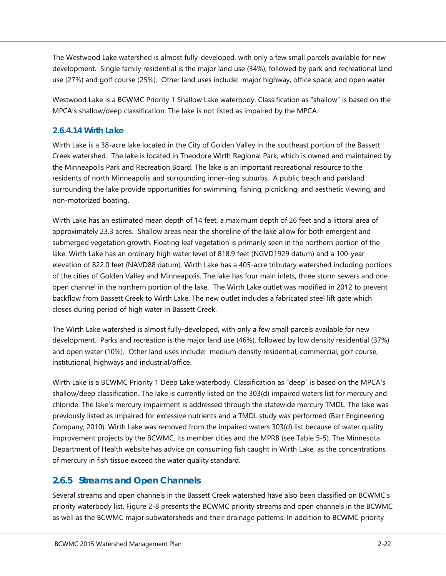The Westwood Lake watershed is almost fully-developed, with only a few small parcels available for new development. Single family residential is the major land use (34%), followed by park and recreational land use (27%) and golf course (25%). Other land uses include: major highway, office space, and open water.

Westwood Lake is a BCWMC Priority 1 Shallow Lake waterbody. Classification as "shallow" is based on the MPCA's shallow/deep classification. The lake is not listed as impaired by the MPCA.

#### <span id="page-25-0"></span>**2.6.4.14 Wirth Lake**

Wirth Lake is a 38-acre lake located in the City of Golden Valley in the southeast portion of the Bassett Creek watershed. The lake is located in Theodore Wirth Regional Park, which is owned and maintained by the Minneapolis Park and Recreation Board. The lake is an important recreational resource to the residents of north Minneapolis and surrounding inner-ring suburbs. A public beach and parkland surrounding the lake provide opportunities for swimming, fishing, picnicking, and aesthetic viewing, and non-motorized boating.

Wirth Lake has an estimated mean depth of 14 feet, a maximum depth of 26 feet and a littoral area of approximately 23.3 acres. Shallow areas near the shoreline of the lake allow for both emergent and submerged vegetation growth. Floating leaf vegetation is primarily seen in the northern portion of the lake. Wirth Lake has an ordinary high water level of 818.9 feet (NGVD1929 datum) and a 100-year elevation of 822.0 feet (NAVD88 datum). Wirth Lake has a 405-acre tributary watershed including portions of the cities of Golden Valley and Minneapolis. The lake has four main inlets, three storm sewers and one open channel in the northern portion of the lake. The Wirth Lake outlet was modified in 2012 to prevent backflow from Bassett Creek to Wirth Lake. The new outlet includes a fabricated steel lift gate which closes during period of high water in Bassett Creek.

The Wirth Lake watershed is almost fully-developed, with only a few small parcels available for new development. Parks and recreation is the major land use (46%), followed by low density residential (37%) and open water (10%). Other land uses include: medium density residential, commercial, golf course, institutional, highways and industrial/office.

Wirth Lake is a BCWMC Priority 1 Deep Lake waterbody. Classification as "deep" is based on the MPCA's shallow/deep classification. The lake is currently listed on the 303(d) impaired waters list for mercury and chloride. The lake's mercury impairment is addressed through the statewide mercury TMDL. The lake was previously listed as impaired for excessive nutrients and a TMDL study was performed (Barr Engineering Company, 2010). Wirth Lake was removed from the impaired waters 303(d) list because of water quality improvement projects by the BCWMC, its member cities and the MPRB (see Table 5-5). The Minnesota Department of Health website has advice on consuming fish caught in Wirth Lake, as the concentrations of mercury in fish tissue exceed the water quality standard.

#### <span id="page-25-1"></span>**2.6.5 Streams and Open Channels**

Several streams and open channels in the Bassett Creek watershed have also been classified on BCWMC's priority waterbody list. [Figure 2-8](#page--1-7) presents the BCWMC priority streams and open channels in the BCWMC as well as the BCWMC major subwatersheds and their drainage patterns. In addition to BCWMC priority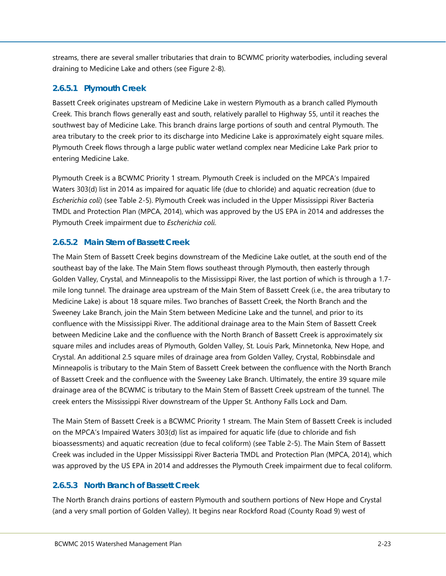streams, there are several smaller tributaries that drain to BCWMC priority waterbodies, including several draining to Medicine Lake and others (see [Figure 2-8\)](#page--1-7).

### <span id="page-26-0"></span>**2.6.5.1 Plymouth Creek**

Bassett Creek originates upstream of Medicine Lake in western Plymouth as a branch called Plymouth Creek. This branch flows generally east and south, relatively parallel to Highway 55, until it reaches the southwest bay of Medicine Lake. This branch drains large portions of south and central Plymouth. The area tributary to the creek prior to its discharge into Medicine Lake is approximately eight square miles. Plymouth Creek flows through a large public water wetland complex near Medicine Lake Park prior to entering Medicine Lake.

Plymouth Creek is a BCWMC Priority 1 stream. Plymouth Creek is included on the MPCA's Impaired Waters 303(d) list in 2014 as impaired for aquatic life (due to chloride) and aquatic recreation (due to *Escherichia coli*) (see [Table 2-5\)](#page-36-1). Plymouth Creek was included in the Upper Mississippi River Bacteria TMDL and Protection Plan (MPCA, 2014), which was approved by the US EPA in 2014 and addresses the Plymouth Creek impairment due to *Escherichia coli*.

### <span id="page-26-1"></span>**2.6.5.2 Main Stem of Bassett Creek**

The Main Stem of Bassett Creek begins downstream of the Medicine Lake outlet, at the south end of the southeast bay of the lake. The Main Stem flows southeast through Plymouth, then easterly through Golden Valley, Crystal, and Minneapolis to the Mississippi River, the last portion of which is through a 1.7 mile long tunnel. The drainage area upstream of the Main Stem of Bassett Creek (i.e., the area tributary to Medicine Lake) is about 18 square miles. Two branches of Bassett Creek, the North Branch and the Sweeney Lake Branch, join the Main Stem between Medicine Lake and the tunnel, and prior to its confluence with the Mississippi River. The additional drainage area to the Main Stem of Bassett Creek between Medicine Lake and the confluence with the North Branch of Bassett Creek is approximately six square miles and includes areas of Plymouth, Golden Valley, St. Louis Park, Minnetonka, New Hope, and Crystal. An additional 2.5 square miles of drainage area from Golden Valley, Crystal, Robbinsdale and Minneapolis is tributary to the Main Stem of Bassett Creek between the confluence with the North Branch of Bassett Creek and the confluence with the Sweeney Lake Branch. Ultimately, the entire 39 square mile drainage area of the BCWMC is tributary to the Main Stem of Bassett Creek upstream of the tunnel. The creek enters the Mississippi River downstream of the Upper St. Anthony Falls Lock and Dam.

The Main Stem of Bassett Creek is a BCWMC Priority 1 stream. The Main Stem of Bassett Creek is included on the MPCA's Impaired Waters 303(d) list as impaired for aquatic life (due to chloride and fish bioassessments) and aquatic recreation (due to fecal coliform) (see [Table 2-5\)](#page-36-1). The Main Stem of Bassett Creek was included in the Upper Mississippi River Bacteria TMDL and Protection Plan (MPCA, 2014), which was approved by the US EPA in 2014 and addresses the Plymouth Creek impairment due to fecal coliform.

#### <span id="page-26-2"></span>**2.6.5.3 North Branch of Bassett Creek**

The North Branch drains portions of eastern Plymouth and southern portions of New Hope and Crystal (and a very small portion of Golden Valley). It begins near Rockford Road (County Road 9) west of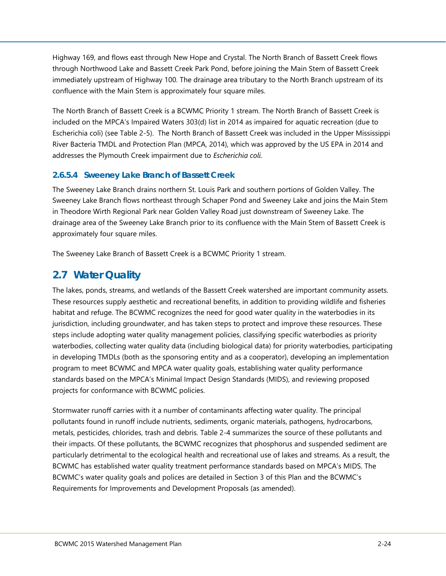Highway 169, and flows east through New Hope and Crystal. The North Branch of Bassett Creek flows through Northwood Lake and Bassett Creek Park Pond, before joining the Main Stem of Bassett Creek immediately upstream of Highway 100. The drainage area tributary to the North Branch upstream of its confluence with the Main Stem is approximately four square miles.

The North Branch of Bassett Creek is a BCWMC Priority 1 stream. The North Branch of Bassett Creek is included on the MPCA's Impaired Waters 303(d) list in 2014 as impaired for aquatic recreation (due to Escherichia coli) (see [Table 2-5\)](#page-36-1). The North Branch of Bassett Creek was included in the Upper Mississippi River Bacteria TMDL and Protection Plan (MPCA, 2014), which was approved by the US EPA in 2014 and addresses the Plymouth Creek impairment due to *Escherichia coli*.

#### <span id="page-27-0"></span>**2.6.5.4 Sweeney Lake Branch of Bassett Creek**

The Sweeney Lake Branch drains northern St. Louis Park and southern portions of Golden Valley. The Sweeney Lake Branch flows northeast through Schaper Pond and Sweeney Lake and joins the Main Stem in Theodore Wirth Regional Park near Golden Valley Road just downstream of Sweeney Lake. The drainage area of the Sweeney Lake Branch prior to its confluence with the Main Stem of Bassett Creek is approximately four square miles.

The Sweeney Lake Branch of Bassett Creek is a BCWMC Priority 1 stream.

## <span id="page-27-1"></span>**2.7 Water Quality**

The lakes, ponds, streams, and wetlands of the Bassett Creek watershed are important community assets. These resources supply aesthetic and recreational benefits, in addition to providing wildlife and fisheries habitat and refuge. The BCWMC recognizes the need for good water quality in the waterbodies in its jurisdiction, including groundwater, and has taken steps to protect and improve these resources. These steps include adopting water quality management policies, classifying specific waterbodies as priority waterbodies, collecting water quality data (including biological data) for priority waterbodies, participating in developing TMDLs (both as the sponsoring entity and as a cooperator), developing an implementation program to meet BCWMC and MPCA water quality goals, establishing water quality performance standards based on the MPCA's Minimal Impact Design Standards (MIDS), and reviewing proposed projects for conformance with BCWMC policies.

Stormwater runoff carries with it a number of contaminants affecting water quality. The principal pollutants found in runoff include nutrients, sediments, organic materials, pathogens, hydrocarbons, metals, pesticides, chlorides, trash and debris. [Table 2-4](#page-28-1) summarizes the source of these pollutants and their impacts. Of these pollutants, the BCWMC recognizes that phosphorus and suspended sediment are particularly detrimental to the ecological health and recreational use of lakes and streams. As a result, the BCWMC has established water quality treatment performance standards based on MPCA's MIDS. The BCWMC's water quality goals and polices are detailed in Section 3 of this Plan and the BCWMC's Requirements for Improvements and Development Proposals (as amended).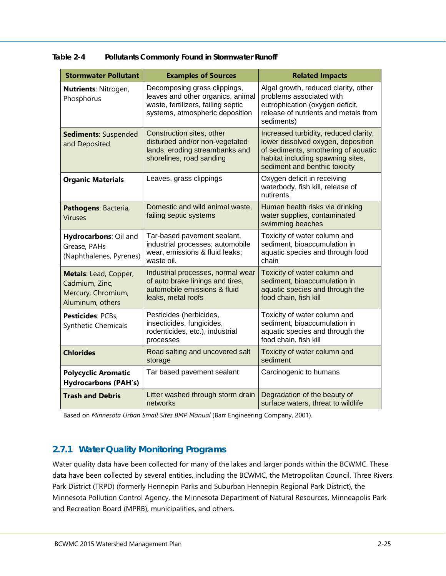| <b>Stormwater Pollutant</b>                                                       | <b>Examples of Sources</b>                                                                                                                 | <b>Related Impacts</b>                                                                                                                                                                   |
|-----------------------------------------------------------------------------------|--------------------------------------------------------------------------------------------------------------------------------------------|------------------------------------------------------------------------------------------------------------------------------------------------------------------------------------------|
| Nutrients: Nitrogen,<br>Phosphorus                                                | Decomposing grass clippings,<br>leaves and other organics, animal<br>waste, fertilizers, failing septic<br>systems, atmospheric deposition | Algal growth, reduced clarity, other<br>problems associated with<br>eutrophication (oxygen deficit,<br>release of nutrients and metals from<br>sediments)                                |
| Sediments: Suspended<br>and Deposited                                             | Construction sites, other<br>disturbed and/or non-vegetated<br>lands, eroding streambanks and<br>shorelines, road sanding                  | Increased turbidity, reduced clarity,<br>lower dissolved oxygen, deposition<br>of sediments, smothering of aquatic<br>habitat including spawning sites,<br>sediment and benthic toxicity |
| <b>Organic Materials</b>                                                          | Leaves, grass clippings                                                                                                                    | Oxygen deficit in receiving<br>waterbody, fish kill, release of<br>nutirents.                                                                                                            |
| Pathogens: Bacteria,<br><b>Viruses</b>                                            | Domestic and wild animal waste,<br>failing septic systems                                                                                  | Human health risks via drinking<br>water supplies, contaminated<br>swimming beaches                                                                                                      |
| Hydrocarbons: Oil and<br>Grease, PAHs<br>(Naphthalenes, Pyrenes)                  | Tar-based pavement sealant,<br>industrial processes; automobile<br>wear, emissions & fluid leaks;<br>waste oil.                            | Toxicity of water column and<br>sediment, bioaccumulation in<br>aquatic species and through food<br>chain                                                                                |
| Metals: Lead, Copper,<br>Cadmium, Zinc,<br>Mercury, Chromium,<br>Aluminum, others | Industrial processes, normal wear<br>of auto brake linings and tires,<br>automobile emissions & fluid<br>leaks, metal roofs                | Toxicity of water column and<br>sediment, bioaccumulation in<br>aquatic species and through the<br>food chain, fish kill                                                                 |
| Pesticides: PCBs,<br>Synthetic Chemicals                                          | Pesticides (herbicides,<br>insecticides, fungicides,<br>rodenticides, etc.), industrial<br>processes                                       | Toxicity of water column and<br>sediment, bioaccumulation in<br>aquatic species and through the<br>food chain, fish kill                                                                 |
| <b>Chlorides</b>                                                                  | Road salting and uncovered salt<br>storage                                                                                                 | Toxicity of water column and<br>sediment                                                                                                                                                 |
| <b>Polycyclic Aromatic</b><br><b>Hydrocarbons (PAH's)</b>                         | Tar based pavement sealant                                                                                                                 | Carcinogenic to humans                                                                                                                                                                   |
| <b>Trash and Debris</b>                                                           | Litter washed through storm drain<br>networks                                                                                              | Degradation of the beauty of<br>surface waters, threat to wildlife                                                                                                                       |

<span id="page-28-1"></span>**Table 2-4 Pollutants Commonly Found in Stormwater Runoff**

Based on *Minnesota Urban Small Sites BMP Manual* (Barr Engineering Company, 2001).

## <span id="page-28-0"></span>**2.7.1 Water Quality Monitoring Programs**

Water quality data have been collected for many of the lakes and larger ponds within the BCWMC. These data have been collected by several entities, including the BCWMC, the Metropolitan Council, Three Rivers Park District (TRPD) (formerly Hennepin Parks and Suburban Hennepin Regional Park District), the Minnesota Pollution Control Agency, the Minnesota Department of Natural Resources, Minneapolis Park and Recreation Board (MPRB), municipalities, and others.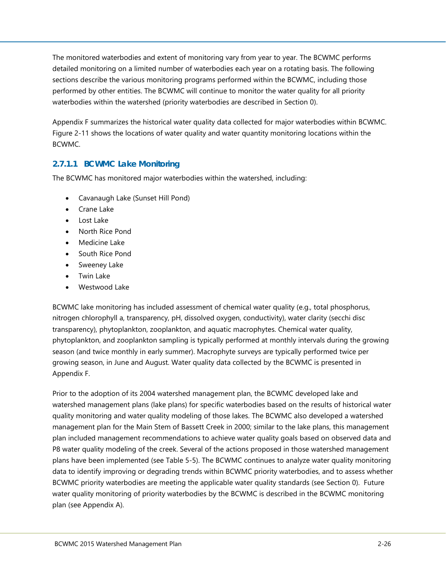The monitored waterbodies and extent of monitoring vary from year to year. The BCWMC performs detailed monitoring on a limited number of waterbodies each year on a rotating basis. The following sections describe the various monitoring programs performed within the BCWMC, including those performed by other entities. The BCWMC will continue to monitor the water quality for all priority waterbodies within the watershed (priority waterbodies are described in Section [0\)](#page-36-0).

Appendix F summarizes the historical water quality data collected for major waterbodies within BCWMC. [Figure 2-11](#page--1-10) shows the locations of water quality and water quantity monitoring locations within the BCWMC.

### <span id="page-29-0"></span>**2.7.1.1 BCWMC Lake Monitoring**

The BCWMC has monitored major waterbodies within the watershed, including:

- Cavanaugh Lake (Sunset Hill Pond)
- Crane Lake
- Lost Lake
- North Rice Pond
- Medicine Lake
- South Rice Pond
- Sweeney Lake
- Twin Lake
- Westwood Lake

BCWMC lake monitoring has included assessment of chemical water quality (e.g., total phosphorus, nitrogen chlorophyll a, transparency, pH, dissolved oxygen, conductivity), water clarity (secchi disc transparency), phytoplankton, zooplankton, and aquatic macrophytes. Chemical water quality, phytoplankton, and zooplankton sampling is typically performed at monthly intervals during the growing season (and twice monthly in early summer). Macrophyte surveys are typically performed twice per growing season, in June and August. Water quality data collected by the BCWMC is presented in Appendix F.

Prior to the adoption of its 2004 watershed management plan, the BCWMC developed lake and watershed management plans (lake plans) for specific waterbodies based on the results of historical water quality monitoring and water quality modeling of those lakes. The BCWMC also developed a watershed management plan for the Main Stem of Bassett Creek in 2000; similar to the lake plans, this management plan included management recommendations to achieve water quality goals based on observed data and P8 water quality modeling of the creek. Several of the actions proposed in those watershed management plans have been implemented (see Table 5-5). The BCWMC continues to analyze water quality monitoring data to identify improving or degrading trends within BCWMC priority waterbodies, and to assess whether BCWMC priority waterbodies are meeting the applicable water quality standards (see Section [0\)](#page-36-0). Future water quality monitoring of priority waterbodies by the BCWMC is described in the BCWMC monitoring plan (see Appendix A).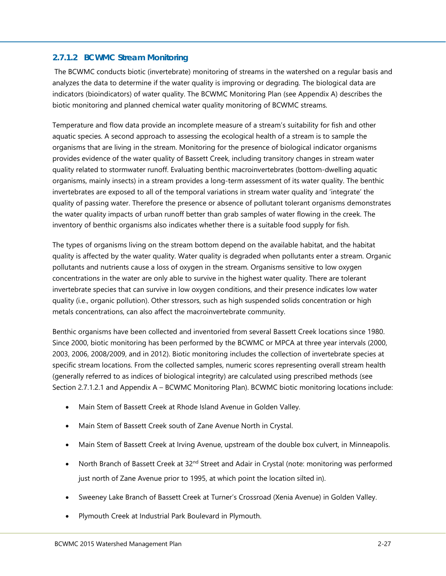#### <span id="page-30-0"></span>**2.7.1.2 BCWMC Stream Monitoring**

The BCWMC conducts biotic (invertebrate) monitoring of streams in the watershed on a regular basis and analyzes the data to determine if the water quality is improving or degrading. The biological data are indicators (bioindicators) of water quality. The BCWMC Monitoring Plan (see Appendix A) describes the biotic monitoring and planned chemical water quality monitoring of BCWMC streams.

Temperature and flow data provide an incomplete measure of a stream's suitability for fish and other aquatic species. A second approach to assessing the ecological health of a stream is to sample the organisms that are living in the stream. Monitoring for the presence of biological indicator organisms provides evidence of the water quality of Bassett Creek, including transitory changes in stream water quality related to stormwater runoff. Evaluating benthic macroinvertebrates (bottom-dwelling aquatic organisms, mainly insects) in a stream provides a long-term assessment of its water quality. The benthic invertebrates are exposed to all of the temporal variations in stream water quality and 'integrate' the quality of passing water. Therefore the presence or absence of pollutant tolerant organisms demonstrates the water quality impacts of urban runoff better than grab samples of water flowing in the creek. The inventory of benthic organisms also indicates whether there is a suitable food supply for fish.

The types of organisms living on the stream bottom depend on the available habitat, and the habitat quality is affected by the water quality. Water quality is degraded when pollutants enter a stream. Organic pollutants and nutrients cause a loss of oxygen in the stream. Organisms sensitive to low oxygen concentrations in the water are only able to survive in the highest water quality. There are tolerant invertebrate species that can survive in low oxygen conditions, and their presence indicates low water quality (i.e., organic pollution). Other stressors, such as high suspended solids concentration or high metals concentrations, can also affect the macroinvertebrate community.

Benthic organisms have been collected and inventoried from several Bassett Creek locations since 1980. Since 2000, biotic monitoring has been performed by the BCWMC or MPCA at three year intervals (2000, 2003, 2006, 2008/2009, and in 2012). Biotic monitoring includes the collection of invertebrate species at specific stream locations. From the collected samples, numeric scores representing overall stream health (generally referred to as indices of biological integrity) are calculated using prescribed methods (see Section [2.7.1.2.1](#page-31-0) and Appendix A – BCWMC Monitoring Plan). BCWMC biotic monitoring locations include:

- Main Stem of Bassett Creek at Rhode Island Avenue in Golden Valley.
- Main Stem of Bassett Creek south of Zane Avenue North in Crystal.
- Main Stem of Bassett Creek at Irving Avenue, upstream of the double box culvert, in Minneapolis.
- North Branch of Bassett Creek at 32<sup>nd</sup> Street and Adair in Crystal (note: monitoring was performed just north of Zane Avenue prior to 1995, at which point the location silted in).
- Sweeney Lake Branch of Bassett Creek at Turner's Crossroad (Xenia Avenue) in Golden Valley.
- Plymouth Creek at Industrial Park Boulevard in Plymouth.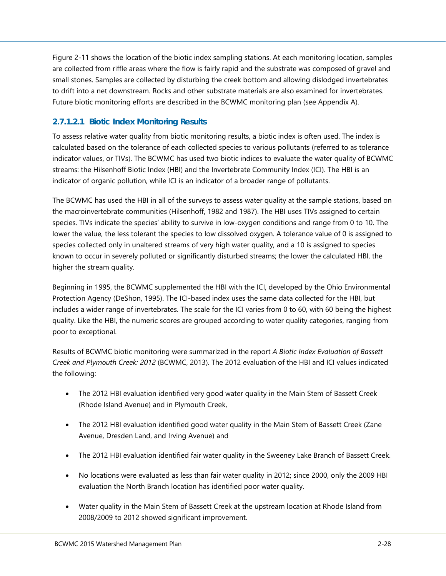[Figure 2-11](#page--1-10) shows the location of the biotic index sampling stations. At each monitoring location, samples are collected from riffle areas where the flow is fairly rapid and the substrate was composed of gravel and small stones. Samples are collected by disturbing the creek bottom and allowing dislodged invertebrates to drift into a net downstream. Rocks and other substrate materials are also examined for invertebrates. Future biotic monitoring efforts are described in the BCWMC monitoring plan (see Appendix A).

### <span id="page-31-0"></span>*2.7.1.2.1 Biotic Index Monitoring Results*

To assess relative water quality from biotic monitoring results, a biotic index is often used. The index is calculated based on the tolerance of each collected species to various pollutants (referred to as tolerance indicator values, or TIVs). The BCWMC has used two biotic indices to evaluate the water quality of BCWMC streams: the Hilsenhoff Biotic Index (HBI) and the Invertebrate Community Index (ICI). The HBI is an indicator of organic pollution, while ICI is an indicator of a broader range of pollutants.

The BCWMC has used the HBI in all of the surveys to assess water quality at the sample stations, based on the macroinvertebrate communities (Hilsenhoff, 1982 and 1987). The HBI uses TIVs assigned to certain species. TIVs indicate the species' ability to survive in low-oxygen conditions and range from 0 to 10. The lower the value, the less tolerant the species to low dissolved oxygen. A tolerance value of 0 is assigned to species collected only in unaltered streams of very high water quality, and a 10 is assigned to species known to occur in severely polluted or significantly disturbed streams; the lower the calculated HBI, the higher the stream quality.

Beginning in 1995, the BCWMC supplemented the HBI with the ICI, developed by the Ohio Environmental Protection Agency (DeShon, 1995). The ICI-based index uses the same data collected for the HBI, but includes a wider range of invertebrates. The scale for the ICI varies from 0 to 60, with 60 being the highest quality. Like the HBI, the numeric scores are grouped according to water quality categories, ranging from poor to exceptional.

Results of BCWMC biotic monitoring were summarized in the report *A Biotic Index Evaluation of Bassett Creek and Plymouth Creek: 2012* (BCWMC, 2013). The 2012 evaluation of the HBI and ICI values indicated the following:

- The 2012 HBI evaluation identified very good water quality in the Main Stem of Bassett Creek (Rhode Island Avenue) and in Plymouth Creek,
- The 2012 HBI evaluation identified good water quality in the Main Stem of Bassett Creek (Zane Avenue, Dresden Land, and Irving Avenue) and
- The 2012 HBI evaluation identified fair water quality in the Sweeney Lake Branch of Bassett Creek.
- No locations were evaluated as less than fair water quality in 2012; since 2000, only the 2009 HBI evaluation the North Branch location has identified poor water quality.
- Water quality in the Main Stem of Bassett Creek at the upstream location at Rhode Island from 2008/2009 to 2012 showed significant improvement.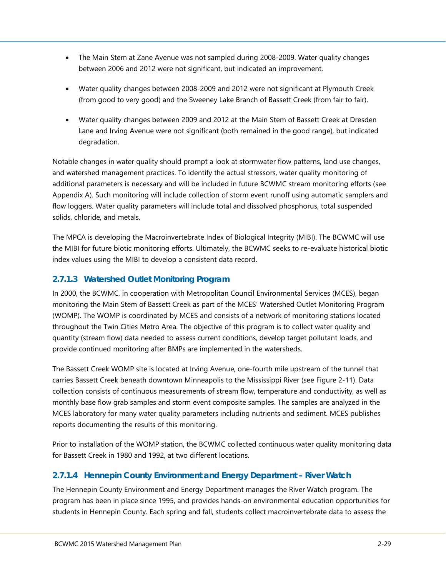- The Main Stem at Zane Avenue was not sampled during 2008-2009. Water quality changes between 2006 and 2012 were not significant, but indicated an improvement.
- Water quality changes between 2008-2009 and 2012 were not significant at Plymouth Creek (from good to very good) and the Sweeney Lake Branch of Bassett Creek (from fair to fair).
- Water quality changes between 2009 and 2012 at the Main Stem of Bassett Creek at Dresden Lane and Irving Avenue were not significant (both remained in the good range), but indicated degradation.

Notable changes in water quality should prompt a look at stormwater flow patterns, land use changes, and watershed management practices. To identify the actual stressors, water quality monitoring of additional parameters is necessary and will be included in future BCWMC stream monitoring efforts (see Appendix A). Such monitoring will include collection of storm event runoff using automatic samplers and flow loggers. Water quality parameters will include total and dissolved phosphorus, total suspended solids, chloride, and metals.

The MPCA is developing the Macroinvertebrate Index of Biological Integrity (MIBI). The BCWMC will use the MIBI for future biotic monitoring efforts. Ultimately, the BCWMC seeks to re-evaluate historical biotic index values using the MIBI to develop a consistent data record.

## <span id="page-32-0"></span>**2.7.1.3 Watershed Outlet Monitoring Program**

In 2000, the BCWMC, in cooperation with Metropolitan Council Environmental Services (MCES), began monitoring the Main Stem of Bassett Creek as part of the MCES' Watershed Outlet Monitoring Program (WOMP). The WOMP is coordinated by MCES and consists of a network of monitoring stations located throughout the Twin Cities Metro Area. The objective of this program is to collect water quality and quantity (stream flow) data needed to assess current conditions, develop target pollutant loads, and provide continued monitoring after BMPs are implemented in the watersheds.

The Bassett Creek WOMP site is located at Irving Avenue, one-fourth mile upstream of the tunnel that carries Bassett Creek beneath downtown Minneapolis to the Mississippi River (see [Figure 2-11\)](#page--1-10). Data collection consists of continuous measurements of stream flow, temperature and conductivity, as well as monthly base flow grab samples and storm event composite samples. The samples are analyzed in the MCES laboratory for many water quality parameters including nutrients and sediment. MCES publishes reports documenting the results of this monitoring.

Prior to installation of the WOMP station, the BCWMC collected continuous water quality monitoring data for Bassett Creek in 1980 and 1992, at two different locations.

## <span id="page-32-1"></span>**2.7.1.4 Hennepin County Environment and Energy Department – River Watch**

The Hennepin County Environment and Energy Department manages the River Watch program. The program has been in place since 1995, and provides hands-on environmental education opportunities for students in Hennepin County. Each spring and fall, students collect macroinvertebrate data to assess the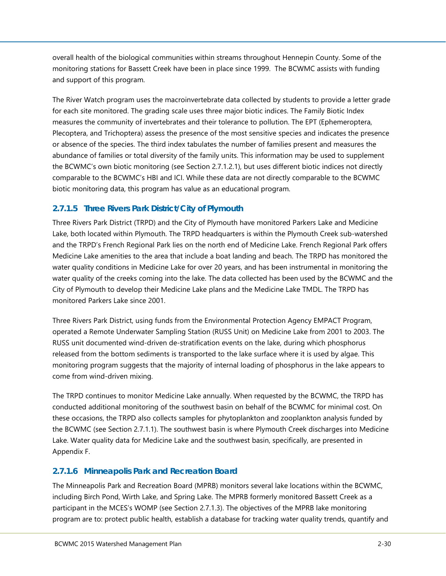overall health of the biological communities within streams throughout Hennepin County. Some of the monitoring stations for Bassett Creek have been in place since 1999. The BCWMC assists with funding and support of this program.

The River Watch program uses the macroinvertebrate data collected by students to provide a letter grade for each site monitored. The grading scale uses three major biotic indices. The Family Biotic Index measures the community of invertebrates and their tolerance to pollution. The EPT (Ephemeroptera, Plecoptera, and Trichoptera) assess the presence of the most sensitive species and indicates the presence or absence of the species. The third index tabulates the number of families present and measures the abundance of families or total diversity of the family units. This information may be used to supplement the BCWMC's own biotic monitoring (see Section [2.7.1.2.1\)](#page-31-0), but uses different biotic indices not directly comparable to the BCWMC's HBI and ICI. While these data are not directly comparable to the BCWMC biotic monitoring data, this program has value as an educational program.

### <span id="page-33-0"></span>**2.7.1.5 Three Rivers Park District/City of Plymouth**

Three Rivers Park District (TRPD) and the City of Plymouth have monitored Parkers Lake and Medicine Lake, both located within Plymouth. The TRPD headquarters is within the Plymouth Creek sub-watershed and the TRPD's French Regional Park lies on the north end of Medicine Lake. French Regional Park offers Medicine Lake amenities to the area that include a boat landing and beach. The TRPD has monitored the water quality conditions in Medicine Lake for over 20 years, and has been instrumental in monitoring the water quality of the creeks coming into the lake. The data collected has been used by the BCWMC and the City of Plymouth to develop their Medicine Lake plans and the Medicine Lake TMDL. The TRPD has monitored Parkers Lake since 2001.

Three Rivers Park District, using funds from the Environmental Protection Agency EMPACT Program, operated a Remote Underwater Sampling Station (RUSS Unit) on Medicine Lake from 2001 to 2003. The RUSS unit documented wind-driven de-stratification events on the lake, during which phosphorus released from the bottom sediments is transported to the lake surface where it is used by algae. This monitoring program suggests that the majority of internal loading of phosphorus in the lake appears to come from wind-driven mixing.

The TRPD continues to monitor Medicine Lake annually. When requested by the BCWMC, the TRPD has conducted additional monitoring of the southwest basin on behalf of the BCWMC for minimal cost. On these occasions, the TRPD also collects samples for phytoplankton and zooplankton analysis funded by the BCWMC (see Section [2.7.1.1\)](#page-29-0). The southwest basin is where Plymouth Creek discharges into Medicine Lake. Water quality data for Medicine Lake and the southwest basin, specifically, are presented in Appendix F.

#### <span id="page-33-1"></span>**2.7.1.6 Minneapolis Park and Recreation Board**

The Minneapolis Park and Recreation Board (MPRB) monitors several lake locations within the BCWMC, including Birch Pond, Wirth Lake, and Spring Lake. The MPRB formerly monitored Bassett Creek as a participant in the MCES's WOMP (see Section [2.7.1.3\)](#page-32-0). The objectives of the MPRB lake monitoring program are to: protect public health, establish a database for tracking water quality trends, quantify and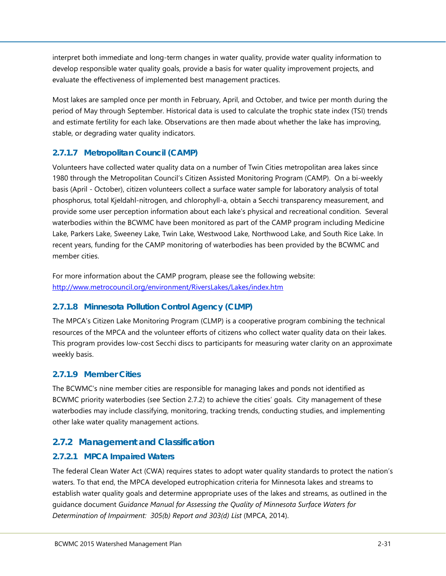interpret both immediate and long-term changes in water quality, provide water quality information to develop responsible water quality goals, provide a basis for water quality improvement projects, and evaluate the effectiveness of implemented best management practices.

Most lakes are sampled once per month in February, April, and October, and twice per month during the period of May through September. Historical data is used to calculate the trophic state index (TSI) trends and estimate fertility for each lake. Observations are then made about whether the lake has improving, stable, or degrading water quality indicators.

## <span id="page-34-0"></span>**2.7.1.7 Metropolitan Council (CAMP)**

Volunteers have collected water quality data on a number of Twin Cities metropolitan area lakes since 1980 through the Metropolitan Council's Citizen Assisted Monitoring Program (CAMP). On a bi-weekly basis (April - October), citizen volunteers collect a surface water sample for laboratory analysis of total phosphorus, total Kjeldahl-nitrogen, and chlorophyll-a, obtain a Secchi transparency measurement, and provide some user perception information about each lake's physical and recreational condition. Several waterbodies within the BCWMC have been monitored as part of the CAMP program including Medicine Lake, Parkers Lake, Sweeney Lake, Twin Lake, Westwood Lake, Northwood Lake, and South Rice Lake. In recent years, funding for the CAMP monitoring of waterbodies has been provided by the BCWMC and member cities.

For more information about the CAMP program, please see the following website: <http://www.metrocouncil.org/environment/RiversLakes/Lakes/index.htm>

## <span id="page-34-1"></span>**2.7.1.8 Minnesota Pollution Control Agency (CLMP)**

The MPCA's Citizen Lake Monitoring Program (CLMP) is a cooperative program combining the technical resources of the MPCA and the volunteer efforts of citizens who collect water quality data on their lakes. This program provides low-cost Secchi discs to participants for measuring water clarity on an approximate weekly basis.

#### <span id="page-34-2"></span>**2.7.1.9 Member Cities**

The BCWMC's nine member cities are responsible for managing lakes and ponds not identified as BCWMC priority waterbodies (see Section [2.7.2\)](#page-34-3) to achieve the cities' goals. City management of these waterbodies may include classifying, monitoring, tracking trends, conducting studies, and implementing other lake water quality management actions.

## <span id="page-34-3"></span>**2.7.2 Management and Classification**

## <span id="page-34-4"></span>**2.7.2.1 MPCA Impaired Waters**

The federal Clean Water Act (CWA) requires states to adopt water quality standards to protect the nation's waters. To that end, the MPCA developed eutrophication criteria for Minnesota lakes and streams to establish water quality goals and determine appropriate uses of the lakes and streams, as outlined in the guidance document *Guidance Manual for Assessing the Quality of Minnesota Surface Waters for Determination of Impairment: 305(b) Report and 303(d) List* (MPCA, 2014).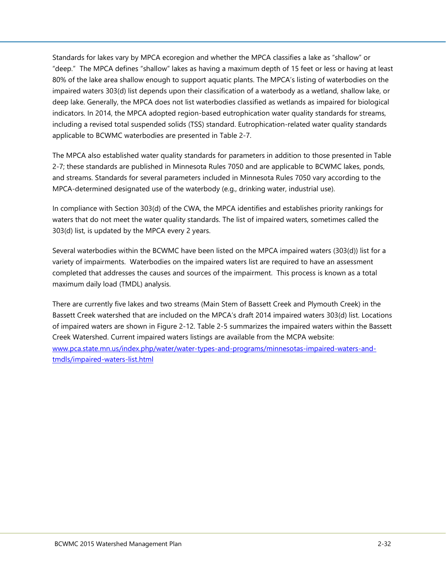Standards for lakes vary by MPCA ecoregion and whether the MPCA classifies a lake as "shallow" or "deep." The MPCA defines "shallow" lakes as having a maximum depth of 15 feet or less or having at least 80% of the lake area shallow enough to support aquatic plants. The MPCA's listing of waterbodies on the impaired waters 303(d) list depends upon their classification of a waterbody as a wetland, shallow lake, or deep lake. Generally, the MPCA does not list waterbodies classified as wetlands as impaired for biological indicators. In 2014, the MPCA adopted region-based eutrophication water quality standards for streams, including a revised total suspended solids (TSS) standard. Eutrophication-related water quality standards applicable to BCWMC waterbodies are presented in [Table 2-7.](#page--1-0)

The MPCA also established water quality standards for parameters in addition to those presented in [Table](#page--1-0)  [2-7;](#page--1-0) these standards are published in Minnesota Rules 7050 and are applicable to BCWMC lakes, ponds, and streams. Standards for several parameters included in Minnesota Rules 7050 vary according to the MPCA-determined designated use of the waterbody (e.g., drinking water, industrial use).

In compliance with Section 303(d) of the CWA, the MPCA identifies and establishes priority rankings for waters that do not meet the water quality standards. The list of impaired waters, sometimes called the 303(d) list, is updated by the MPCA every 2 years.

Several waterbodies within the BCWMC have been listed on the MPCA impaired waters (303(d)) list for a variety of impairments. Waterbodies on the impaired waters list are required to have an assessment completed that addresses the causes and sources of the impairment. This process is known as a total maximum daily load (TMDL) analysis.

There are currently five lakes and two streams (Main Stem of Bassett Creek and Plymouth Creek) in the Bassett Creek watershed that are included on the MPCA's draft 2014 impaired waters 303(d) list. Locations of impaired waters are shown in [Figure 2-12.](#page--1-11) [Table 2-5](#page-36-1) summarizes the impaired waters within the Bassett Creek Watershed. Current impaired waters listings are available from the MCPA website: [www.pca.state.mn.us/index.php/water/water-types-and-programs/minnesotas-impaired-waters-and](http://www.pca.state.mn.us/index.php/water/water-types-and-programs/minnesotas-impaired-waters-and-tmdls/impaired-waters-list.html)[tmdls/impaired-waters-list.html](http://www.pca.state.mn.us/index.php/water/water-types-and-programs/minnesotas-impaired-waters-and-tmdls/impaired-waters-list.html)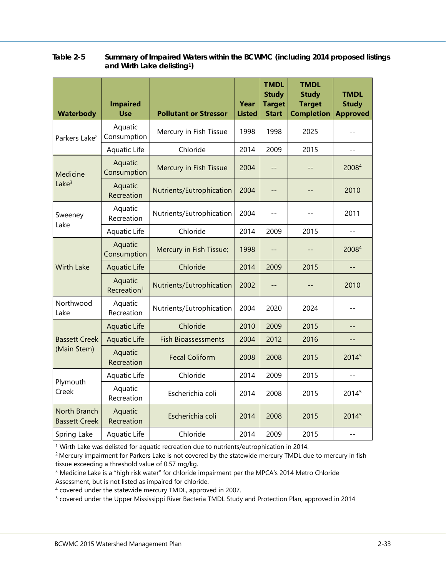| <b>Waterbody</b>                     | <b>Impaired</b><br><b>Use</b>      | <b>Pollutant or Stressor</b> | Year<br><b>Listed</b> | <b>TMDL</b><br><b>Study</b><br><b>Target</b><br><b>Start</b> | <b>TMDL</b><br><b>Study</b><br><b>Target</b><br><b>Completion</b> | <b>TMDL</b><br><b>Study</b><br><b>Approved</b> |
|--------------------------------------|------------------------------------|------------------------------|-----------------------|--------------------------------------------------------------|-------------------------------------------------------------------|------------------------------------------------|
| Parkers Lake <sup>2</sup>            | Aquatic<br>Consumption             | Mercury in Fish Tissue       | 1998                  | 1998                                                         | 2025                                                              |                                                |
|                                      | Aquatic Life                       | Chloride                     | 2014                  | 2009                                                         | 2015                                                              | $-$                                            |
| Medicine                             | Aquatic<br>Consumption             | Mercury in Fish Tissue       | 2004                  | $ -$                                                         |                                                                   | 20084                                          |
| Lake $3$                             | Aquatic<br>Recreation              | Nutrients/Eutrophication     | 2004                  | --                                                           |                                                                   | 2010                                           |
| Sweeney<br>Lake                      | Aquatic<br>Recreation              | Nutrients/Eutrophication     | 2004                  | $-$                                                          |                                                                   | 2011                                           |
|                                      | Aquatic Life                       | Chloride                     | 2014                  | 2009                                                         | 2015                                                              |                                                |
|                                      | Aquatic<br>Consumption             | Mercury in Fish Tissue;      | 1998                  | $ -$                                                         |                                                                   | 20084                                          |
| <b>Wirth Lake</b>                    | <b>Aquatic Life</b>                | Chloride                     | 2014                  | 2009                                                         | 2015                                                              |                                                |
|                                      | Aquatic<br>Recreation <sup>1</sup> | Nutrients/Eutrophication     | 2002                  | --                                                           |                                                                   | 2010                                           |
| Northwood<br>Lake                    | Aquatic<br>Recreation              | Nutrients/Eutrophication     | 2004<br>2020<br>2024  |                                                              |                                                                   |                                                |
|                                      | <b>Aquatic Life</b>                | Chloride                     | 2010                  | 2009                                                         | 2015                                                              | --                                             |
| <b>Bassett Creek</b>                 | <b>Aquatic Life</b>                | <b>Fish Bioassessments</b>   | 2004                  | 2012                                                         | 2016                                                              | --                                             |
| (Main Stem)                          | Aquatic<br>Recreation              | <b>Fecal Coliform</b>        | 2008                  | 2008                                                         | 2015                                                              | 20145                                          |
| Plymouth                             | Aquatic Life                       | Chloride                     | 2014                  | 2009                                                         | 2015                                                              |                                                |
| Creek                                | Aquatic<br>Recreation              | Escherichia coli             | 2014                  | 2008                                                         | 2015                                                              | 20145                                          |
| North Branch<br><b>Bassett Creek</b> | Aquatic<br>Recreation              | Escherichia coli             | 2014                  | 2008                                                         | 2015                                                              | 20145                                          |
| Spring Lake                          | Aquatic Life                       | Chloride                     | 2014                  | 2009                                                         | 2015                                                              | $-$                                            |

#### <span id="page-36-1"></span>**Table 2-5 Summary of Impaired Waters within the BCWMC (including 2014 proposed listings and Wirth Lake delisting1)**

<sup>1</sup> Wirth Lake was delisted for aquatic recreation due to nutrients/eutrophication in 2014.

<sup>2</sup> Mercury impairment for Parkers Lake is not covered by the statewide mercury TMDL due to mercury in fish tissue exceeding a threshold value of 0.57 mg/kg.

<sup>3</sup> Medicine Lake is a "high risk water" for chloride impairment per the MPCA's 2014 Metro Chloride Assessment, but is not listed as impaired for chloride.

<sup>4</sup> covered under the statewide mercury TMDL, approved in 2007.

<span id="page-36-0"></span><sup>5</sup> covered under the Upper Mississippi River Bacteria TMDL Study and Protection Plan, approved in 2014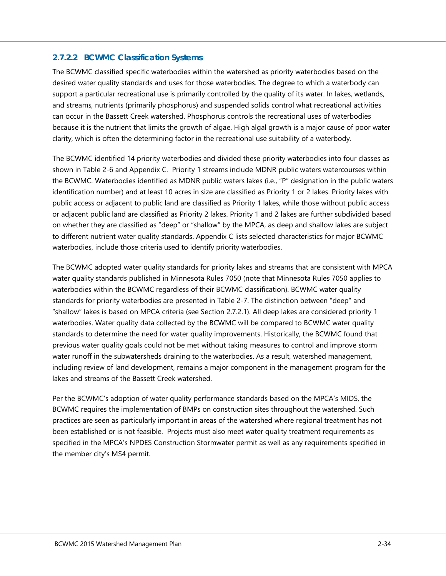#### **2.7.2.2 BCWMC Classification Systems**

The BCWMC classified specific waterbodies within the watershed as priority waterbodies based on the desired water quality standards and uses for those waterbodies. The degree to which a waterbody can support a particular recreational use is primarily controlled by the quality of its water. In lakes, wetlands, and streams, nutrients (primarily phosphorus) and suspended solids control what recreational activities can occur in the Bassett Creek watershed. Phosphorus controls the recreational uses of waterbodies because it is the nutrient that limits the growth of algae. High algal growth is a major cause of poor water clarity, which is often the determining factor in the recreational use suitability of a waterbody.

The BCWMC identified 14 priority waterbodies and divided these priority waterbodies into four classes as shown in [Table 2-6](#page-38-0) and Appendix C. Priority 1 streams include MDNR public waters watercourses within the BCWMC. Waterbodies identified as MDNR public waters lakes (i.e., "P" designation in the public waters identification number) and at least 10 acres in size are classified as Priority 1 or 2 lakes. Priority lakes with public access or adjacent to public land are classified as Priority 1 lakes, while those without public access or adjacent public land are classified as Priority 2 lakes. Priority 1 and 2 lakes are further subdivided based on whether they are classified as "deep" or "shallow" by the MPCA, as deep and shallow lakes are subject to different nutrient water quality standards. Appendix C lists selected characteristics for major BCWMC waterbodies, include those criteria used to identify priority waterbodies.

The BCWMC adopted water quality standards for priority lakes and streams that are consistent with MPCA water quality standards published in Minnesota Rules 7050 (note that Minnesota Rules 7050 applies to waterbodies within the BCWMC regardless of their BCWMC classification). BCWMC water quality standards for priority waterbodies are presented in [Table 2-7.](#page--1-0) The distinction between "deep" and "shallow" lakes is based on MPCA criteria (see Section [2.7.2.1\)](#page-34-4). All deep lakes are considered priority 1 waterbodies. Water quality data collected by the BCWMC will be compared to BCWMC water quality standards to determine the need for water quality improvements. Historically, the BCWMC found that previous water quality goals could not be met without taking measures to control and improve storm water runoff in the subwatersheds draining to the waterbodies. As a result, watershed management, including review of land development, remains a major component in the management program for the lakes and streams of the Bassett Creek watershed.

Per the BCWMC's adoption of water quality performance standards based on the MPCA's MIDS, the BCWMC requires the implementation of BMPs on construction sites throughout the watershed. Such practices are seen as particularly important in areas of the watershed where regional treatment has not been established or is not feasible. Projects must also meet water quality treatment requirements as specified in the MPCA's NPDES Construction Stormwater permit as well as any requirements specified in the member city's MS4 permit.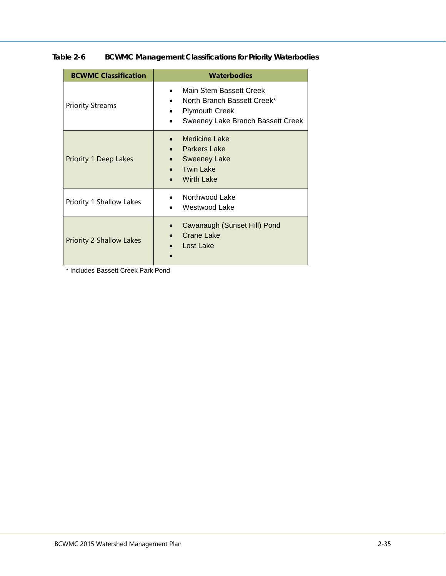| <b>BCWMC Classification</b>     | <b>Waterbodies</b>                                                                                                                                          |
|---------------------------------|-------------------------------------------------------------------------------------------------------------------------------------------------------------|
| <b>Priority Streams</b>         | Main Stem Bassett Creek<br>$\bullet$<br>North Branch Bassett Creek*<br>$\bullet$<br><b>Plymouth Creek</b><br>$\bullet$<br>Sweeney Lake Branch Bassett Creek |
| <b>Priority 1 Deep Lakes</b>    | <b>Medicine Lake</b><br><b>Parkers Lake</b><br><b>Sweeney Lake</b><br>$\bullet$<br>Twin Lake<br><b>Wirth Lake</b>                                           |
| Priority 1 Shallow Lakes        | Northwood Lake<br>Westwood Lake                                                                                                                             |
| <b>Priority 2 Shallow Lakes</b> | Cavanaugh (Sunset Hill) Pond<br>Crane Lake<br>Lost Lake                                                                                                     |

<span id="page-38-0"></span>**Table 2-6 BCWMC Management Classifications for Priority Waterbodies**

\* Includes Bassett Creek Park Pond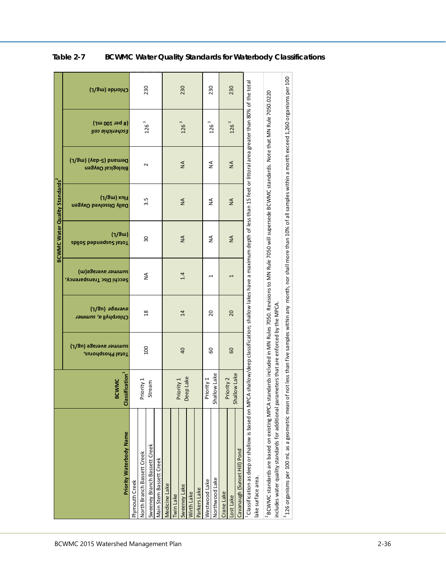|                                                                                                                                                                                                     |                                            |                                            |                                                                                                                            |                                                | <b>BCWMC Water Quality Standards</b> <sup>2</sup> |                                      |                                          |                                          |                 |
|-----------------------------------------------------------------------------------------------------------------------------------------------------------------------------------------------------|--------------------------------------------|--------------------------------------------|----------------------------------------------------------------------------------------------------------------------------|------------------------------------------------|---------------------------------------------------|--------------------------------------|------------------------------------------|------------------------------------------|-----------------|
| Priority Waterbody Name                                                                                                                                                                             | lassification <sup>1</sup><br><b>BCWMC</b> | summer average (ug/L)<br>Total Phosphorus, | a <i>houand (ח</i> 8/ך)<br>Chlorphyll a, summer                                                                            | summer average(m)<br>Secchi Disc Transparency, | (1/8u)<br>Total Suspendanced Solids               | Hux (mg/L)<br>Daily Dissolved Oxygen | Demand (S-qs) (Vag)<br>Biological Oxygen | $(4001 \text{ rad})$<br>Escherichia coli | Chloride (mg/L) |
| Plymouth Creek                                                                                                                                                                                      |                                            |                                            |                                                                                                                            |                                                |                                                   |                                      |                                          |                                          |                 |
| North Branch Bassett Creek                                                                                                                                                                          | Priority 1                                 |                                            |                                                                                                                            |                                                |                                                   |                                      |                                          |                                          |                 |
| Sweeney Branch Bassett Creek                                                                                                                                                                        | Stream                                     | $\overline{100}$                           | $\frac{8}{1}$                                                                                                              | $\frac{4}{2}$                                  | ႙ၟ                                                | 3.5                                  | $\sim$                                   | $126$ $^3$                               | 230             |
| Main Stem Bassett Creek                                                                                                                                                                             |                                            |                                            |                                                                                                                            |                                                |                                                   |                                      |                                          |                                          |                 |
| Medicine Lake                                                                                                                                                                                       |                                            |                                            |                                                                                                                            |                                                |                                                   |                                      |                                          |                                          |                 |
| <b>Twin Lake</b>                                                                                                                                                                                    |                                            |                                            |                                                                                                                            |                                                |                                                   |                                      |                                          |                                          |                 |
| Sweeney Lake                                                                                                                                                                                        | Priority 1                                 | 40                                         | $\overline{4}$                                                                                                             | 1.4                                            | $\sum_{i=1}^{n}$                                  | $\sum_{i=1}^{n}$                     | $\frac{4}{2}$                            | 126 <sup>3</sup>                         | 230             |
| Wirth Lake                                                                                                                                                                                          | Deep Lake                                  |                                            |                                                                                                                            |                                                |                                                   |                                      |                                          |                                          |                 |
| Parkers Lake                                                                                                                                                                                        |                                            |                                            |                                                                                                                            |                                                |                                                   |                                      |                                          |                                          |                 |
| Westwood Lake                                                                                                                                                                                       | Priority 1                                 | 60                                         | 20                                                                                                                         | $\overline{\phantom{0}}$                       | $\frac{4}{2}$                                     | $\frac{4}{2}$                        | ≸                                        |                                          | 230             |
| Northwood Lake                                                                                                                                                                                      | Shallow Lake                               |                                            |                                                                                                                            |                                                |                                                   |                                      |                                          | $126$ $^{3}$                             |                 |
| Crane Lake                                                                                                                                                                                          | Priority 2                                 |                                            |                                                                                                                            |                                                |                                                   |                                      |                                          |                                          |                 |
| Lost Lake                                                                                                                                                                                           |                                            | 60                                         | 20                                                                                                                         | T                                              | $\frac{4}{2}$                                     | $\frac{4}{2}$                        | $\frac{4}{2}$                            | 126 <sup>3</sup>                         | 230             |
| Cavanaugh (Sunset Hill) Pond                                                                                                                                                                        | Shallow Lake                               |                                            |                                                                                                                            |                                                |                                                   |                                      |                                          |                                          |                 |
| <sup>+</sup> Classification as deep or shallow is based on MPCA shallow/deep classification; shallow lakes have a maximum depth of less than 15 feet or littoral area greater than 80% of the total |                                            |                                            |                                                                                                                            |                                                |                                                   |                                      |                                          |                                          |                 |
| ake surface area.                                                                                                                                                                                   |                                            |                                            |                                                                                                                            |                                                |                                                   |                                      |                                          |                                          |                 |
| <sup>2</sup> BCWMC standards are based on existing MPCA                                                                                                                                             |                                            |                                            | standards included in MN Rules 7050. Revisions to MN Rule 7050 will supersede BCWMC standards. Note that MN Rule 7050.0220 |                                                |                                                   |                                      |                                          |                                          |                 |
| includes water quality standards for additional parameters that are enforced by the MPCA                                                                                                            |                                            |                                            |                                                                                                                            |                                                |                                                   |                                      |                                          |                                          |                 |
| $^3$ 126 organisms per 100 mL as a geometric mean of not less than five samples within any month, nor shall more than 10% of all samples within a month exceed 1,260 organisms per 100              |                                            |                                            |                                                                                                                            |                                                |                                                   |                                      |                                          |                                          |                 |

| Table 2-7 |  | <b>BCWMC Water Quality Standards for Waterbody Classifications</b> |  |  |
|-----------|--|--------------------------------------------------------------------|--|--|
|-----------|--|--------------------------------------------------------------------|--|--|

г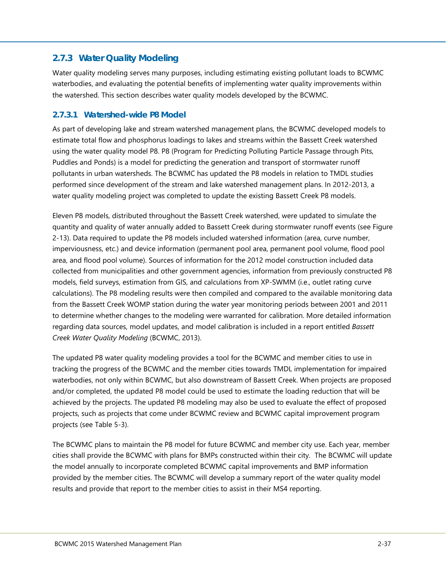## <span id="page-40-0"></span>**2.7.3 Water Quality Modeling**

Water quality modeling serves many purposes, including estimating existing pollutant loads to BCWMC waterbodies, and evaluating the potential benefits of implementing water quality improvements within the watershed. This section describes water quality models developed by the BCWMC.

#### <span id="page-40-1"></span>**2.7.3.1 Watershed-wide P8 Model**

As part of developing lake and stream watershed management plans, the BCWMC developed models to estimate total flow and phosphorus loadings to lakes and streams within the Bassett Creek watershed using the water quality model P8. P8 (Program for Predicting Polluting Particle Passage through Pits, Puddles and Ponds) is a model for predicting the generation and transport of stormwater runoff pollutants in urban watersheds. The BCWMC has updated the P8 models in relation to TMDL studies performed since development of the stream and lake watershed management plans. In 2012-2013, a water quality modeling project was completed to update the existing Bassett Creek P8 models.

Eleven P8 models, distributed throughout the Bassett Creek watershed, were updated to simulate the quantity and quality of water annually added to Bassett Creek during stormwater runoff events (see [Figure](#page--1-12)  [2-13\)](#page--1-12). Data required to update the P8 models included watershed information (area, curve number, imperviousness, etc.) and device information (permanent pool area, permanent pool volume, flood pool area, and flood pool volume). Sources of information for the 2012 model construction included data collected from municipalities and other government agencies, information from previously constructed P8 models, field surveys, estimation from GIS, and calculations from XP-SWMM (i.e., outlet rating curve calculations). The P8 modeling results were then compiled and compared to the available monitoring data from the Bassett Creek WOMP station during the water year monitoring periods between 2001 and 2011 to determine whether changes to the modeling were warranted for calibration. More detailed information regarding data sources, model updates, and model calibration is included in a report entitled *Bassett Creek Water Quality Modeling* (BCWMC, 2013).

The updated P8 water quality modeling provides a tool for the BCWMC and member cities to use in tracking the progress of the BCWMC and the member cities towards TMDL implementation for impaired waterbodies, not only within BCWMC, but also downstream of Bassett Creek. When projects are proposed and/or completed, the updated P8 model could be used to estimate the loading reduction that will be achieved by the projects. The updated P8 modeling may also be used to evaluate the effect of proposed projects, such as projects that come under BCWMC review and BCWMC capital improvement program projects (see Table 5-3).

The BCWMC plans to maintain the P8 model for future BCWMC and member city use. Each year, member cities shall provide the BCWMC with plans for BMPs constructed within their city. The BCWMC will update the model annually to incorporate completed BCWMC capital improvements and BMP information provided by the member cities. The BCWMC will develop a summary report of the water quality model results and provide that report to the member cities to assist in their MS4 reporting.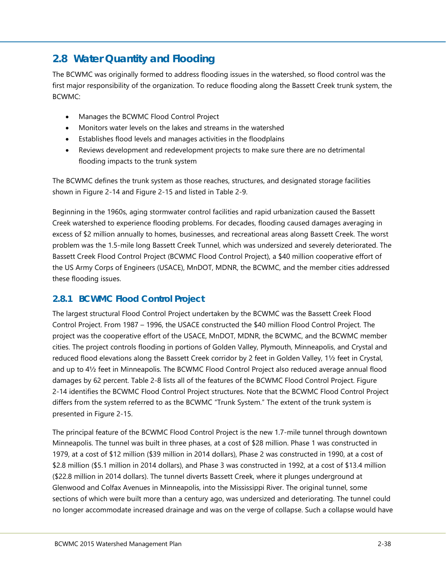## <span id="page-41-0"></span>**2.8 Water Quantity and Flooding**

The BCWMC was originally formed to address flooding issues in the watershed, so flood control was the first major responsibility of the organization. To reduce flooding along the Bassett Creek trunk system, the BCWMC:

- Manages the BCWMC Flood Control Project
- Monitors water levels on the lakes and streams in the watershed
- Establishes flood levels and manages activities in the floodplains
- Reviews development and redevelopment projects to make sure there are no detrimental flooding impacts to the trunk system

The BCWMC defines the trunk system as those reaches, structures, and designated storage facilities shown in [Figure 2-14](#page--1-13) and [Figure 2-15](#page--1-14) and listed in Table 2-9.

Beginning in the 1960s, aging stormwater control facilities and rapid urbanization caused the Bassett Creek watershed to experience flooding problems. For decades, flooding caused damages averaging in excess of \$2 million annually to homes, businesses, and recreational areas along Bassett Creek. The worst problem was the 1.5-mile long Bassett Creek Tunnel, which was undersized and severely deteriorated. The Bassett Creek Flood Control Project (BCWMC Flood Control Project), a \$40 million cooperative effort of the US Army Corps of Engineers (USACE), MnDOT, MDNR, the BCWMC, and the member cities addressed these flooding issues.

## <span id="page-41-1"></span>**2.8.1 BCWMC Flood Control Project**

The largest structural Flood Control Project undertaken by the BCWMC was the Bassett Creek Flood Control Project. From 1987 – 1996, the USACE constructed the \$40 million Flood Control Project. The project was the cooperative effort of the USACE, MnDOT, MDNR, the BCWMC, and the BCWMC member cities. The project controls flooding in portions of Golden Valley, Plymouth, Minneapolis, and Crystal and reduced flood elevations along the Bassett Creek corridor by 2 feet in Golden Valley, 1½ feet in Crystal, and up to 4½ feet in Minneapolis. The BCWMC Flood Control Project also reduced average annual flood damages by 62 percent. [Table 2-8](#page-46-0) lists all of the features of the BCWMC Flood Control Project. [Figure](#page--1-13)  [2-14](#page--1-13) identifies the BCWMC Flood Control Project structures. Note that the BCWMC Flood Control Project differs from the system referred to as the BCWMC "Trunk System." The extent of the trunk system is presented in [Figure 2-15.](#page--1-14)

The principal feature of the BCWMC Flood Control Project is the new 1.7-mile tunnel through downtown Minneapolis. The tunnel was built in three phases, at a cost of \$28 million. Phase 1 was constructed in 1979, at a cost of \$12 million (\$39 million in 2014 dollars), Phase 2 was constructed in 1990, at a cost of \$2.8 million (\$5.1 million in 2014 dollars), and Phase 3 was constructed in 1992, at a cost of \$13.4 million (\$22.8 million in 2014 dollars). The tunnel diverts Bassett Creek, where it plunges underground at Glenwood and Colfax Avenues in Minneapolis, into the Mississippi River. The original tunnel, some sections of which were built more than a century ago, was undersized and deteriorating. The tunnel could no longer accommodate increased drainage and was on the verge of collapse. Such a collapse would have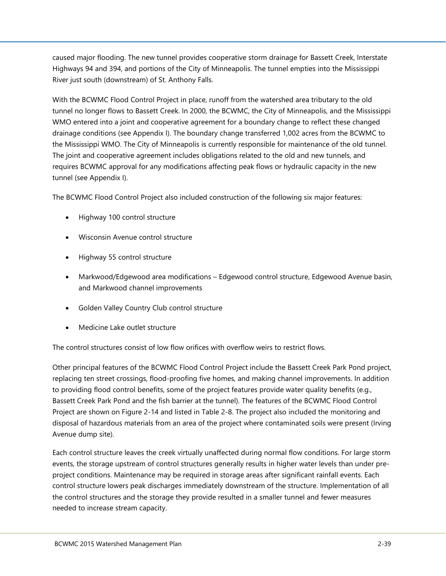caused major flooding. The new tunnel provides cooperative storm drainage for Bassett Creek, Interstate Highways 94 and 394, and portions of the City of Minneapolis. The tunnel empties into the Mississippi River just south (downstream) of St. Anthony Falls.

With the BCWMC Flood Control Project in place, runoff from the watershed area tributary to the old tunnel no longer flows to Bassett Creek. In 2000, the BCWMC, the City of Minneapolis, and the Mississippi WMO entered into a joint and cooperative agreement for a boundary change to reflect these changed drainage conditions (see Appendix I). The boundary change transferred 1,002 acres from the BCWMC to the Mississippi WMO. The City of Minneapolis is currently responsible for maintenance of the old tunnel. The joint and cooperative agreement includes obligations related to the old and new tunnels, and requires BCWMC approval for any modifications affecting peak flows or hydraulic capacity in the new tunnel (see Appendix I).

The BCWMC Flood Control Project also included construction of the following six major features:

- Highway 100 control structure
- Wisconsin Avenue control structure
- Highway 55 control structure
- Markwood/Edgewood area modifications Edgewood control structure, Edgewood Avenue basin, and Markwood channel improvements
- Golden Valley Country Club control structure
- Medicine Lake outlet structure

The control structures consist of low flow orifices with overflow weirs to restrict flows.

Other principal features of the BCWMC Flood Control Project include the Bassett Creek Park Pond project, replacing ten street crossings, flood-proofing five homes, and making channel improvements. In addition to providing flood control benefits, some of the project features provide water quality benefits (e.g., Bassett Creek Park Pond and the fish barrier at the tunnel). The features of the BCWMC Flood Control Project are shown on [Figure 2-14](#page--1-13) and listed in [Table 2-8.](#page-46-0) The project also included the monitoring and disposal of hazardous materials from an area of the project where contaminated soils were present (Irving Avenue dump site).

Each control structure leaves the creek virtually unaffected during normal flow conditions. For large storm events, the storage upstream of control structures generally results in higher water levels than under preproject conditions. Maintenance may be required in storage areas after significant rainfall events. Each control structure lowers peak discharges immediately downstream of the structure. Implementation of all the control structures and the storage they provide resulted in a smaller tunnel and fewer measures needed to increase stream capacity.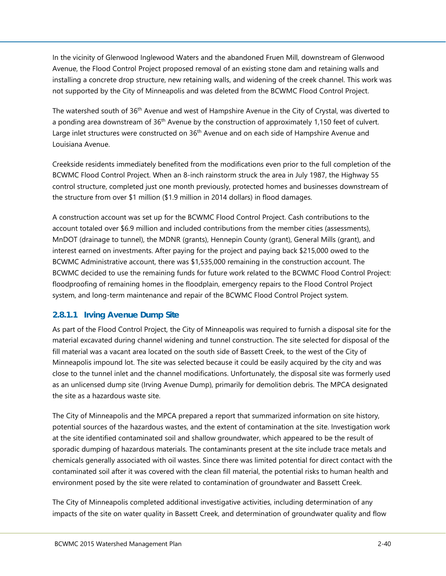In the vicinity of Glenwood Inglewood Waters and the abandoned Fruen Mill, downstream of Glenwood Avenue, the Flood Control Project proposed removal of an existing stone dam and retaining walls and installing a concrete drop structure, new retaining walls, and widening of the creek channel. This work was not supported by the City of Minneapolis and was deleted from the BCWMC Flood Control Project.

The watershed south of 36<sup>th</sup> Avenue and west of Hampshire Avenue in the City of Crystal, was diverted to a ponding area downstream of 36<sup>th</sup> Avenue by the construction of approximately 1,150 feet of culvert. Large inlet structures were constructed on 36<sup>th</sup> Avenue and on each side of Hampshire Avenue and Louisiana Avenue.

Creekside residents immediately benefited from the modifications even prior to the full completion of the BCWMC Flood Control Project. When an 8-inch rainstorm struck the area in July 1987, the Highway 55 control structure, completed just one month previously, protected homes and businesses downstream of the structure from over \$1 million (\$1.9 million in 2014 dollars) in flood damages.

A construction account was set up for the BCWMC Flood Control Project. Cash contributions to the account totaled over \$6.9 million and included contributions from the member cities (assessments), MnDOT (drainage to tunnel), the MDNR (grants), Hennepin County (grant), General Mills (grant), and interest earned on investments. After paying for the project and paying back \$215,000 owed to the BCWMC Administrative account, there was \$1,535,000 remaining in the construction account. The BCWMC decided to use the remaining funds for future work related to the BCWMC Flood Control Project: floodproofing of remaining homes in the floodplain, emergency repairs to the Flood Control Project system, and long-term maintenance and repair of the BCWMC Flood Control Project system.

#### <span id="page-43-0"></span>**2.8.1.1 Irving Avenue Dump Site**

As part of the Flood Control Project, the City of Minneapolis was required to furnish a disposal site for the material excavated during channel widening and tunnel construction. The site selected for disposal of the fill material was a vacant area located on the south side of Bassett Creek, to the west of the City of Minneapolis impound lot. The site was selected because it could be easily acquired by the city and was close to the tunnel inlet and the channel modifications. Unfortunately, the disposal site was formerly used as an unlicensed dump site (Irving Avenue Dump), primarily for demolition debris. The MPCA designated the site as a hazardous waste site.

The City of Minneapolis and the MPCA prepared a report that summarized information on site history, potential sources of the hazardous wastes, and the extent of contamination at the site. Investigation work at the site identified contaminated soil and shallow groundwater, which appeared to be the result of sporadic dumping of hazardous materials. The contaminants present at the site include trace metals and chemicals generally associated with oil wastes. Since there was limited potential for direct contact with the contaminated soil after it was covered with the clean fill material, the potential risks to human health and environment posed by the site were related to contamination of groundwater and Bassett Creek.

The City of Minneapolis completed additional investigative activities, including determination of any impacts of the site on water quality in Bassett Creek, and determination of groundwater quality and flow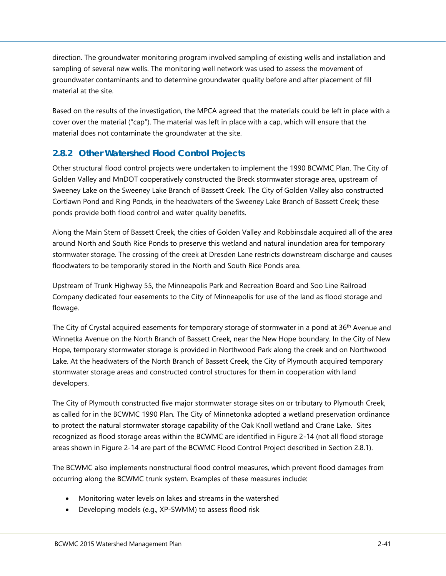direction. The groundwater monitoring program involved sampling of existing wells and installation and sampling of several new wells. The monitoring well network was used to assess the movement of groundwater contaminants and to determine groundwater quality before and after placement of fill material at the site.

Based on the results of the investigation, the MPCA agreed that the materials could be left in place with a cover over the material ("cap"). The material was left in place with a cap, which will ensure that the material does not contaminate the groundwater at the site.

## <span id="page-44-0"></span>**2.8.2 Other Watershed Flood Control Projects**

Other structural flood control projects were undertaken to implement the 1990 BCWMC Plan. The City of Golden Valley and MnDOT cooperatively constructed the Breck stormwater storage area, upstream of Sweeney Lake on the Sweeney Lake Branch of Bassett Creek. The City of Golden Valley also constructed Cortlawn Pond and Ring Ponds, in the headwaters of the Sweeney Lake Branch of Bassett Creek; these ponds provide both flood control and water quality benefits.

Along the Main Stem of Bassett Creek, the cities of Golden Valley and Robbinsdale acquired all of the area around North and South Rice Ponds to preserve this wetland and natural inundation area for temporary stormwater storage. The crossing of the creek at Dresden Lane restricts downstream discharge and causes floodwaters to be temporarily stored in the North and South Rice Ponds area.

Upstream of Trunk Highway 55, the Minneapolis Park and Recreation Board and Soo Line Railroad Company dedicated four easements to the City of Minneapolis for use of the land as flood storage and flowage.

The City of Crystal acquired easements for temporary storage of stormwater in a pond at 36<sup>th</sup> Avenue and Winnetka Avenue on the North Branch of Bassett Creek, near the New Hope boundary. In the City of New Hope, temporary stormwater storage is provided in Northwood Park along the creek and on Northwood Lake. At the headwaters of the North Branch of Bassett Creek, the City of Plymouth acquired temporary stormwater storage areas and constructed control structures for them in cooperation with land developers.

The City of Plymouth constructed five major stormwater storage sites on or tributary to Plymouth Creek, as called for in the BCWMC 1990 Plan. The City of Minnetonka adopted a wetland preservation ordinance to protect the natural stormwater storage capability of the Oak Knoll wetland and Crane Lake. Sites recognized as flood storage areas within the BCWMC are identified in [Figure 2-14](#page--1-13) (not all flood storage areas shown in [Figure 2-14](#page--1-13) are part of the BCWMC Flood Control Project described in Section [2.8.1\)](#page-41-1).

The BCWMC also implements nonstructural flood control measures, which prevent flood damages from occurring along the BCWMC trunk system. Examples of these measures include:

- Monitoring water levels on lakes and streams in the watershed
- Developing models (e.g., XP-SWMM) to assess flood risk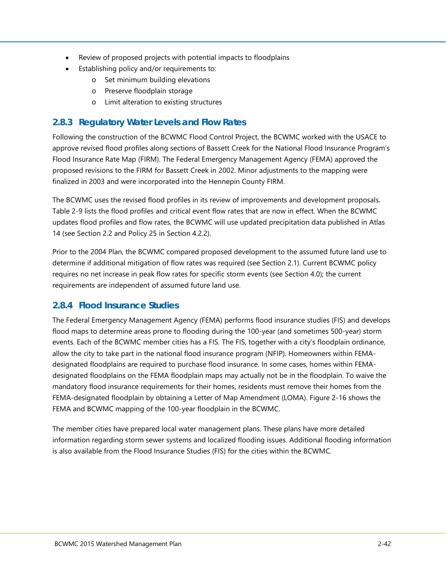- Review of proposed projects with potential impacts to floodplains
	- Establishing policy and/or requirements to:
		- o Set minimum building elevations
		- o Preserve floodplain storage
		- o Limit alteration to existing structures

### <span id="page-45-0"></span>**2.8.3 Regulatory Water Levels and Flow Rates**

Following the construction of the BCWMC Flood Control Project, the BCWMC worked with the USACE to approve revised flood profiles along sections of Bassett Creek for the National Flood Insurance Program's Flood Insurance Rate Map (FIRM). The Federal Emergency Management Agency (FEMA) approved the proposed revisions to the FIRM for Bassett Creek in 2002. Minor adjustments to the mapping were finalized in 2003 and were incorporated into the Hennepin County FIRM.

The BCWMC uses the revised flood profiles in its review of improvements and development proposals. Table 2-9 lists the flood profiles and critical event flow rates that are now in effect. When the BCWMC updates flood profiles and flow rates, the BCWMC will use updated precipitation data published in Atlas 14 (see Section [2.2](#page-5-0) and Policy 25 in Section 4.2.2).

Prior to the 2004 Plan, the BCWMC compared proposed development to the assumed future land use to determine if additional mitigation of flow rates was required (see Section [2.1\)](#page-4-1). Current BCWMC policy requires no net increase in peak flow rates for specific storm events (see Section 4.0); the current requirements are independent of assumed future land use.

## <span id="page-45-1"></span>**2.8.4 Flood Insurance Studies**

The Federal Emergency Management Agency (FEMA) performs flood insurance studies (FIS) and develops flood maps to determine areas prone to flooding during the 100-year (and sometimes 500-year) storm events. Each of the BCWMC member cities has a FIS. The FIS, together with a city's floodplain ordinance, allow the city to take part in the national flood insurance program (NFIP). Homeowners within FEMAdesignated floodplains are required to purchase flood insurance. In some cases, homes within FEMAdesignated floodplains on the FEMA floodplain maps may actually not be in the floodplain. To waive the mandatory flood insurance requirements for their homes, residents must remove their homes from the FEMA-designated floodplain by obtaining a Letter of Map Amendment (LOMA). [Figure 2-16](#page--1-15) shows the FEMA and BCWMC mapping of the 100-year floodplain in the BCWMC.

The member cities have prepared local water management plans. These plans have more detailed information regarding storm sewer systems and localized flooding issues. Additional flooding information is also available from the Flood Insurance Studies (FIS) for the cities within the BCWMC.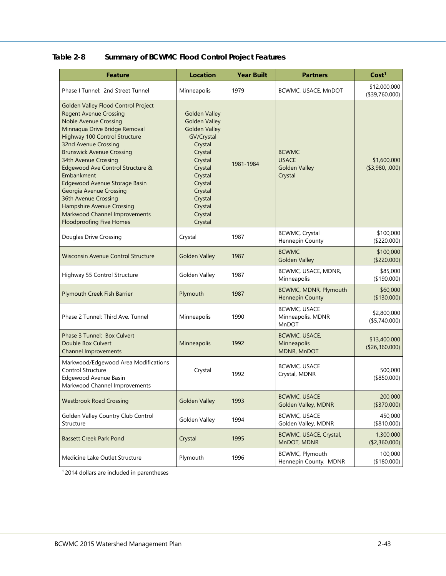<span id="page-46-0"></span>

| <b>Feature</b>                                                                                                                                                                                                                                                                                                                                                                                                                                                                                                  | <b>Location</b>                                                                                                                                                                                             | <b>Year Built</b> | <b>Partners</b>                                                 | Cost <sup>1</sup>              |
|-----------------------------------------------------------------------------------------------------------------------------------------------------------------------------------------------------------------------------------------------------------------------------------------------------------------------------------------------------------------------------------------------------------------------------------------------------------------------------------------------------------------|-------------------------------------------------------------------------------------------------------------------------------------------------------------------------------------------------------------|-------------------|-----------------------------------------------------------------|--------------------------------|
| Phase I Tunnel: 2nd Street Tunnel                                                                                                                                                                                                                                                                                                                                                                                                                                                                               | Minneapolis                                                                                                                                                                                                 | 1979              | BCWMC, USACE, MnDOT                                             | \$12,000,000<br>(\$39,760,000) |
| Golden Valley Flood Control Project<br><b>Regent Avenue Crossing</b><br><b>Noble Avenue Crossing</b><br>Minnaqua Drive Bridge Removal<br>Highway 100 Control Structure<br>32nd Avenue Crossing<br><b>Brunswick Avenue Crossing</b><br>34th Avenue Crossing<br>Edgewood Ave Control Structure &<br>Embankment<br>Edgewood Avenue Storage Basin<br><b>Georgia Avenue Crossing</b><br>36th Avenue Crossing<br><b>Hampshire Avenue Crossing</b><br>Markwood Channel Improvements<br><b>Floodproofing Five Homes</b> | <b>Golden Valley</b><br><b>Golden Valley</b><br><b>Golden Valley</b><br>GV/Crystal<br>Crystal<br>Crystal<br>Crystal<br>Crystal<br>Crystal<br>Crystal<br>Crystal<br>Crystal<br>Crystal<br>Crystal<br>Crystal | 1981-1984         | <b>BCWMC</b><br><b>USACE</b><br><b>Golden Valley</b><br>Crystal | \$1,600,000<br>(\$3,980, .000) |
| Douglas Drive Crossing                                                                                                                                                                                                                                                                                                                                                                                                                                                                                          | Crystal                                                                                                                                                                                                     | 1987              | <b>BCWMC, Crystal</b><br>Hennepin County                        | \$100,000<br>(\$220,000)       |
| <b>Wisconsin Avenue Control Structure</b>                                                                                                                                                                                                                                                                                                                                                                                                                                                                       | <b>Golden Valley</b>                                                                                                                                                                                        | 1987              | <b>BCWMC</b><br><b>Golden Valley</b>                            | \$100,000<br>(\$220,000)       |
| Highway 55 Control Structure                                                                                                                                                                                                                                                                                                                                                                                                                                                                                    | Golden Valley                                                                                                                                                                                               | 1987              | BCWMC, USACE, MDNR,<br>Minneapolis                              | \$85,000<br>(\$190,000)        |
| Plymouth Creek Fish Barrier                                                                                                                                                                                                                                                                                                                                                                                                                                                                                     | Plymouth                                                                                                                                                                                                    | 1987              | BCWMC, MDNR, Plymouth<br><b>Hennepin County</b>                 | \$60,000<br>(\$130,000)        |
| Phase 2 Tunnel: Third Ave. Tunnel                                                                                                                                                                                                                                                                                                                                                                                                                                                                               | Minneapolis                                                                                                                                                                                                 | 1990              | <b>BCWMC, USACE</b><br>Minneapolis, MDNR<br>MnDOT               | \$2,800,000<br>( \$5,740,000)  |
| Phase 3 Tunnel: Box Culvert<br>Double Box Culvert<br><b>Channel Improvements</b>                                                                                                                                                                                                                                                                                                                                                                                                                                | Minneapolis                                                                                                                                                                                                 | 1992              | <b>BCWMC, USACE,</b><br>Minneapolis<br>MDNR, MnDOT              | \$13,400,000<br>(\$26,360,000) |
| Markwood/Edgewood Area Modifications<br><b>Control Structure</b><br>Edgewood Avenue Basin<br>Markwood Channel Improvements                                                                                                                                                                                                                                                                                                                                                                                      | Crystal                                                                                                                                                                                                     | 1992              | <b>BCWMC, USACE</b><br>Crystal, MDNR                            | 500,000<br>(\$850,000)         |
| <b>Westbrook Road Crossing</b>                                                                                                                                                                                                                                                                                                                                                                                                                                                                                  | <b>Golden Valley</b>                                                                                                                                                                                        | 1993              | <b>BCWMC, USACE</b><br>Golden Valley, MDNR                      | 200,000<br>(\$370,000)         |
| Golden Valley Country Club Control<br>Structure                                                                                                                                                                                                                                                                                                                                                                                                                                                                 | Golden Valley                                                                                                                                                                                               | 1994              | <b>BCWMC, USACE</b><br>Golden Valley, MDNR                      | 450,000<br>(\$810,000)         |
| <b>Bassett Creek Park Pond</b>                                                                                                                                                                                                                                                                                                                                                                                                                                                                                  | Crystal                                                                                                                                                                                                     | 1995              | BCWMC, USACE, Crystal,<br>MnDOT, MDNR                           | 1,300,000<br>(\$2,360,000)     |
| Medicine Lake Outlet Structure                                                                                                                                                                                                                                                                                                                                                                                                                                                                                  | Plymouth                                                                                                                                                                                                    | 1996              | BCWMC, Plymouth<br>Hennepin County, MDNR                        | 100,000<br>(\$180,000)         |

 $<sup>1</sup>$  2014 dollars are included in parentheses</sup>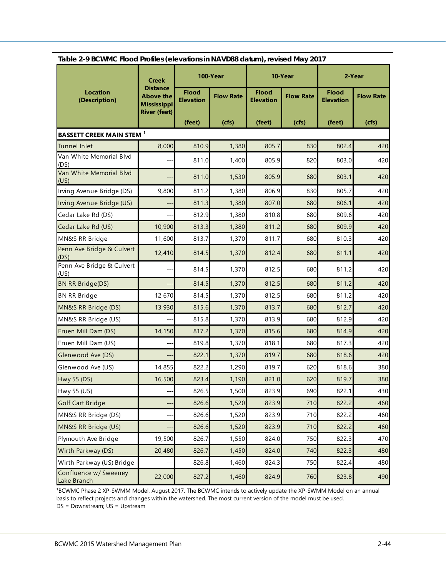<span id="page-47-0"></span>

|                                      | Table 2-9 BCWMC Flood Profiles (elevations in NAVD88 datum), revised May 2017    |                                  |                  |                                  |                  |                                  |                  |  |  |
|--------------------------------------|----------------------------------------------------------------------------------|----------------------------------|------------------|----------------------------------|------------------|----------------------------------|------------------|--|--|
|                                      | 100-Year<br><b>Creek</b>                                                         |                                  | 10-Year          |                                  | 2-Year           |                                  |                  |  |  |
| <b>Location</b><br>(Description)     | <b>Distance</b><br><b>Above the</b><br><b>Mississippi</b><br><b>River (feet)</b> | <b>Flood</b><br><b>Elevation</b> | <b>Flow Rate</b> | <b>Flood</b><br><b>Elevation</b> | <b>Flow Rate</b> | <b>Flood</b><br><b>Elevation</b> | <b>Flow Rate</b> |  |  |
|                                      |                                                                                  | (feet)                           | (cfs)            | (feet)                           | (cts)            | (feet)                           | (cfs)            |  |  |
| <b>BASSETT CREEK MAIN STEM 1</b>     |                                                                                  |                                  |                  |                                  |                  |                                  |                  |  |  |
| <b>Tunnel Inlet</b>                  | 8,000                                                                            | 810.9                            | 1,380            | 805.7                            | 830              | 802.4                            | 420              |  |  |
| Van White Memorial Blvd<br>(DS)      |                                                                                  | 811.0                            | 1,400            | 805.9                            | 820              | 803.0                            | 420              |  |  |
| Van White Memorial Blvd<br>(US)      |                                                                                  | 811.0                            | 1,530            | 805.9                            | 680              | 803.1                            | 420              |  |  |
| Irving Avenue Bridge (DS)            | 9,800                                                                            | 811.2                            | 1,380            | 806.9                            | 830              | 805.7                            | 420              |  |  |
| Irving Avenue Bridge (US)            |                                                                                  | 811.3                            | 1,380            | 807.0                            | 680              | 806.1                            | 420              |  |  |
| Cedar Lake Rd (DS)                   | $-$                                                                              | 812.9                            | 1,380            | 810.8                            | 680              | 809.6                            | 420              |  |  |
| Cedar Lake Rd (US)                   | 10,900                                                                           | 813.3                            | 1,380            | 811.2                            | 680              | 809.9                            | 420              |  |  |
| MN&S RR Bridge                       | 11,600                                                                           | 813.7                            | 1,370            | 811.7                            | 680              | 810.3                            | 420              |  |  |
| Penn Ave Bridge & Culvert<br>(DS)    | 12,410                                                                           | 814.5                            | 1,370            | 812.4                            | 680              | 811.1                            | 420              |  |  |
| Penn Ave Bridge & Culvert<br>(US)    |                                                                                  | 814.5                            | 1,370            | 812.5                            | 680              | 811.2                            | 420              |  |  |
| <b>BN RR Bridge(DS)</b>              | $\overline{\phantom{a}}$                                                         | 814.5                            | 1,370            | 812.5                            | 680              | 811.2                            | 420              |  |  |
| <b>BN RR Bridge</b>                  | 12,670                                                                           | 814.5                            | 1,370            | 812.5                            | 680              | 811.2                            | 420              |  |  |
| MN&S RR Bridge (DS)                  | 13,930                                                                           | 815.6                            | 1,370            | 813.7                            | 680              | 812.7                            | 420              |  |  |
| MN&S RR Bridge (US)                  |                                                                                  | 815.8                            | 1,370            | 813.9                            | 680              | 812.9                            | 420              |  |  |
| Fruen Mill Dam (DS)                  | 14,150                                                                           | 817.2                            | 1,370            | 815.6                            | 680              | 814.9                            | 420              |  |  |
| Fruen Mill Dam (US)                  |                                                                                  | 819.8                            | 1,370            | 818.1                            | 680              | 817.3                            | 420              |  |  |
| Glenwood Ave (DS)                    |                                                                                  | 822.1                            | 1,370            | 819.7                            | 680              | 818.6                            | 420              |  |  |
| Glenwood Ave (US)                    | 14,855                                                                           | 822.2                            | 1,290            | 819.7                            | 620              | 818.6                            | 380              |  |  |
| <b>Hwy 55 (DS)</b>                   | 16,500                                                                           | 823.4                            | 1,190            | 821.0                            | 620              | 819.7                            | 380              |  |  |
| Hwy 55 (US)                          |                                                                                  | 826.5                            | 1,500            | 823.9                            | 690              | 822.1                            | 430              |  |  |
| <b>Golf Cart Bridge</b>              | --                                                                               | 826.6                            | 1,520            | 823.9                            | 710              | 822.2                            | 460              |  |  |
| MN&S RR Bridge (DS)                  |                                                                                  | 826.6                            | 1,520            | 823.9                            | 710              | 822.2                            | 460              |  |  |
| MN&S RR Bridge (US)                  | --                                                                               | 826.6                            | 1,520            | 823.9                            | 710              | 822.2                            | 460              |  |  |
| Plymouth Ave Bridge                  | 19,500                                                                           | 826.7                            | 1,550            | 824.0                            | 750              | 822.3                            | 470              |  |  |
| Wirth Parkway (DS)                   | 20,480                                                                           | 826.7                            | 1,450            | 824.0                            | 740              | 822.3                            | 480              |  |  |
| Wirth Parkway (US) Bridge            |                                                                                  | 826.8                            | 1,460            | 824.3                            | 750              | 822.4                            | 480              |  |  |
| Confluence w/ Sweeney<br>Lake Branch | 22,000                                                                           | 827.2                            | 1,460            | 824.9                            | 760              | 823.8                            | 490              |  |  |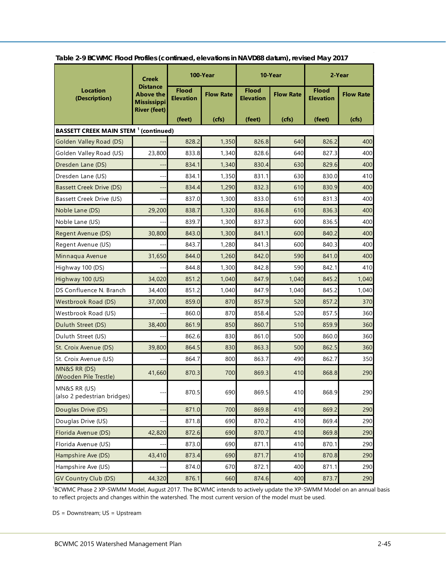|                                                         | <b>Creek</b>                                              |                                  | 100-Year         | 10-Year                          |                  | 2-Year                           |                  |
|---------------------------------------------------------|-----------------------------------------------------------|----------------------------------|------------------|----------------------------------|------------------|----------------------------------|------------------|
| <b>Location</b><br>(Description)                        | <b>Distance</b><br><b>Above the</b><br><b>Mississippi</b> | <b>Flood</b><br><b>Elevation</b> | <b>Flow Rate</b> | <b>Flood</b><br><b>Elevation</b> | <b>Flow Rate</b> | <b>Flood</b><br><b>Elevation</b> | <b>Flow Rate</b> |
|                                                         | <b>River (feet)</b>                                       | (feet)                           | (cfs)            | (feet)                           | (cfs)            | (feet)                           | (cfs)            |
| <b>BASSETT CREEK MAIN STEM <sup>1</sup> (continued)</b> |                                                           |                                  |                  |                                  |                  |                                  |                  |
| Golden Valley Road (DS)                                 |                                                           | 828.2                            | 1,350            | 826.8                            | 640              | 826.2                            | 400              |
| Golden Valley Road (US)                                 | 23,800                                                    | 833.8                            | 1,340            | 828.6                            | 640              | 827.3                            | 400              |
| Dresden Lane (DS)                                       |                                                           | 834.1                            | 1,340            | 830.4                            | 630              | 829.6                            | 400              |
| Dresden Lane (US)                                       | --                                                        | 834.1                            | 1,350            | 831.1                            | 630              | 830.0                            | 410              |
| <b>Bassett Creek Drive (DS)</b>                         | $---$                                                     | 834.4                            | 1,290            | 832.3                            | 610              | 830.9                            | 400              |
| Bassett Creek Drive (US)                                |                                                           | 837.0                            | 1,300            | 833.0                            | 610              | 831.3                            | 400              |
| Noble Lane (DS)                                         | 29,200                                                    | 838.7                            | 1,320            | 836.8                            | 610              | 836.3                            | 400              |
| Noble Lane (US)                                         |                                                           | 839.7                            | 1,300            | 837.3                            | 600              | 836.5                            | 400              |
| Regent Avenue (DS)                                      | 30,800                                                    | 843.0                            | 1,300            | 841.1                            | 600              | 840.2                            | 400              |
| Regent Avenue (US)                                      |                                                           | 843.7                            | 1,280            | 841.3                            | 600              | 840.3                            | 400              |
| Minnaqua Avenue                                         | 31,650                                                    | 844.0                            | 1,260            | 842.0                            | 590              | 841.0                            | 400              |
| Highway 100 (DS)                                        |                                                           | 844.8                            | 1,300            | 842.8                            | 590              | 842.1                            | 410              |
| Highway 100 (US)                                        | 34,020                                                    | 851.2                            | 1,040            | 847.9                            | 1,040            | 845.2                            | 1,040            |
| DS Confluence N. Branch                                 | 34,400                                                    | 851.2                            | 1,040            | 847.9                            | 1,040            | 845.2                            | 1,040            |
| <b>Westbrook Road (DS)</b>                              | 37,000                                                    | 859.0                            | 870              | 857.9                            | 520              | 857.2                            | 370              |
| Westbrook Road (US)                                     |                                                           | 860.0                            | 870              | 858.4                            | 520              | 857.5                            | 360              |
| Duluth Street (DS)                                      | 38,400                                                    | 861.9                            | 850              | 860.7                            | 510              | 859.9                            | 360              |
| Duluth Street (US)                                      |                                                           | 862.6                            | 830              | 861.0                            | 500              | 860.0                            | 360              |
| St. Croix Avenue (DS)                                   | 39,800                                                    | 864.5                            | 830              | 863.3                            | 500              | 862.5                            | 360              |
| St. Croix Avenue (US)                                   |                                                           | 864.7                            | 800              | 863.7                            | 490              | 862.7                            | 350              |
| MN&S RR (DS)<br>(Wooden Pile Trestle)                   | 41,660                                                    | 870.3                            | 700              | 869.3                            | 410              | 868.8                            | 290              |
| MN&S RR (US)<br>(also 2 pedestrian bridges)             |                                                           | 870.5                            | 690              | 869.5                            | 410              | 868.9                            | 290              |
| Douglas Drive (DS)                                      | --                                                        | 871.0                            | 700              | 869.8                            | 410              | 869.2                            | 290              |
| Douglas Drive (US)                                      |                                                           | 871.8                            | 690              | 870.2                            | 410              | 869.4                            | 290              |
| Florida Avenue (DS)                                     | 42,820                                                    | 872.6                            | 690              | 870.7                            | 410              | 869.8                            | 290              |
| Florida Avenue (US)                                     |                                                           | 873.0                            | 690              | 871.1                            | 410              | 870.1                            | 290              |
| Hampshire Ave (DS)                                      | 43,410                                                    | 873.4                            | 690              | 871.7                            | 410              | 870.8                            | 290              |
| Hampshire Ave (US)                                      |                                                           | 874.0                            | 670              | 872.1                            | 400              | 871.1                            | 290              |
| <b>GV Country Club (DS)</b>                             | 44,320                                                    | 876.1                            | 660              | 874.6                            | 400              | 873.7                            | 290              |

**Table 2-9 BCWMC Flood Profiles (continued, elevations in NAVD88 datum), revised May 2017**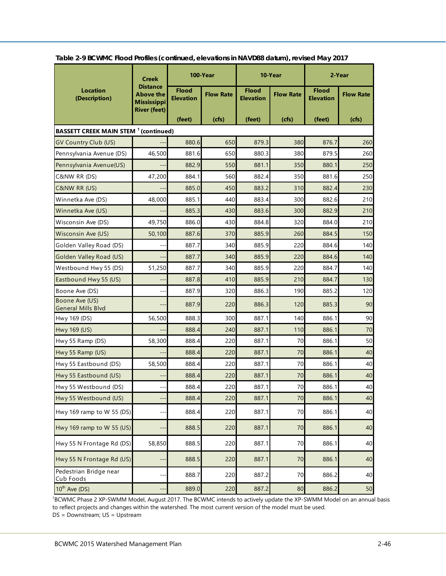|                                                         | <b>Creek</b>                                              | 100-Year                         |                  | 10-Year                          |                  | 2-Year                           |                  |
|---------------------------------------------------------|-----------------------------------------------------------|----------------------------------|------------------|----------------------------------|------------------|----------------------------------|------------------|
| <b>Location</b><br>(Description)                        | <b>Distance</b><br><b>Above the</b><br><b>Mississippi</b> | <b>Flood</b><br><b>Elevation</b> | <b>Flow Rate</b> | <b>Flood</b><br><b>Elevation</b> | <b>Flow Rate</b> | <b>Flood</b><br><b>Elevation</b> | <b>Flow Rate</b> |
|                                                         | <b>River (feet)</b>                                       | (feet)                           | (cfs)            | (feet)                           | (cfs)            | (feet)                           | (cfs)            |
| <b>BASSETT CREEK MAIN STEM <sup>1</sup> (continued)</b> |                                                           |                                  |                  |                                  |                  |                                  |                  |
| GV Country Club (US)                                    |                                                           | 880.6                            | 650              | 879.3                            | 380              | 876.7                            | 260              |
| Pennsylvania Avenue (DS)                                | 46,500                                                    | 881.6                            | 650              | 880.3                            | 380              | 879.5                            | 260              |
| Pennsylvania Avenue(US)                                 |                                                           | 882.9                            | 550              | 881.1                            | 350              | 880.1                            | 250              |
| C&NW RR (DS)                                            | 47,200                                                    | 884.1                            | 560              | 882.4                            | 350              | 881.6                            | 250              |
| C&NW RR (US)                                            |                                                           | 885.0                            | 450              | 883.2                            | 310              | 882.4                            | 230              |
| Winnetka Ave (DS)                                       | 48,000                                                    | 885.1                            | 440              | 883.4                            | 300              | 882.6                            | 210              |
| Winnetka Ave (US)                                       |                                                           | 885.3                            | 430              | 883.6                            | 300              | 882.9                            | 210              |
| Wisconsin Ave (DS)                                      | 49,750                                                    | 886.0                            | 430              | 884.8                            | 320              | 884.0                            | 210              |
| Wisconsin Ave (US)                                      | 50,100                                                    | 887.6                            | 370              | 885.9                            | 260              | 884.5                            | 150              |
| Golden Valley Road (DS)                                 |                                                           | 887.7                            | 340              | 885.9                            | 220              | 884.6                            | 140              |
| Golden Valley Road (US)                                 |                                                           | 887.7                            | 340              | 885.9                            | 220              | 884.6                            | 140              |
| Westbound Hwy 55 (DS)                                   | 51,250                                                    | 887.7                            | 340              | 885.9                            | 220              | 884.7                            | 140              |
| Eastbound Hwy 55 (US)                                   |                                                           | 887.8                            | 410              | 885.9                            | 210              | 884.7                            | 130              |
| Boone Ave (DS)                                          |                                                           | 887.9                            | 320              | 886.3                            | 190              | 885.2                            | 120              |
| Boone Ave (US)<br><b>General Mills Blvd</b>             | --                                                        | 887.9                            | 220              | 886.3                            | 120              | 885.3                            | 90               |
| Hwy 169 (DS)                                            | 56,500                                                    | 888.3                            | 300              | 887.1                            | 140              | 886.1                            | 90               |
| Hwy 169 (US)                                            |                                                           | 888.4                            | 240              | 887.1                            | 110              | 886.1                            | 70               |
| Hwy 55 Ramp (DS)                                        | 58,300                                                    | 888.4                            | 220              | 887.1                            | 70               | 886.1                            | 50               |
| Hwy 55 Ramp (US)                                        |                                                           | 888.4                            | 220              | 887.1                            | 70               | 886.1                            | 40               |
| Hwy 55 Eastbound (DS)                                   | 58,500                                                    | 888.4                            | 220              | 887.1                            | 70               | 886.1                            | 40               |
| Hwy 55 Eastbound (US)                                   |                                                           | 888.4                            | 220              | 887.1                            | 70               | 886.1                            | 40               |
| Hwy 55 Westbound (DS)                                   |                                                           | 888.4                            | 220              | 887.1                            | 70               | 886.1                            | 40               |
| Hwy 55 Westbound (US)                                   |                                                           | 888.4                            | 220              | 887.1                            | 70               | 886.1                            | 40               |
| Hwy 169 ramp to W 55 (DS)                               |                                                           | 888.4                            | 220              | 887.1                            | 70               | 886.1                            | 40               |
| Hwy 169 ramp to W 55 (US)                               | --                                                        | 888.5                            | 220              | 887.1                            | 70               | 886.1                            | 40               |
| Hwy 55 N Frontage Rd (DS)                               | 58,850                                                    | 888.5                            | 220              | 887.1                            | 70               | 886.1                            | 40               |
| Hwy 55 N Frontage Rd (US)                               | --                                                        | 888.5                            | 220              | 887.1                            | 70               | 886.1                            | 40               |
| Pedestrian Bridge near<br>Cub Foods                     | --                                                        | 888.7                            | 220              | 887.2                            | 70               | 886.2                            | 40               |
| $10^{th}$ Ave (DS)                                      | --                                                        | 889.0                            | 220              | 887.2                            | 80               | 886.2                            | 50               |

**Table 2-9 BCWMC Flood Profiles (continued, elevations in NAVD88 datum), revised May 2017**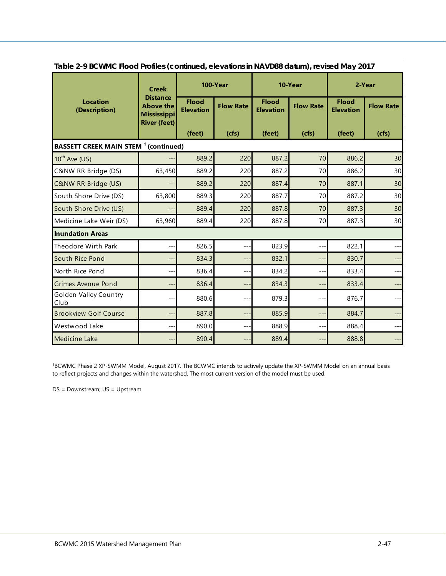|                                                         | <b>Creek</b>                                                                     | 100-Year                         |                  | 10-Year                          |                  | 2-Year                           |                  |  |  |
|---------------------------------------------------------|----------------------------------------------------------------------------------|----------------------------------|------------------|----------------------------------|------------------|----------------------------------|------------------|--|--|
| <b>Location</b><br>(Description)                        | <b>Distance</b><br><b>Above the</b><br><b>Mississippi</b><br><b>River (feet)</b> | <b>Flood</b><br><b>Elevation</b> | <b>Flow Rate</b> | <b>Flood</b><br><b>Elevation</b> | <b>Flow Rate</b> | <b>Flood</b><br><b>Elevation</b> | <b>Flow Rate</b> |  |  |
|                                                         |                                                                                  | (feet)                           | (cfs)            | (feet)                           | (cfs)            | (feet)                           | (cfs)            |  |  |
| <b>BASSETT CREEK MAIN STEM <sup>1</sup> (continued)</b> |                                                                                  |                                  |                  |                                  |                  |                                  |                  |  |  |
| $10^{th}$ Ave (US)                                      | --                                                                               | 889.2                            | 220              | 887.2                            | 70               | 886.2                            | 30               |  |  |
| C&NW RR Bridge (DS)                                     | 63,450                                                                           | 889.2                            | 220              | 887.2                            | 70               | 886.2                            | 30               |  |  |
| <b>C&amp;NW RR Bridge (US)</b>                          | --                                                                               | 889.2                            | 220              | 887.4                            | 70               | 887.1                            | 30               |  |  |
| South Shore Drive (DS)                                  | 63,800                                                                           | 889.3                            | 220              | 887.7                            | 70               | 887.2                            | 30               |  |  |
| South Shore Drive (US)                                  | $---$                                                                            | 889.4                            | 220              | 887.8                            | 70               | 887.3                            | 30               |  |  |
| Medicine Lake Weir (DS)                                 | 63,960                                                                           | 889.4                            | 220              | 887.8                            | 70               | 887.3                            | 30               |  |  |
| <b>Inundation Areas</b>                                 |                                                                                  |                                  |                  |                                  |                  |                                  |                  |  |  |
| Theodore Wirth Park                                     | --                                                                               | 826.5                            | ---              | 823.9                            | ---              | 822.1                            | ---              |  |  |
| South Rice Pond                                         | ---                                                                              | 834.3                            | $---$            | 832.1                            | ---              | 830.7                            | $---$            |  |  |
| North Rice Pond                                         | ---                                                                              | 836.4                            | $---$            | 834.2                            | ---              | 833.4                            | ---              |  |  |
| <b>Grimes Avenue Pond</b>                               | ÷÷.                                                                              | 836.4                            | ÷÷               | 834.3                            | ---              | 833.4                            | $---$            |  |  |
| <b>Golden Valley Country</b><br>Club                    | $---$                                                                            | 880.6                            | $--$             | 879.3                            | ---              | 876.7                            |                  |  |  |
| <b>Brookview Golf Course</b>                            | $---$                                                                            | 887.8                            | ---              | 885.9                            | ---              | 884.7                            | ---              |  |  |
| Westwood Lake                                           | $---$                                                                            | 890.0                            | ---              | 888.9                            | ---              | 888.4                            | $---$            |  |  |
| <b>Medicine Lake</b>                                    | ---                                                                              | 890.4                            | ---              | 889.4                            | ---              | 888.8                            | ---              |  |  |

**Table 2-9 BCWMC Flood Profiles (continued, elevations in NAVD88 datum), revised May 2017**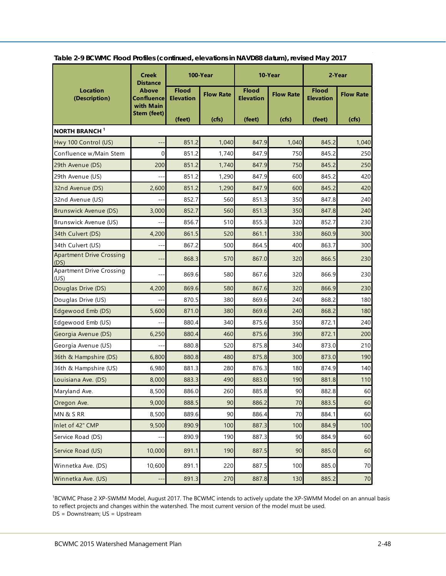|                                         | <b>Creek</b><br><b>Distance</b>  | 100-Year                         |                  | 10-Year                          |                  | 2-Year                           |                  |
|-----------------------------------------|----------------------------------|----------------------------------|------------------|----------------------------------|------------------|----------------------------------|------------------|
| Location<br>(Description)               | Above<br>Confluence<br>with Main | <b>Flood</b><br><b>Elevation</b> | <b>Flow Rate</b> | <b>Flood</b><br><b>Elevation</b> | <b>Flow Rate</b> | <b>Flood</b><br><b>Elevation</b> | <b>Flow Rate</b> |
|                                         | <b>Stem (feet)</b>               | (feet)                           | (cfs)            | (feet)                           | (cfs)            | (feet)                           | (cfs)            |
| <b>NORTH BRANCH<sup>1</sup></b>         |                                  |                                  |                  |                                  |                  |                                  |                  |
| Hwy 100 Control (US)                    |                                  | 851.2                            | 1,040            | 847.9                            | 1.040            | 845.2                            | 1,040            |
| Confluence w/Main Stem                  | 0                                | 851.2                            | 1.740            | 847.9                            | 750              | 845.2                            | 250              |
| 29th Avenue (DS)                        | 200                              | 851.2                            | 1,740            | 847.9                            | 750              | 845.2                            | 250              |
| 29th Avenue (US)                        |                                  | 851.2                            | 1,290            | 847.9                            | 600              | 845.2                            | 420              |
| 32nd Avenue (DS)                        | 2,600                            | 851.2                            | 1,290            | 847.9                            | 600              | 845.2                            | 420              |
| 32nd Avenue (US)                        |                                  | 852.7                            | 560              | 851.3                            | 350              | 847.8                            | 240              |
| Brunswick Avenue (DS)                   | 3,000                            | 852.7                            | 560              | 851.3                            | 350              | 847.8                            | 240              |
| Brunswick Avenue (US)                   |                                  | 856.7                            | 510              | 855.3                            | 320              | 852.7                            | 230              |
| 34th Culvert (DS)                       | 4,200                            | 861.5                            | 520              | 861.1                            | 330              | 860.9                            | 300              |
| 34th Culvert (US)                       |                                  | 867.2                            | 500              | 864.5                            | 400              | 863.7                            | 300              |
| <b>Apartment Drive Crossing</b><br>(DS) | --                               | 868.3                            | 570              | 867.0                            | 320              | 866.5                            | 230              |
| <b>Apartment Drive Crossing</b><br>(US) |                                  | 869.6                            | 580              | 867.6                            | 320              | 866.9                            | 230              |
| Douglas Drive (DS)                      | 4,200                            | 869.6                            | 580              | 867.6                            | 320              | 866.9                            | 230              |
| Douglas Drive (US)                      |                                  | 870.5                            | 380              | 869.6                            | 240              | 868.2                            | 180              |
| Edgewood Emb (DS)                       | 5,600                            | 871.0                            | 380              | 869.6                            | 240              | 868.2                            | 180              |
| Edgewood Emb (US)                       |                                  | 880.4                            | 340              | 875.6                            | 350              | 872.1                            | 240              |
| Georgia Avenue (DS)                     | 6,250                            | 880.4                            | 460              | 875.6                            | 390              | 872.1                            | 200              |
| Georgia Avenue (US)                     |                                  | 880.8                            | 520              | 875.8                            | 340              | 873.0                            | 210              |
| 36th & Hampshire (DS)                   | 6,800                            | 880.8                            | 480              | 875.8                            | 300              | 873.0                            | 190              |
| 36th & Hampshire (US)                   | 6,980                            | 881.3                            | 280              | 876.3                            | 180              | 874.9                            | 140              |
| Louisiana Ave. (DS)                     | 8,000                            | 883.3                            | 490              | 883.0                            | 190              | 881.8                            | 110              |
| Maryland Ave.                           | 8,500                            | 886.0                            | 260              | 885.8                            | 90               | 882.8                            | 60               |
| Oregon Ave.                             | 9,000                            | 888.5                            | 90               | 886.2                            | 70               | 883.5                            | 60               |
| MN& SRR                                 | 8,500                            | 889.6                            | 90               | 886.4                            | 70               | 884.1                            | 60               |
| Inlet of 42" CMP                        | 9,500                            | 890.9                            | 100              | 887.3                            | 100              | 884.9                            | 100              |
| Service Road (DS)                       |                                  | 890.9                            | 190              | 887.3                            | 90               | 884.9                            | 60               |
| Service Road (US)                       | 10,000                           | 891.1                            | 190              | 887.5                            | 90               | 885.0                            | 60               |
| Winnetka Ave. (DS)                      | 10,600                           | 891.1                            | 220              | 887.5                            | 100              | 885.0                            | 70               |
| Winnetka Ave. (US)                      | $-$                              | 891.3                            | 270              | 887.8                            | 130              | 885.2                            | 70               |

**Table 2-9 BCWMC Flood Profiles (continued, elevations in NAVD88 datum), revised May 2017**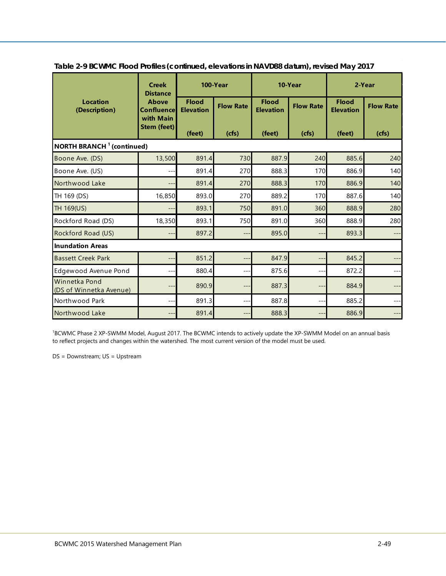|                                              | <b>Creek</b><br><b>Distance</b>                                      | 100-Year                                   |                           | 10-Year                                    |                           | 2-Year                                     |                           |  |  |
|----------------------------------------------|----------------------------------------------------------------------|--------------------------------------------|---------------------------|--------------------------------------------|---------------------------|--------------------------------------------|---------------------------|--|--|
| <b>Location</b><br>(Description)             | <b>Above</b><br><b>Confluence</b><br>with Main<br><b>Stem (feet)</b> | <b>Flood</b><br><b>Elevation</b><br>(feet) | <b>Flow Rate</b><br>(cts) | <b>Flood</b><br><b>Elevation</b><br>(feet) | <b>Flow Rate</b><br>(cfs) | <b>Flood</b><br><b>Elevation</b><br>(feet) | <b>Flow Rate</b><br>(cfs) |  |  |
|                                              |                                                                      |                                            |                           |                                            |                           |                                            |                           |  |  |
| <b>NORTH BRANCH <sup>1</sup> (continued)</b> |                                                                      |                                            |                           |                                            |                           |                                            |                           |  |  |
| Boone Ave. (DS)                              | 13,500                                                               | 891.4                                      | 730                       | 887.9                                      | 240                       | 885.6                                      | 240                       |  |  |
| Boone Ave. (US)                              | ---                                                                  | 891.4                                      | 270                       | 888.3                                      | 170                       | 886.9                                      | 140                       |  |  |
| Northwood Lake                               | --                                                                   | 891.4                                      | 270                       | 888.3                                      | 170                       | 886.9                                      | 140                       |  |  |
| TH 169 (DS)                                  | 16,850                                                               | 893.0                                      | 270                       | 889.2                                      | 170                       | 887.6                                      | 140                       |  |  |
| TH 169(US)                                   | ---                                                                  | 893.1                                      | 750                       | 891.0                                      | 360                       | 888.9                                      | 280                       |  |  |
| Rockford Road (DS)                           | 18,350                                                               | 893.1                                      | 750                       | 891.0                                      | 360                       | 888.9                                      | 280                       |  |  |
| Rockford Road (US)                           | ---                                                                  | 897.2                                      | ---                       | 895.0                                      | ---                       | 893.3                                      | $---$                     |  |  |
| <b>Inundation Areas</b>                      |                                                                      |                                            |                           |                                            |                           |                                            |                           |  |  |
| <b>Bassett Creek Park</b>                    | --                                                                   | 851.2                                      | --                        | 847.9                                      | --                        | 845.2                                      | ---                       |  |  |
| Edgewood Avenue Pond                         | $---$                                                                | 880.4                                      | ---                       | 875.6                                      | $---$                     | 872.2                                      | $---$                     |  |  |
| Winnetka Pond<br>(DS of Winnetka Avenue)     |                                                                      | 890.9                                      | --                        | 887.3                                      | $\qquad \qquad -$         | 884.9                                      |                           |  |  |
| Northwood Park                               | ---                                                                  | 891.3                                      | ---                       | 887.8                                      | $---$                     | 885.2                                      | $---$                     |  |  |
| Northwood Lake                               | ---                                                                  | 891.4                                      | ---                       | 888.3                                      | $---$                     | 886.9                                      | ---                       |  |  |

**Table 2-9 BCWMC Flood Profiles (continued, elevations in NAVD88 datum), revised May 2017**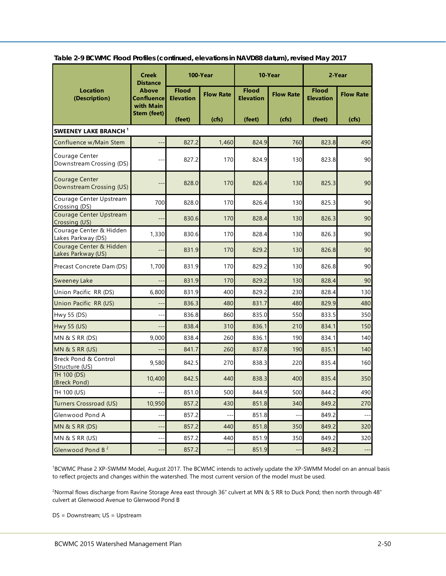|                                                   | <b>Creek</b><br><b>Distance</b>                | 100-Year                         |                          | 10-Year                          |                  | 2-Year                           |                          |  |  |  |
|---------------------------------------------------|------------------------------------------------|----------------------------------|--------------------------|----------------------------------|------------------|----------------------------------|--------------------------|--|--|--|
| <b>Location</b><br>(Description)                  | <b>Above</b><br><b>Confluence</b><br>with Main | <b>Flood</b><br><b>Elevation</b> | <b>Flow Rate</b>         | <b>Flood</b><br><b>Elevation</b> | <b>Flow Rate</b> | <b>Flood</b><br><b>Elevation</b> | <b>Flow Rate</b>         |  |  |  |
|                                                   | <b>Stem (feet)</b>                             | (feet)                           | (cfs)                    | (feet)                           | (cts)            | (feet)                           | (cfs)                    |  |  |  |
| <b>SWEENEY LAKE BRANCH</b> <sup>1</sup>           |                                                |                                  |                          |                                  |                  |                                  |                          |  |  |  |
| Confluence w/Main Stem                            |                                                | 827.2                            | 1,460                    | 824.9                            | 760              | 823.8                            | 490                      |  |  |  |
| Courage Center<br>Downstream Crossing (DS)        |                                                | 827.2                            | 170                      | 824.9                            | 130              | 823.8                            | 90                       |  |  |  |
| <b>Courage Center</b><br>Downstream Crossing (US) |                                                | 828.0                            | 170                      | 826.4                            | 130              | 825.3                            | 90                       |  |  |  |
| Courage Center Upstream<br>Crossing (DS)          | 700                                            | 828.0                            | 170                      | 826.4                            | 130              | 825.3                            | 90                       |  |  |  |
| Courage Center Upstream<br>Crossing (US)          |                                                | 830.6                            | 170                      | 828.4                            | 130              | 826.3                            | 90                       |  |  |  |
| Courage Center & Hidden<br>Lakes Parkway (DS)     | 1,330                                          | 830.6                            | 170                      | 828.4                            | 130              | 826.3                            | 90                       |  |  |  |
| Courage Center & Hidden<br>Lakes Parkway (US)     |                                                | 831.9                            | 170                      | 829.2                            | 130              | 826.8                            | 90                       |  |  |  |
| Precast Concrete Dam (DS)                         | 1,700                                          | 831.9                            | 170                      | 829.2                            | 130              | 826.8                            | 90                       |  |  |  |
| <b>Sweeney Lake</b>                               |                                                | 831.9                            | 170                      | 829.2                            | 130              | 828.4                            | 90                       |  |  |  |
| Union Pacific RR (DS)                             | 6,800                                          | 831.9                            | 400                      | 829.2                            | 230              | 828.4                            | 130                      |  |  |  |
| Union Pacific RR (US)                             |                                                | 836.3                            | 480                      | 831.7                            | 480              | 829.9                            | 480                      |  |  |  |
| Hwy 55 (DS)                                       |                                                | 836.8                            | 860                      | 835.0                            | 550              | 833.5                            | 350                      |  |  |  |
| Hwy 55 (US)                                       |                                                | 838.4                            | 310                      | 836.1                            | 210              | 834.1                            | 150                      |  |  |  |
| <b>MN &amp; S RR (DS)</b>                         | 9,000                                          | 838.4                            | 260                      | 836.1                            | 190              | 834.1                            | 140                      |  |  |  |
| MN & S RR (US)                                    |                                                | 841.7                            | 260                      | 837.8                            | 190              | 835.1                            | 140                      |  |  |  |
| Breck Pond & Control<br>Structure (US)            | 9,580                                          | 842.5                            | 270                      | 838.3                            | 220              | 835.4                            | 160                      |  |  |  |
| TH 100 (DS)<br>(Breck Pond)                       | 10,400                                         | 842.5                            | 440                      | 838.3                            | 400              | 835.4                            | 350                      |  |  |  |
| TH 100 (US)                                       | $\overline{a}$                                 | 851.0                            | 500                      | 844.9                            | 500              | 844.2                            | 490                      |  |  |  |
| Turners Crossroad (US)                            | 10,950                                         | 857.2                            | 430                      | 851.8                            | 340              | 849.2                            | 270                      |  |  |  |
| Glenwood Pond A                                   |                                                | 857.2                            | $\overline{\phantom{a}}$ | 851.8                            | --               | 849.2                            |                          |  |  |  |
| MN & S RR (DS)                                    | $--$                                           | 857.2                            | 440                      | 851.8                            | 350              | 849.2                            | 320                      |  |  |  |
| MN & S RR (US)                                    | $--$                                           | 857.2                            | 440                      | 851.9                            | 350              | 849.2                            | 320                      |  |  |  |
| Glenwood Pond B <sup>2</sup>                      |                                                | 857.2                            | $-$                      | 851.9                            |                  | 849.2                            | $\overline{\phantom{a}}$ |  |  |  |

**Table 2-9 BCWMC Flood Profiles (continued, elevations in NAVD88 datum), revised May 2017**

2 Normal flows discharge from Ravine Storage Area east through 36" culvert at MN & S RR to Duck Pond; then north through 48" culvert at Glenwood Avenue to Glenwood Pond B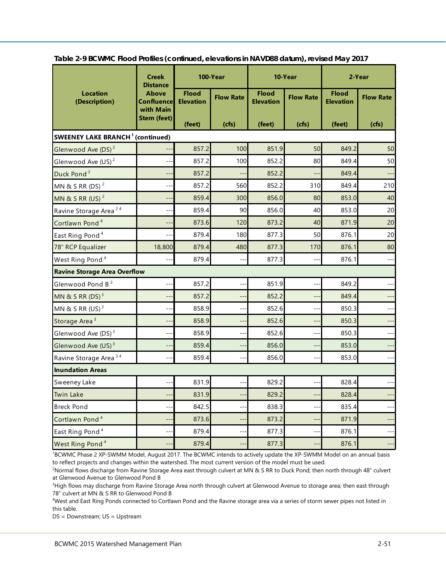|                                                    | <b>Creek</b><br><b>Distance</b>                | 100-Year                         |                          |                                  | 10-Year                  | 2-Year                           |                  |
|----------------------------------------------------|------------------------------------------------|----------------------------------|--------------------------|----------------------------------|--------------------------|----------------------------------|------------------|
| <b>Location</b><br>(Description)                   | <b>Above</b><br><b>Confluence</b><br>with Main | <b>Flood</b><br><b>Elevation</b> | <b>Flow Rate</b>         | <b>Flood</b><br><b>Elevation</b> | <b>Flow Rate</b>         | <b>Flood</b><br><b>Elevation</b> | <b>Flow Rate</b> |
|                                                    | <b>Stem (feet)</b>                             | (feet)                           | (cts)                    | (feet)                           | (cts)                    | (feet)                           | (cfs)            |
| <b>SWEENEY LAKE BRANCH<sup>1</sup></b> (continued) |                                                |                                  |                          |                                  |                          |                                  |                  |
| Glenwood Ave (DS) <sup>2</sup>                     |                                                | 857.2                            | 100                      | 851.9                            | 50                       | 849.2                            | 50               |
| Glenwood Ave $(US)^2$                              | $---$                                          | 857.2                            | 100                      | 852.2                            | 80                       | 849.4                            | 50               |
| Duck Pond <sup>2</sup>                             |                                                | 857.2                            |                          | 852.2                            |                          | 849.4                            |                  |
| MN & S RR (DS) <sup>2</sup>                        | --                                             | 857.2                            | 560                      | 852.2                            | 310                      | 849.4                            | 210              |
| MN & S RR (US) <sup>2</sup>                        | $-$                                            | 859.4                            | 300                      | 856.0                            | 80                       | 853.0                            | 40               |
| Ravine Storage Area <sup>24</sup>                  | $-$                                            | 859.4                            | 90                       | 856.0                            | 40                       | 853.0                            | 20               |
| Cortlawn Pond <sup>4</sup>                         | $-$                                            | 873.6                            | 120                      | 873.2                            | 40                       | 871.9                            | 20               |
| East Ring Pond <sup>4</sup>                        | $\overline{\phantom{a}}$                       | 879.4                            | 180                      | 877.3                            | 50                       | 876.1                            | 20               |
| 78" RCP Equalizer                                  | 18,800                                         | 879.4                            | 480                      | 877.3                            | 170                      | 876.1                            | 80               |
| West Ring Pond <sup>4</sup>                        |                                                | 879.4                            | $-$                      | 877.3                            | $-$                      | 876.1                            | $---$            |
| <b>Ravine Storage Area Overflow</b>                |                                                |                                  |                          |                                  |                          |                                  |                  |
| Glenwood Pond B <sup>3</sup>                       | $-$                                            | 857.2                            | $-$                      | 851.9                            | $-$                      | 849.2                            | $---$            |
| MN & S RR $(DS)$ <sup>3</sup>                      | $\qquad \qquad -$                              | 857.2                            | $\qquad \qquad -$        | 852.2                            | $\qquad \qquad -$        | 849.4                            | $--$             |
| MN & S RR $(US)^3$                                 | $-$                                            | 858.9                            | $\overline{\phantom{a}}$ | 852.6                            | $\overline{\phantom{a}}$ | 850.3                            |                  |
| Storage Area <sup>3</sup>                          | --                                             | 858.9                            | $\overline{\phantom{a}}$ | 852.6                            | $-$                      | 850.3                            |                  |
| Glenwood Ave (DS) <sup>3</sup>                     | $\overline{a}$                                 | 858.9                            | $\overline{a}$           | 852.6                            | $\overline{a}$           | 850.3                            | $---$            |
| Glenwood Ave (US) <sup>3</sup>                     | $-$                                            | 859.4                            | $-$                      | 856.0                            | $-$                      | 853.0                            | $---$            |
| Ravine Storage Area <sup>34</sup>                  | $\overline{a}$                                 | 859.4                            | $\overline{a}$           | 856.0                            | $-$                      | 853.0                            | $---$            |
| <b>Inundation Areas</b>                            |                                                |                                  |                          |                                  |                          |                                  |                  |
| Sweeney Lake                                       |                                                | 831.9                            |                          | 829.2                            |                          | 828.4                            |                  |
| Twin Lake                                          | $---$                                          | 831.9                            | $---$                    | 829.2                            | $---$                    | 828.4                            | ---              |
| <b>Breck Pond</b>                                  | $-$                                            | 842.5                            |                          | 838.3                            |                          | 835.4                            | ---              |
| Cortlawn Pond <sup>4</sup>                         | --                                             | 873.6                            | $-$                      | 873.2                            | $-$                      | 871.9                            | $---$            |
| East Ring Pond <sup>4</sup>                        | $-$                                            | 879.4                            | $-$                      | 877.3                            | $--$                     | 876.1                            | $---$            |
| West Ring Pond <sup>4</sup>                        | $---$                                          | 879.4                            | $---$                    | 877.3                            | $\overline{a}$           | 876.1                            | ---              |

**Table 2-9 BCWMC Flood Profiles (continued, elevations in NAVD88 datum), revised May 2017**

2 Normal flows discharge from Ravine Storage Area east through culvert at MN & S RR to Duck Pond; then north through 48" culvert at Glenwood Avenue to Glenwood Pond B

3 High flows may discharge from Ravine Storage Area north through culvert at Glenwood Avenue to storage area; then east through 78" culvert at MN & S RR to Glenwood Pond B

4 West and East Ring Ponds connected to Cortlawn Pond and the Ravine storage area via a series of storm sewer pipes not listed in this table.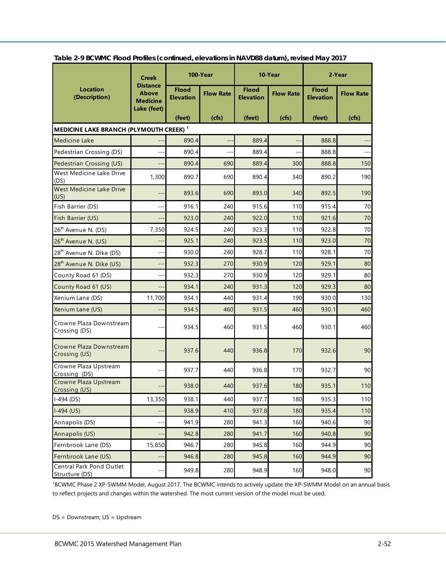|                                                    | <b>Creek</b>                                       | 100-Year                         |                  | 10-Year                          |                  | 2-Year                           |                  |
|----------------------------------------------------|----------------------------------------------------|----------------------------------|------------------|----------------------------------|------------------|----------------------------------|------------------|
| <b>Location</b><br>(Description)                   | <b>Distance</b><br><b>Above</b><br><b>Medicine</b> | <b>Flood</b><br><b>Elevation</b> | <b>Flow Rate</b> | <b>Flood</b><br><b>Elevation</b> | <b>Flow Rate</b> | <b>Flood</b><br><b>Elevation</b> | <b>Flow Rate</b> |
|                                                    | Lake (feet)                                        | (feet)                           | (cfs)            | (feet)                           | (cfs)            | (feet)                           | (cfs)            |
| MEDICINE LAKE BRANCH (PLYMOUTH CREEK) <sup>1</sup> |                                                    |                                  |                  |                                  |                  |                                  |                  |
| <b>Medicine Lake</b>                               |                                                    | 890.4                            |                  | 889.4                            |                  | 888.8                            |                  |
| Pedestrian Crossing (DS)                           |                                                    | 890.4                            |                  | 889.4                            |                  | 888.8                            |                  |
| Pedestrian Crossing (US)                           | --                                                 | 890.4                            | 690              | 889.4                            | 300              | 888.8                            | 150              |
| West Medicine Lake Drive<br>(DS)                   | 1,300                                              | 890.7                            | 690              | 890.4                            | 340              | 890.2                            | 190              |
| West Medicine Lake Drive<br>(US)                   | --                                                 | 893.6                            | 690              | 893.0                            | 340              | 892.5                            | 190              |
| Fish Barrier (DS)                                  | --                                                 | 916.1                            | 240              | 915.6                            | 110              | 915.4                            | 70               |
| Fish Barrier (US)                                  |                                                    | 923.0                            | 240              | 922.0                            | 110              | 921.6                            | 70               |
| 26 <sup>th</sup> Avenue N. (DS)                    | 7,350                                              | 924.5                            | 240              | 923.3                            | 110              | 922.8                            | 70               |
| 26 <sup>th</sup> Avenue N. (US)                    | --                                                 | 925.1                            | 240              | 923.5                            | 110              | 923.0                            | 70               |
| 28 <sup>th</sup> Avenue N. Dike (DS)               | --                                                 | 930.0                            | 240              | 928.7                            | 110              | 928.1                            | 70               |
| 28 <sup>th</sup> Avenue N. Dike (US)               | --                                                 | 932.3                            | 270              | 930.9                            | 120              | 929.1                            | 80               |
| County Road 61 (DS)                                |                                                    | 932.3                            | 270              | 930.9                            | 120              | 929.1                            | 80               |
| County Road 61 (US)                                | --                                                 | 934.1                            | 240              | 931.3                            | 120              | 929.3                            | 80               |
| Xenium Lane (DS)                                   | 11,700                                             | 934.1                            | 440              | 931.4                            | 190              | 930.0                            | 130              |
| Xenium Lane (US)                                   |                                                    | 934.5                            | 460              | 931.5                            | 460              | 930.1                            | 460              |
| Crowne Plaza Downstream<br>Crossing (DS)           |                                                    | 934.5                            | 460              | 931.5                            | 460              | 930.1                            | 460              |
| Crowne Plaza Downstream<br>Crossing (US)           | --                                                 | 937.6                            | 440              | 936.8                            | 170              | 932.6                            | 90               |
| Crowne Plaza Upstream<br>Crossing (DS)             |                                                    | 937.7                            | 440              | 936.8                            | 170              | 932.7                            | 90               |
| Crowne Plaza Upstream<br>Crossing (US)             |                                                    | 938.0                            | 440              | 937.6                            | 180              | 935.1                            | 110              |
| $I-494$ (DS)                                       | 13,350                                             | 938.1                            | 440              | 937.7                            | 180              | 935.3                            | 110              |
| $I-494$ (US)                                       |                                                    | 938.9                            | 410              | 937.8                            | 180              | 935.4                            | 110              |
| Annapolis (DS)                                     |                                                    | 941.9                            | 280              | 941.3                            | 160              | 940.6                            | 90               |
| Annapolis (US)                                     | --                                                 | 942.8                            | 280              | 941.7                            | 160              | 940.8                            | 90               |
| Fernbrook Lane (DS)                                | 15,850                                             | 946.7                            | 280              | 945.8                            | 160              | 944.9                            | 90               |
| Fernbrook Lane (US)                                | $-$                                                | 946.8                            | 280              | 945.8                            | 160              | 944.9                            | 90               |
| Central Park Pond Outlet<br>Structure (DS)         |                                                    | 949.8                            | 280              | 948.9                            | 160              | 948.0                            | 90               |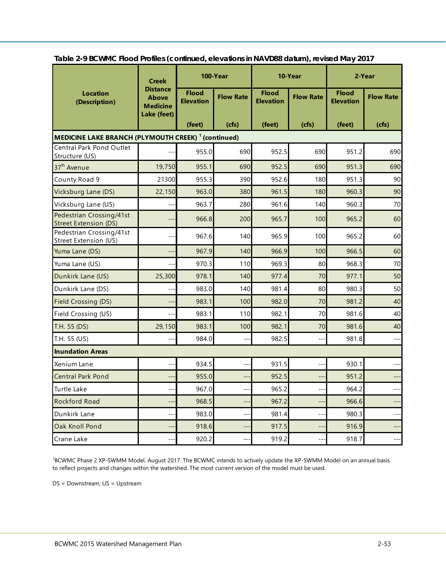|                                                                       | <b>Creek</b>                                                      | 100-Year                         |                  | 10-Year                          |                  | 2-Year                           |                  |  |  |
|-----------------------------------------------------------------------|-------------------------------------------------------------------|----------------------------------|------------------|----------------------------------|------------------|----------------------------------|------------------|--|--|
| <b>Location</b><br>(Description)                                      | <b>Distance</b><br><b>Above</b><br><b>Medicine</b><br>Lake (feet) | <b>Flood</b><br><b>Elevation</b> | <b>Flow Rate</b> | <b>Flood</b><br><b>Elevation</b> | <b>Flow Rate</b> | <b>Flood</b><br><b>Elevation</b> | <b>Flow Rate</b> |  |  |
|                                                                       |                                                                   | (feet)                           | (cts)            | (feet)                           | (cfs)            | (feet)                           | (cfs)            |  |  |
| <b>MEDICINE LAKE BRANCH (PLYMOUTH CREEK)</b> <sup>1</sup> (continued) |                                                                   |                                  |                  |                                  |                  |                                  |                  |  |  |
| Central Park Pond Outlet<br>Structure (US)                            |                                                                   | 955.0                            | 690              | 952.5                            | 690              | 951.2                            | 690              |  |  |
| 37 <sup>th</sup> Avenue                                               | 19,750                                                            | 955.1                            | 690              | 952.5                            | 690              | 951.3                            | 690              |  |  |
| County Road 9                                                         | 21300                                                             | 955.3                            | 390              | 952.6                            | 180              | 951.3                            | 90               |  |  |
| Vicksburg Lane (DS)                                                   | 22,150                                                            | 963.0                            | 380              | 961.5                            | 180              | 960.3                            | 90               |  |  |
| Vicksburg Lane (US)                                                   | $-$                                                               | 963.7                            | 280              | 961.6                            | 140              | 960.3                            | 70               |  |  |
| Pedestrian Crossing/41st<br><b>Street Extension (DS)</b>              | $\qquad \qquad -$                                                 | 966.8                            | 200              | 965.7                            | 100              | 965.2                            | 60               |  |  |
| Pedestrian Crossing/41st<br>Street Extension (US)                     | $ -$                                                              | 967.6                            | 140              | 965.9                            | 100              | 965.2                            | 60               |  |  |
| Yuma Lane (DS)                                                        | $-$                                                               | 967.9                            | 140              | 966.9                            | 100              | 966.5                            | 60               |  |  |
| Yuma Lane (US)                                                        | $---$                                                             | 970.3                            | 110              | 969.3                            | 80               | 968.3                            | 70               |  |  |
| Dunkirk Lane (US)                                                     | 25,300                                                            | 978.1                            | 140              | 977.4                            | 70               | 977.1                            | 50               |  |  |
| Dunkirk Lane (DS)                                                     | $--$                                                              | 983.0                            | 140              | 981.4                            | 80               | 980.3                            | 50               |  |  |
| Field Crossing (DS)                                                   |                                                                   | 983.1                            | 100              | 982.0                            | 70               | 981.2                            | 40               |  |  |
| Field Crossing (US)                                                   | $---$                                                             | 983.1                            | 110              | 982.1                            | 70               | 981.6                            | 40               |  |  |
| T.H. 55 (DS)                                                          | 29,150                                                            | 983.1                            | 100              | 982.1                            | 70               | 981.6                            | 40               |  |  |
| T.H. 55 (US)                                                          | $-$                                                               | 984.0                            | --               | 982.5                            | $-$              | 981.8                            | $---$            |  |  |
| <b>Inundation Areas</b>                                               |                                                                   |                                  |                  |                                  |                  |                                  |                  |  |  |
| Xenium Lane                                                           | --                                                                | 934.5                            | --               | 931.5                            |                  | 930.1                            |                  |  |  |
| <b>Central Park Pond</b>                                              | --                                                                | 955.0                            | --               | 952.5                            | --               | 951.2                            | ---              |  |  |
| Turtle Lake                                                           |                                                                   | 967.0                            |                  | 965.2                            |                  | 964.2                            |                  |  |  |
| <b>Rockford Road</b>                                                  |                                                                   | 968.5                            |                  | 967.2                            |                  | 966.6                            |                  |  |  |
| Dunkirk Lane                                                          | $---$                                                             | 983.0                            | $---$            | 981.4                            | $---$            | 980.3                            | $---$            |  |  |
| Oak Knoll Pond                                                        | $---$                                                             | 918.6                            | ---              | 917.5                            | $---$            | 916.9                            | ---              |  |  |
| Crane Lake                                                            | $\overline{\phantom{a}}$                                          | 920.2                            | --               | 919.2                            | --               | 918.7                            | $---$            |  |  |

**Table 2-9 BCWMC Flood Profiles (continued, elevations in NAVD88 datum), revised May 2017**

<sup>1</sup>BCWMC Phase 2 XP-SWMM Model, August 2017. The BCWMC intends to actively update the XP-SWMM Model on an annual basis to reflect projects and changes within the watershed. The most current version of the model must be used.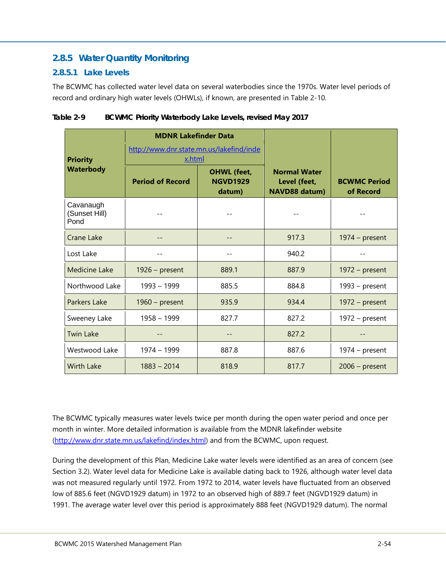## <span id="page-57-0"></span>**2.8.5 Water Quantity Monitoring**

#### <span id="page-57-1"></span>**2.8.5.1 Lake Levels**

The BCWMC has collected water level data on several waterbodies since the 1970s. Water level periods of record and ordinary high water levels (OHWLs), if known, are presented in [Table 2-10.](#page-57-2)

| <b>Priority</b>                    | <b>MDNR Lakefinder Data</b><br>http://www.dnr.state.mn.us/lakefind/inde<br>x.html |                                                 |                                                             |                                  |
|------------------------------------|-----------------------------------------------------------------------------------|-------------------------------------------------|-------------------------------------------------------------|----------------------------------|
| <b>Waterbody</b>                   | <b>Period of Record</b>                                                           | <b>OHWL</b> (feet,<br><b>NGVD1929</b><br>datum) | <b>Normal Water</b><br>Level (feet,<br><b>NAVD88 datum)</b> | <b>BCWMC Period</b><br>of Record |
| Cavanaugh<br>(Sunset Hill)<br>Pond |                                                                                   |                                                 |                                                             |                                  |
| Crane Lake                         |                                                                                   | --                                              | 917.3                                                       | $1974 - present$                 |
| Lost Lake                          |                                                                                   | --                                              | 940.2                                                       |                                  |
| <b>Medicine Lake</b>               | $1926$ – present                                                                  | 889.1                                           | 887.9                                                       | $1972 - present$                 |
| Northwood Lake                     | 1993 - 1999                                                                       | 885.5                                           | 884.8                                                       | $1993 - present$                 |
| Parkers Lake                       | $1960$ – present                                                                  | 935.9                                           | 934.4                                                       | $1972 - present$                 |
| Sweeney Lake                       | $1958 - 1999$                                                                     | 827.7                                           | 827.2                                                       | $1972 - present$                 |
| <b>Twin Lake</b>                   |                                                                                   |                                                 | 827.2                                                       |                                  |
| Westwood Lake                      | 1974 - 1999                                                                       | 887.8                                           | 887.6                                                       | $1974 - present$                 |
| <b>Wirth Lake</b>                  | $1883 - 2014$                                                                     | 818.9                                           | 817.7                                                       | $2006$ – present                 |

<span id="page-57-2"></span>

| Table 2-9 | BCWMC Priority Waterbody Lake Levels, revised May 2017 |
|-----------|--------------------------------------------------------|
|-----------|--------------------------------------------------------|

The BCWMC typically measures water levels twice per month during the open water period and once per month in winter. More detailed information is available from the MDNR lakefinder website [\(http://www.dnr.state.mn.us/lakefind/index.html\)](http://www.dnr.state.mn.us/lakefind/index.html) and from the BCWMC, upon request.

During the development of this Plan, Medicine Lake water levels were identified as an area of concern (see Section 3.2). Water level data for Medicine Lake is available dating back to 1926, although water level data was not measured regularly until 1972. From 1972 to 2014, water levels have fluctuated from an observed low of 885.6 feet (NGVD1929 datum) in 1972 to an observed high of 889.7 feet (NGVD1929 datum) in 1991. The average water level over this period is approximately 888 feet (NGVD1929 datum). The normal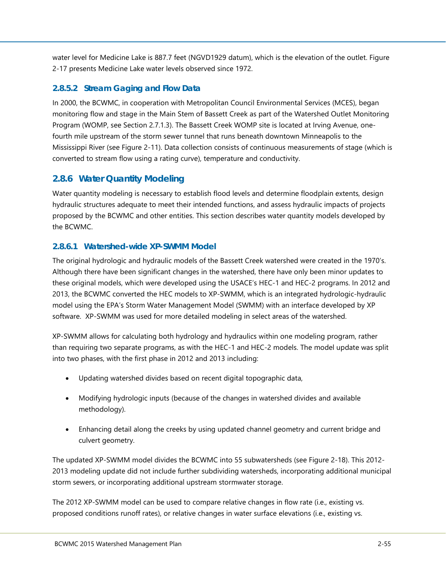water level for Medicine Lake is 887.7 feet (NGVD1929 datum), which is the elevation of the outlet. [Figure](#page--1-16)  [2-17](#page--1-16) presents Medicine Lake water levels observed since 1972.

## <span id="page-58-0"></span>**2.8.5.2 Stream Gaging and Flow Data**

In 2000, the BCWMC, in cooperation with Metropolitan Council Environmental Services (MCES), began monitoring flow and stage in the Main Stem of Bassett Creek as part of the Watershed Outlet Monitoring Program (WOMP, see Section [2.7.1.3\)](#page-32-0). The Bassett Creek WOMP site is located at Irving Avenue, onefourth mile upstream of the storm sewer tunnel that runs beneath downtown Minneapolis to the Mississippi River (see [Figure 2-11\)](#page--1-10). Data collection consists of continuous measurements of stage (which is converted to stream flow using a rating curve), temperature and conductivity.

## <span id="page-58-1"></span>**2.8.6 Water Quantity Modeling**

Water quantity modeling is necessary to establish flood levels and determine floodplain extents, design hydraulic structures adequate to meet their intended functions, and assess hydraulic impacts of projects proposed by the BCWMC and other entities. This section describes water quantity models developed by the BCWMC.

#### <span id="page-58-2"></span>**2.8.6.1 Watershed-wide XP-SWMM Model**

The original hydrologic and hydraulic models of the Bassett Creek watershed were created in the 1970's. Although there have been significant changes in the watershed, there have only been minor updates to these original models, which were developed using the USACE's HEC-1 and HEC-2 programs. In 2012 and 2013, the BCWMC converted the HEC models to XP-SWMM, which is an integrated hydrologic-hydraulic model using the EPA's Storm Water Management Model (SWMM) with an interface developed by XP software. XP-SWMM was used for more detailed modeling in select areas of the watershed.

XP-SWMM allows for calculating both hydrology and hydraulics within one modeling program, rather than requiring two separate programs, as with the HEC-1 and HEC-2 models. The model update was split into two phases, with the first phase in 2012 and 2013 including:

- Updating watershed divides based on recent digital topographic data,
- Modifying hydrologic inputs (because of the changes in watershed divides and available methodology).
- Enhancing detail along the creeks by using updated channel geometry and current bridge and culvert geometry.

The updated XP-SWMM model divides the BCWMC into 55 subwatersheds (see [Figure 2-18\)](#page--1-17). This 2012- 2013 modeling update did not include further subdividing watersheds, incorporating additional municipal storm sewers, or incorporating additional upstream stormwater storage.

The 2012 XP-SWMM model can be used to compare relative changes in flow rate (i.e., existing vs. proposed conditions runoff rates), or relative changes in water surface elevations (i.e., existing vs.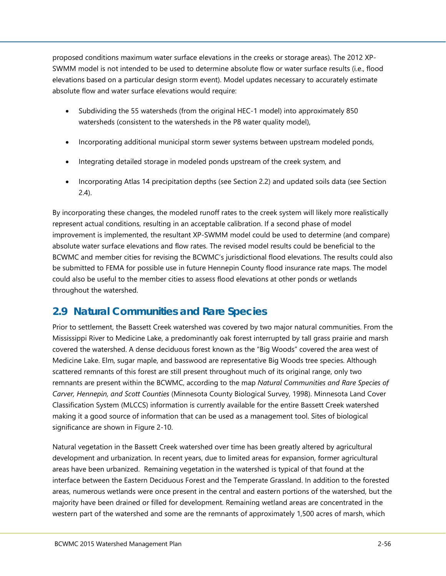proposed conditions maximum water surface elevations in the creeks or storage areas). The 2012 XP-SWMM model is not intended to be used to determine absolute flow or water surface results (i.e., flood elevations based on a particular design storm event). Model updates necessary to accurately estimate absolute flow and water surface elevations would require:

- Subdividing the 55 watersheds (from the original HEC-1 model) into approximately 850 watersheds (consistent to the watersheds in the P8 water quality model),
- Incorporating additional municipal storm sewer systems between upstream modeled ponds,
- Integrating detailed storage in modeled ponds upstream of the creek system, and
- Incorporating Atlas 14 precipitation depths (see Section [2.2\)](#page-5-0) and updated soils data (see Section [2.4\)](#page-8-1).

By incorporating these changes, the modeled runoff rates to the creek system will likely more realistically represent actual conditions, resulting in an acceptable calibration. If a second phase of model improvement is implemented, the resultant XP-SWMM model could be used to determine (and compare) absolute water surface elevations and flow rates. The revised model results could be beneficial to the BCWMC and member cities for revising the BCWMC's jurisdictional flood elevations. The results could also be submitted to FEMA for possible use in future Hennepin County flood insurance rate maps. The model could also be useful to the member cities to assess flood elevations at other ponds or wetlands throughout the watershed.

## <span id="page-59-0"></span>**2.9 Natural Communities and Rare Species**

Prior to settlement, the Bassett Creek watershed was covered by two major natural communities. From the Mississippi River to Medicine Lake, a predominantly oak forest interrupted by tall grass prairie and marsh covered the watershed. A dense deciduous forest known as the "Big Woods" covered the area west of Medicine Lake. Elm, sugar maple, and basswood are representative Big Woods tree species. Although scattered remnants of this forest are still present throughout much of its original range, only two remnants are present within the BCWMC, according to the map *Natural Communities and Rare Species of Carver, Hennepin, and Scott Counties* (Minnesota County Biological Survey, 1998). Minnesota Land Cover Classification System (MLCCS) information is currently available for the entire Bassett Creek watershed making it a good source of information that can be used as a management tool. Sites of biological significance are shown in [Figure 2-10.](#page--1-9)

Natural vegetation in the Bassett Creek watershed over time has been greatly altered by agricultural development and urbanization. In recent years, due to limited areas for expansion, former agricultural areas have been urbanized. Remaining vegetation in the watershed is typical of that found at the interface between the Eastern Deciduous Forest and the Temperate Grassland. In addition to the forested areas, numerous wetlands were once present in the central and eastern portions of the watershed, but the majority have been drained or filled for development. Remaining wetland areas are concentrated in the western part of the watershed and some are the remnants of approximately 1,500 acres of marsh, which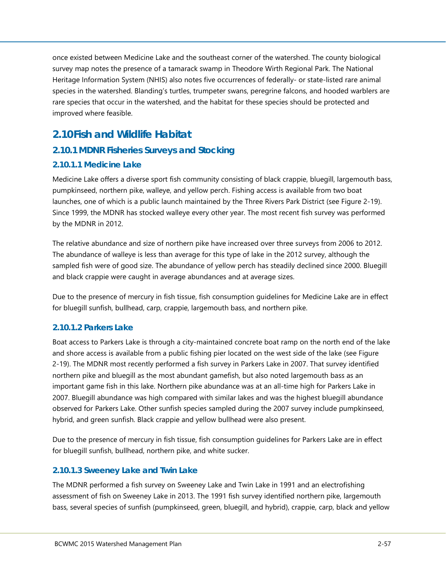once existed between Medicine Lake and the southeast corner of the watershed. The county biological survey map notes the presence of a tamarack swamp in Theodore Wirth Regional Park. The National Heritage Information System (NHIS) also notes five occurrences of federally- or state-listed rare animal species in the watershed. Blanding's turtles, trumpeter swans, peregrine falcons, and hooded warblers are rare species that occur in the watershed, and the habitat for these species should be protected and improved where feasible.

## <span id="page-60-0"></span>**2.10Fish and Wildlife Habitat**

## <span id="page-60-1"></span>**2.10.1 MDNR Fisheries Surveys and Stocking**

#### <span id="page-60-2"></span>**2.10.1.1 Medicine Lake**

Medicine Lake offers a diverse sport fish community consisting of black crappie, bluegill, largemouth bass, pumpkinseed, northern pike, walleye, and yellow perch. Fishing access is available from two boat launches, one of which is a public launch maintained by the Three Rivers Park District (see [Figure 2-19\)](#page--1-18). Since 1999, the MDNR has stocked walleye every other year. The most recent fish survey was performed by the MDNR in 2012.

The relative abundance and size of northern pike have increased over three surveys from 2006 to 2012. The abundance of walleye is less than average for this type of lake in the 2012 survey, although the sampled fish were of good size. The abundance of yellow perch has steadily declined since 2000. Bluegill and black crappie were caught in average abundances and at average sizes.

Due to the presence of mercury in fish tissue, fish consumption guidelines for Medicine Lake are in effect for bluegill sunfish, bullhead, carp, crappie, largemouth bass, and northern pike.

## <span id="page-60-3"></span>**2.10.1.2 Parkers Lake**

Boat access to Parkers Lake is through a city-maintained concrete boat ramp on the north end of the lake and shore access is available from a public fishing pier located on the west side of the lake (see [Figure](#page--1-18)  [2-19\)](#page--1-18). The MDNR most recently performed a fish survey in Parkers Lake in 2007. That survey identified northern pike and bluegill as the most abundant gamefish, but also noted largemouth bass as an important game fish in this lake. Northern pike abundance was at an all-time high for Parkers Lake in 2007. Bluegill abundance was high compared with similar lakes and was the highest bluegill abundance observed for Parkers Lake. Other sunfish species sampled during the 2007 survey include pumpkinseed, hybrid, and green sunfish. Black crappie and yellow bullhead were also present.

Due to the presence of mercury in fish tissue, fish consumption guidelines for Parkers Lake are in effect for bluegill sunfish, bullhead, northern pike, and white sucker.

#### <span id="page-60-4"></span>**2.10.1.3 Sweeney Lake and Twin Lake**

The MDNR performed a fish survey on Sweeney Lake and Twin Lake in 1991 and an electrofishing assessment of fish on Sweeney Lake in 2013. The 1991 fish survey identified northern pike, largemouth bass, several species of sunfish (pumpkinseed, green, bluegill, and hybrid), crappie, carp, black and yellow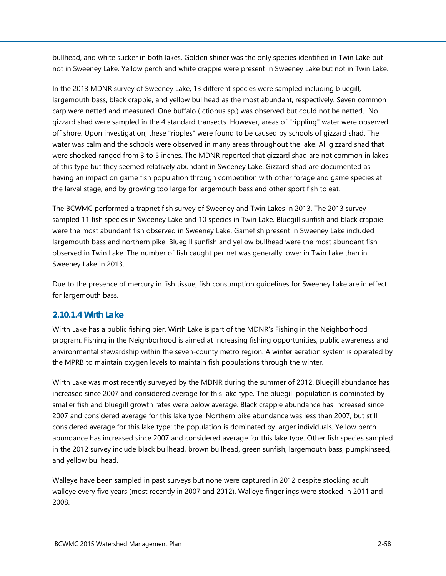bullhead, and white sucker in both lakes. Golden shiner was the only species identified in Twin Lake but not in Sweeney Lake. Yellow perch and white crappie were present in Sweeney Lake but not in Twin Lake.

In the 2013 MDNR survey of Sweeney Lake, 13 different species were sampled including bluegill, largemouth bass, black crappie, and yellow bullhead as the most abundant, respectively. Seven common carp were netted and measured. One buffalo (Ictiobus sp.) was observed but could not be netted. No gizzard shad were sampled in the 4 standard transects. However, areas of "rippling" water were observed off shore. Upon investigation, these "ripples" were found to be caused by schools of gizzard shad. The water was calm and the schools were observed in many areas throughout the lake. All gizzard shad that were shocked ranged from 3 to 5 inches. The MDNR reported that gizzard shad are not common in lakes of this type but they seemed relatively abundant in Sweeney Lake. Gizzard shad are documented as having an impact on game fish population through competition with other forage and game species at the larval stage, and by growing too large for largemouth bass and other sport fish to eat.

The BCWMC performed a trapnet fish survey of Sweeney and Twin Lakes in 2013. The 2013 survey sampled 11 fish species in Sweeney Lake and 10 species in Twin Lake. Bluegill sunfish and black crappie were the most abundant fish observed in Sweeney Lake. Gamefish present in Sweeney Lake included largemouth bass and northern pike. Bluegill sunfish and yellow bullhead were the most abundant fish observed in Twin Lake. The number of fish caught per net was generally lower in Twin Lake than in Sweeney Lake in 2013.

Due to the presence of mercury in fish tissue, fish consumption guidelines for Sweeney Lake are in effect for largemouth bass.

#### <span id="page-61-0"></span>**2.10.1.4 Wirth Lake**

Wirth Lake has a public fishing pier. Wirth Lake is part of the MDNR's Fishing in the Neighborhood program. Fishing in the Neighborhood is aimed at increasing fishing opportunities, public awareness and environmental stewardship within the seven-county metro region. A winter aeration system is operated by the MPRB to maintain oxygen levels to maintain fish populations through the winter.

Wirth Lake was most recently surveyed by the MDNR during the summer of 2012. Bluegill abundance has increased since 2007 and considered average for this lake type. The bluegill population is dominated by smaller fish and bluegill growth rates were below average. Black crappie abundance has increased since 2007 and considered average for this lake type. Northern pike abundance was less than 2007, but still considered average for this lake type; the population is dominated by larger individuals. Yellow perch abundance has increased since 2007 and considered average for this lake type. Other fish species sampled in the 2012 survey include black bullhead, brown bullhead, green sunfish, largemouth bass, pumpkinseed, and yellow bullhead.

Walleye have been sampled in past surveys but none were captured in 2012 despite stocking adult walleye every five years (most recently in 2007 and 2012). Walleye fingerlings were stocked in 2011 and 2008.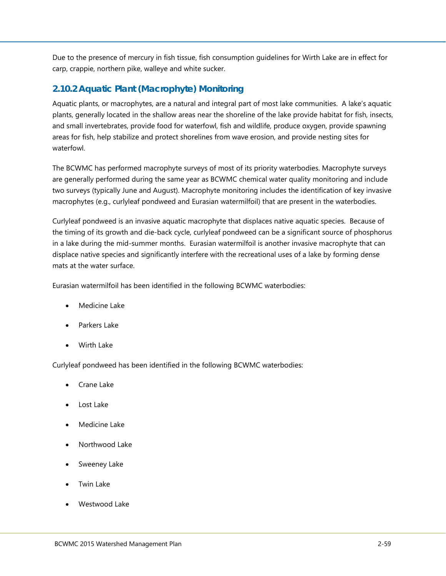Due to the presence of mercury in fish tissue, fish consumption guidelines for Wirth Lake are in effect for carp, crappie, northern pike, walleye and white sucker.

### <span id="page-62-0"></span>**2.10.2 Aquatic Plant (Macrophyte) Monitoring**

Aquatic plants, or macrophytes, are a natural and integral part of most lake communities. A lake's aquatic plants, generally located in the shallow areas near the shoreline of the lake provide habitat for fish, insects, and small invertebrates, provide food for waterfowl, fish and wildlife, produce oxygen, provide spawning areas for fish, help stabilize and protect shorelines from wave erosion, and provide nesting sites for waterfowl.

The BCWMC has performed macrophyte surveys of most of its priority waterbodies. Macrophyte surveys are generally performed during the same year as BCWMC chemical water quality monitoring and include two surveys (typically June and August). Macrophyte monitoring includes the identification of key invasive macrophytes (e.g., curlyleaf pondweed and Eurasian watermilfoil) that are present in the waterbodies.

Curlyleaf pondweed is an invasive aquatic macrophyte that displaces native aquatic species. Because of the timing of its growth and die-back cycle, curlyleaf pondweed can be a significant source of phosphorus in a lake during the mid-summer months. Eurasian watermilfoil is another invasive macrophyte that can displace native species and significantly interfere with the recreational uses of a lake by forming dense mats at the water surface.

Eurasian watermilfoil has been identified in the following BCWMC waterbodies:

- Medicine Lake
- Parkers Lake
- Wirth Lake

Curlyleaf pondweed has been identified in the following BCWMC waterbodies:

- Crane Lake
- Lost Lake
- Medicine Lake
- Northwood Lake
- Sweeney Lake
- Twin Lake
- Westwood Lake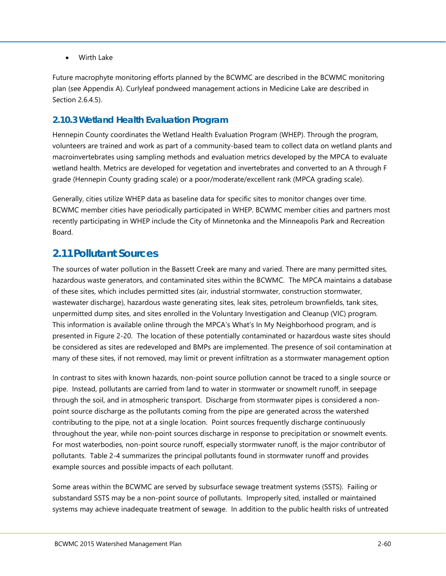• Wirth Lake

Future macrophyte monitoring efforts planned by the BCWMC are described in the BCWMC monitoring plan (see Appendix A). Curlyleaf pondweed management actions in Medicine Lake are described in Section [2.6.4.5\)](#page-18-2).

#### <span id="page-63-0"></span>**2.10.3 Wetland Health Evaluation Program**

Hennepin County coordinates the Wetland Health Evaluation Program (WHEP). Through the program, volunteers are trained and work as part of a community-based team to collect data on wetland plants and macroinvertebrates using sampling methods and evaluation metrics developed by the MPCA to evaluate wetland health. Metrics are developed for vegetation and invertebrates and converted to an A through F grade (Hennepin County grading scale) or a poor/moderate/excellent rank (MPCA grading scale).

Generally, cities utilize WHEP data as baseline data for specific sites to monitor changes over time. BCWMC member cities have periodically participated in WHEP. BCWMC member cities and partners most recently participating in WHEP include the City of Minnetonka and the Minneapolis Park and Recreation Board.

## <span id="page-63-1"></span>**2.11Pollutant Sources**

The sources of water pollution in the Bassett Creek are many and varied. There are many permitted sites, hazardous waste generators, and contaminated sites within the BCWMC. The MPCA maintains a database of these sites, which includes permitted sites (air, industrial stormwater, construction stormwater, wastewater discharge), hazardous waste generating sites, leak sites, petroleum brownfields, tank sites, unpermitted dump sites, and sites enrolled in the Voluntary Investigation and Cleanup (VIC) program. This information is available online through the MPCA's What's In My Neighborhood program, and is presented in [Figure 2-20.](#page--1-19) The location of these potentially contaminated or hazardous waste sites should be considered as sites are redeveloped and BMPs are implemented. The presence of soil contamination at many of these sites, if not removed, may limit or prevent infiltration as a stormwater management option

In contrast to sites with known hazards, non-point source pollution cannot be traced to a single source or pipe. Instead, pollutants are carried from land to water in stormwater or snowmelt runoff, in seepage through the soil, and in atmospheric transport. Discharge from stormwater pipes is considered a nonpoint source discharge as the pollutants coming from the pipe are generated across the watershed contributing to the pipe, not at a single location. Point sources frequently discharge continuously throughout the year, while non-point sources discharge in response to precipitation or snowmelt events. For most waterbodies, non-point source runoff, especially stormwater runoff, is the major contributor of pollutants. [Table 2-4](#page-28-1) summarizes the principal pollutants found in stormwater runoff and provides example sources and possible impacts of each pollutant.

Some areas within the BCWMC are served by subsurface sewage treatment systems (SSTS). Failing or substandard SSTS may be a non-point source of pollutants. Improperly sited, installed or maintained systems may achieve inadequate treatment of sewage. In addition to the public health risks of untreated